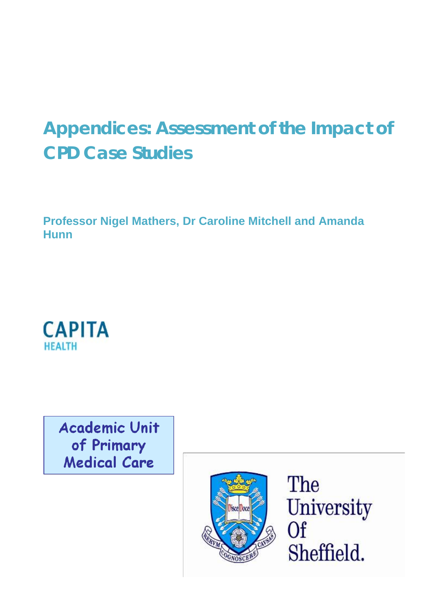# **Appendices: Assessment of the Impact of CPD Case Studies**

**Professor Nigel Mathers, Dr Caroline Mitchell and Amanda Hunn**



**Academic Unit** of Primary **Medical Care** 



The University Of Sheffield.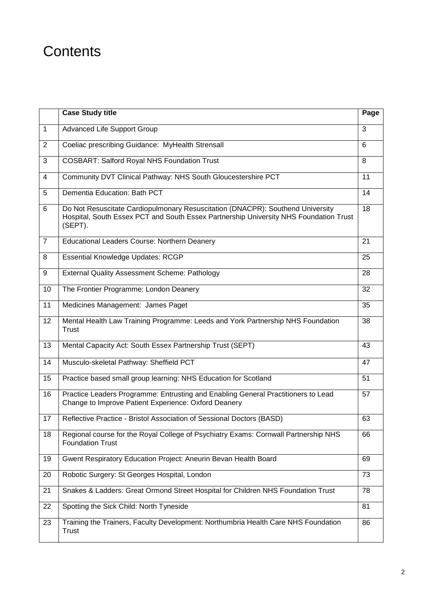# **Contents**

|                | <b>Case Study title</b>                                                                                                                                                            | Page           |  |  |
|----------------|------------------------------------------------------------------------------------------------------------------------------------------------------------------------------------|----------------|--|--|
| $\overline{1}$ | <b>Advanced Life Support Group</b>                                                                                                                                                 | $\overline{3}$ |  |  |
| 2              | Coeliac prescribing Guidance: MyHealth Strensall                                                                                                                                   | 6              |  |  |
| 3              | <b>COSBART: Salford Royal NHS Foundation Trust</b>                                                                                                                                 | 8              |  |  |
| $\overline{4}$ | Community DVT Clinical Pathway: NHS South Gloucestershire PCT                                                                                                                      | 11             |  |  |
| 5              | Dementia Education: Bath PCT                                                                                                                                                       |                |  |  |
| 6              | Do Not Resuscitate Cardiopulmonary Resuscitation (DNACPR): Southend University<br>Hospital, South Essex PCT and South Essex Partnership University NHS Foundation Trust<br>(SEPT). | 18             |  |  |
| $\overline{7}$ | Educational Leaders Course: Northern Deanery                                                                                                                                       | 21             |  |  |
| 8              | <b>Essential Knowledge Updates: RCGP</b>                                                                                                                                           | 25             |  |  |
| 9              | <b>External Quality Assessment Scheme: Pathology</b>                                                                                                                               | 28             |  |  |
| 10             | The Frontier Programme: London Deanery                                                                                                                                             | 32             |  |  |
| 11             | Medicines Management: James Paget                                                                                                                                                  | 35             |  |  |
| 12             | Mental Health Law Training Programme: Leeds and York Partnership NHS Foundation<br>Trust                                                                                           | 38             |  |  |
| 13             | Mental Capacity Act: South Essex Partnership Trust (SEPT)                                                                                                                          | 43             |  |  |
| 14             | Musculo-skeletal Pathway: Sheffield PCT                                                                                                                                            | 47             |  |  |
| 15             | Practice based small group learning: NHS Education for Scotland                                                                                                                    | 51             |  |  |
| 16             | Practice Leaders Programme: Entrusting and Enabling General Practitioners to Lead<br>Change to Improve Patient Experience: Oxford Deanery                                          | 57             |  |  |
| 17             | Reflective Practice - Bristol Association of Sessional Doctors (BASD)                                                                                                              | 63             |  |  |
| 18             | Regional course for the Royal College of Psychiatry Exams: Cornwall Partnership NHS<br><b>Foundation Trust</b>                                                                     | 66             |  |  |
| 19             | Gwent Respiratory Education Project: Aneurin Bevan Health Board                                                                                                                    | 69             |  |  |
| 20             | Robotic Surgery: St Georges Hospital, London                                                                                                                                       | 73             |  |  |
| 21             | Snakes & Ladders: Great Ormond Street Hospital for Children NHS Foundation Trust                                                                                                   | 78             |  |  |
| 22             | Spotting the Sick Child: North Tyneside                                                                                                                                            | 81             |  |  |
| 23             | Training the Trainers, Faculty Development: Northumbria Health Care NHS Foundation<br>Trust                                                                                        | 86             |  |  |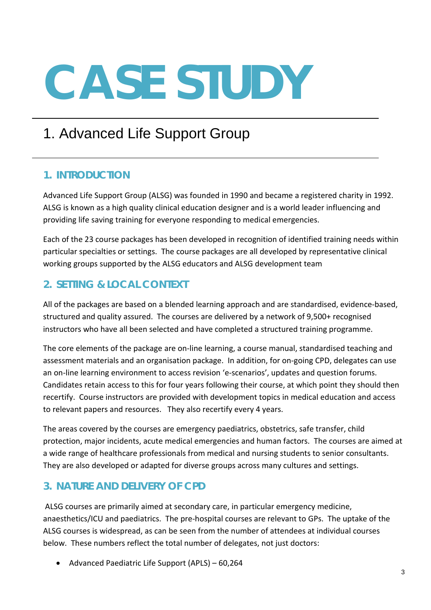# 1. Advanced Life Support Group

## **1. INTRODUCTION**

Advanced Life Support Group (ALSG) was founded in 1990 and became a registered charity in 1992. ALSG is known as a high quality clinical education designer and is a world leader influencing and providing life saving training for everyone responding to medical emergencies.

Each of the 23 course packages has been developed in recognition of identified training needs within particular specialties or settings. The course packages are all developed by representative clinical working groups supported by the ALSG educators and ALSG development team

# **2. SETTING & LOCAL CONTEXT**

All of the packages are based on a blended learning approach and are standardised, evidence-based, structured and quality assured. The courses are delivered by a network of 9,500+ recognised instructors who have all been selected and have completed a structured training programme.

The core elements of the package are on-line learning, a course manual, standardised teaching and assessment materials and an organisation package. In addition, for on-going CPD, delegates can use an on-line learning environment to access revision 'e-scenarios', updates and question forums. Candidates retain access to this for four years following their course, at which point they should then recertify. Course instructors are provided with development topics in medical education and access to relevant papers and resources. They also recertify every 4 years.

The areas covered by the courses are emergency paediatrics, obstetrics, safe transfer, child protection, major incidents, acute medical emergencies and human factors. The courses are aimed at a wide range of healthcare professionals from medical and nursing students to senior consultants. They are also developed or adapted for diverse groups across many cultures and settings.

# **3. NATURE AND DELIVERY OF CPD**

ALSG courses are primarily aimed at secondary care, in particular emergency medicine, anaesthetics/ICU and paediatrics. The pre-hospital courses are relevant to GPs. The uptake of the ALSG courses is widespread, as can be seen from the number of attendees at individual courses below. These numbers reflect the total number of delegates, not just doctors:

• Advanced Paediatric Life Support (APLS) – 60,264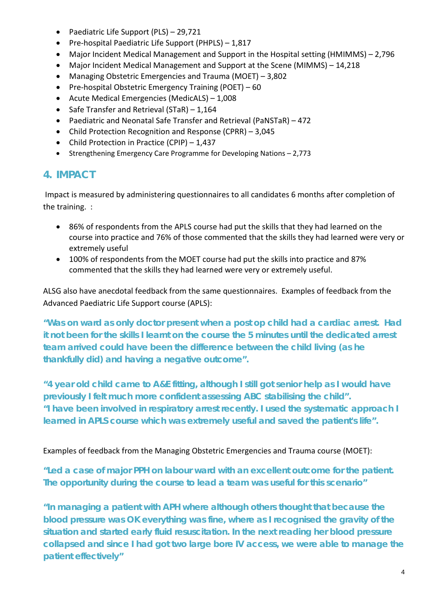- Paediatric Life Support (PLS) 29,721
- Pre-hospital Paediatric Life Support (PHPLS) 1,817
- Major Incident Medical Management and Support in the Hospital setting (HMIMMS) 2,796
- Major Incident Medical Management and Support at the Scene (MIMMS) 14,218
- Managing Obstetric Emergencies and Trauma (MOET) 3,802
- Pre-hospital Obstetric Emergency Training (POET) 60
- Acute Medical Emergencies (MedicALS) 1,008
- Safe Transfer and Retrieval (STaR) 1,164
- Paediatric and Neonatal Safe Transfer and Retrieval (PaNSTaR) 472
- Child Protection Recognition and Response (CPRR) 3,045
- Child Protection in Practice (CPIP) 1,437
- Strengthening Emergency Care Programme for Developing Nations 2,773

## **4. IMPACT**

Impact is measured by administering questionnaires to all candidates 6 months after completion of the training. :

- 86% of respondents from the APLS course had put the skills that they had learned on the course into practice and 76% of those commented that the skills they had learned were very or extremely useful
- 100% of respondents from the MOET course had put the skills into practice and 87% commented that the skills they had learned were very or extremely useful.

ALSG also have anecdotal feedback from the same questionnaires. Examples of feedback from the Advanced Paediatric Life Support course (APLS):

*"Was on ward as only doctor present when a post op child had a cardiac arrest. Had it not been for the skills I learnt on the course the 5 minutes until the dedicated arrest team arrived could have been the difference between the child living (as he thankfully did) and having a negative outcome".*

*"4 year old child came to A&E fitting, although I still got senior help as I would have previously I felt much more confident assessing ABC stabilising the child". "I have been involved in respiratory arrest recently. I used the systematic approach I learned in APLS course which was extremely useful and saved the patient's life".*

#### Examples of feedback from the Managing Obstetric Emergencies and Trauma course (MOET):

*"Led a case of major PPH on labour ward with an excellent outcome for the patient. The opportunity during the course to lead a team was useful for this scenario"*

*"In managing a patient with APH where although others thought that because the blood pressure was OK everything was fine, where as I recognised the gravity of the situation and started early fluid resuscitation. In the next reading her blood pressure collapsed and since I had got two large bore IV access, we were able to manage the patient effectively"*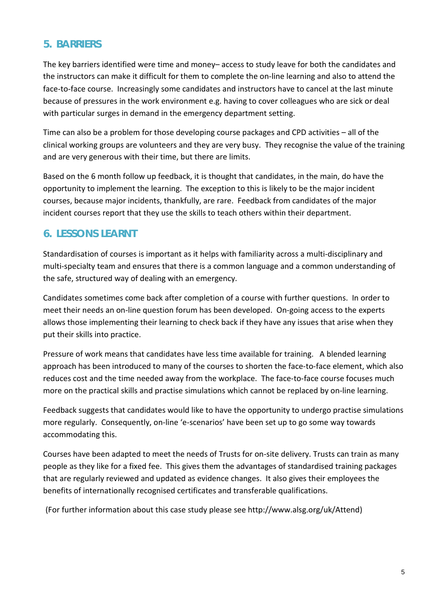#### **5. BARRIERS**

The key barriers identified were time and money– access to study leave for both the candidates and the instructors can make it difficult for them to complete the on-line learning and also to attend the face-to-face course. Increasingly some candidates and instructors have to cancel at the last minute because of pressures in the work environment e.g. having to cover colleagues who are sick or deal with particular surges in demand in the emergency department setting.

Time can also be a problem for those developing course packages and CPD activities – all of the clinical working groups are volunteers and they are very busy. They recognise the value of the training and are very generous with their time, but there are limits.

Based on the 6 month follow up feedback, it is thought that candidates, in the main, do have the opportunity to implement the learning. The exception to this is likely to be the major incident courses, because major incidents, thankfully, are rare. Feedback from candidates of the major incident courses report that they use the skills to teach others within their department.

#### **6. LESSONS LEARNT**

Standardisation of courses is important as it helps with familiarity across a multi-disciplinary and multi-specialty team and ensures that there is a common language and a common understanding of the safe, structured way of dealing with an emergency.

Candidates sometimes come back after completion of a course with further questions. In order to meet their needs an on-line question forum has been developed. On-going access to the experts allows those implementing their learning to check back if they have any issues that arise when they put their skills into practice.

Pressure of work means that candidates have less time available for training. A blended learning approach has been introduced to many of the courses to shorten the face-to-face element, which also reduces cost and the time needed away from the workplace. The face-to-face course focuses much more on the practical skills and practise simulations which cannot be replaced by on-line learning.

Feedback suggests that candidates would like to have the opportunity to undergo practise simulations more regularly. Consequently, on-line 'e-scenarios' have been set up to go some way towards accommodating this.

Courses have been adapted to meet the needs of Trusts for on-site delivery. Trusts can train as many people as they like for a fixed fee. This gives them the advantages of standardised training packages that are regularly reviewed and updated as evidence changes. It also gives their employees the benefits of internationally recognised certificates and transferable qualifications.

(For further information about this case study please see http://www.alsg.org/uk/Attend)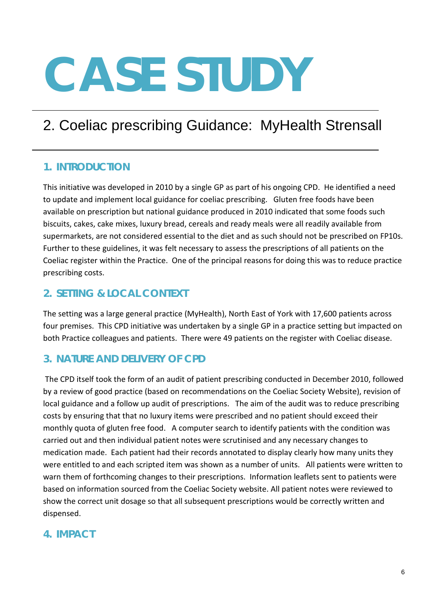# 2. Coeliac prescribing Guidance: MyHealth Strensall

## **1. INTRODUCTION**

This initiative was developed in 2010 by a single GP as part of his ongoing CPD. He identified a need to update and implement local guidance for coeliac prescribing. Gluten free foods have been available on prescription but national guidance produced in 2010 indicated that some foods such biscuits, cakes, cake mixes, luxury bread, cereals and ready meals were all readily available from supermarkets, are not considered essential to the diet and as such should not be prescribed on FP10s. Further to these guidelines, it was felt necessary to assess the prescriptions of all patients on the Coeliac register within the Practice. One of the principal reasons for doing this was to reduce practice prescribing costs.

## **2. SETTING & LOCAL CONTEXT**

The setting was a large general practice (MyHealth), North East of York with 17,600 patients across four premises. This CPD initiative was undertaken by a single GP in a practice setting but impacted on both Practice colleagues and patients. There were 49 patients on the register with Coeliac disease.

# **3. NATURE AND DELIVERY OF CPD**

The CPD itself took the form of an audit of patient prescribing conducted in December 2010, followed by a review of good practice (based on recommendations on the Coeliac Society Website), revision of local guidance and a follow up audit of prescriptions. The aim of the audit was to reduce prescribing costs by ensuring that that no luxury items were prescribed and no patient should exceed their monthly quota of gluten free food. A computer search to identify patients with the condition was carried out and then individual patient notes were scrutinised and any necessary changes to medication made. Each patient had their records annotated to display clearly how many units they were entitled to and each scripted item was shown as a number of units. All patients were written to warn them of forthcoming changes to their prescriptions. Information leaflets sent to patients were based on information sourced from the Coeliac Society website. All patient notes were reviewed to show the correct unit dosage so that all subsequent prescriptions would be correctly written and dispensed.

## **4. IMPACT**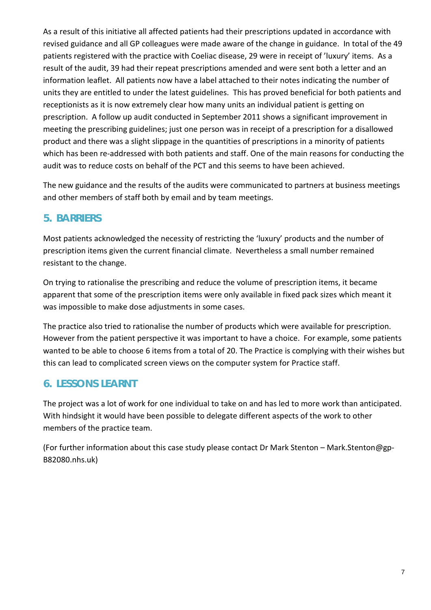As a result of this initiative all affected patients had their prescriptions updated in accordance with revised guidance and all GP colleagues were made aware of the change in guidance. In total of the 49 patients registered with the practice with Coeliac disease, 29 were in receipt of 'luxury' items. As a result of the audit, 39 had their repeat prescriptions amended and were sent both a letter and an information leaflet. All patients now have a label attached to their notes indicating the number of units they are entitled to under the latest guidelines. This has proved beneficial for both patients and receptionists as it is now extremely clear how many units an individual patient is getting on prescription. A follow up audit conducted in September 2011 shows a significant improvement in meeting the prescribing guidelines; just one person was in receipt of a prescription for a disallowed product and there was a slight slippage in the quantities of prescriptions in a minority of patients which has been re-addressed with both patients and staff. One of the main reasons for conducting the audit was to reduce costs on behalf of the PCT and this seems to have been achieved.

The new guidance and the results of the audits were communicated to partners at business meetings and other members of staff both by email and by team meetings.

#### **5. BARRIERS**

Most patients acknowledged the necessity of restricting the 'luxury' products and the number of prescription items given the current financial climate. Nevertheless a small number remained resistant to the change.

On trying to rationalise the prescribing and reduce the volume of prescription items, it became apparent that some of the prescription items were only available in fixed pack sizes which meant it was impossible to make dose adjustments in some cases.

The practice also tried to rationalise the number of products which were available for prescription. However from the patient perspective it was important to have a choice. For example, some patients wanted to be able to choose 6 items from a total of 20. The Practice is complying with their wishes but this can lead to complicated screen views on the computer system for Practice staff.

## **6. LESSONS LEARNT**

The project was a lot of work for one individual to take on and has led to more work than anticipated. With hindsight it would have been possible to delegate different aspects of the work to other members of the practice team.

(For further information about this case study please contact Dr Mark Stenton – Mark.Stenton@gp-B82080.nhs.uk)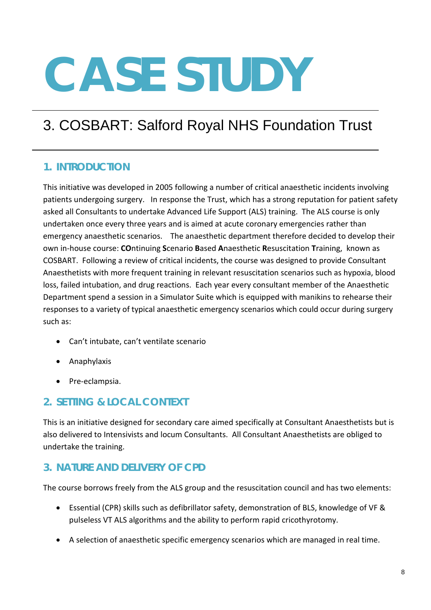# 3. COSBART: Salford Royal NHS Foundation Trust

## **1. INTRODUCTION**

This initiative was developed in 2005 following a number of critical anaesthetic incidents involving patients undergoing surgery. In response the Trust, which has a strong reputation for patient safety asked all Consultants to undertake Advanced Life Support (ALS) training. The ALS course is only undertaken once every three years and is aimed at acute coronary emergencies rather than emergency anaesthetic scenarios. The anaesthetic department therefore decided to develop their own in-house course: **CO**ntinuing **S**cenario **B**ased **A**naesthetic **R**esuscitation **T**raining, known as COSBART. Following a review of critical incidents, the course was designed to provide Consultant Anaesthetists with more frequent training in relevant resuscitation scenarios such as hypoxia, blood loss, failed intubation, and drug reactions. Each year every consultant member of the Anaesthetic Department spend a session in a Simulator Suite which is equipped with manikins to rehearse their responses to a variety of typical anaesthetic emergency scenarios which could occur during surgery such as:

- Can't intubate, can't ventilate scenario
- Anaphylaxis
- Pre-eclampsia.

## **2. SETTING & LOCAL CONTEXT**

This is an initiative designed for secondary care aimed specifically at Consultant Anaesthetists but is also delivered to Intensivists and locum Consultants. All Consultant Anaesthetists are obliged to undertake the training.

## **3. NATURE AND DELIVERY OF CPD**

The course borrows freely from the ALS group and the resuscitation council and has two elements:

- Essential (CPR) skills such as defibrillator safety, demonstration of BLS, knowledge of VF & pulseless VT ALS algorithms and the ability to perform rapid cricothyrotomy.
- A selection of anaesthetic specific emergency scenarios which are managed in real time.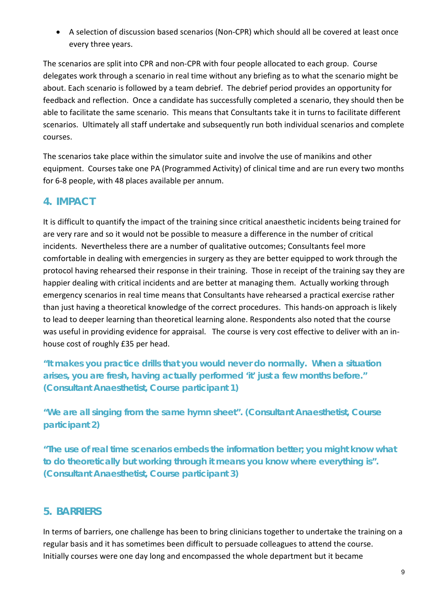• A selection of discussion based scenarios (Non-CPR) which should all be covered at least once every three years.

The scenarios are split into CPR and non-CPR with four people allocated to each group. Course delegates work through a scenario in real time without any briefing as to what the scenario might be about. Each scenario is followed by a team debrief. The debrief period provides an opportunity for feedback and reflection. Once a candidate has successfully completed a scenario, they should then be able to facilitate the same scenario. This means that Consultants take it in turns to facilitate different scenarios. Ultimately all staff undertake and subsequently run both individual scenarios and complete courses.

The scenarios take place within the simulator suite and involve the use of manikins and other equipment. Courses take one PA (Programmed Activity) of clinical time and are run every two months for 6-8 people, with 48 places available per annum.

#### **4. IMPACT**

It is difficult to quantify the impact of the training since critical anaesthetic incidents being trained for are very rare and so it would not be possible to measure a difference in the number of critical incidents. Nevertheless there are a number of qualitative outcomes; Consultants feel more comfortable in dealing with emergencies in surgery as they are better equipped to work through the protocol having rehearsed their response in their training. Those in receipt of the training say they are happier dealing with critical incidents and are better at managing them. Actually working through emergency scenarios in real time means that Consultants have rehearsed a practical exercise rather than just having a theoretical knowledge of the correct procedures. This hands-on approach is likely to lead to deeper learning than theoretical learning alone. Respondents also noted that the course was useful in providing evidence for appraisal. The course is very cost effective to deliver with an inhouse cost of roughly £35 per head.

*"It makes you practice drills that you would never do normally. When a situation arises, you are fresh, having actually performed 'it' just a few months before."*  **(Consultant Anaesthetist, Course participant 1)**

*"We are all singing from the same hymn sheet".* **(Consultant Anaesthetist, Course participant 2)**

*"The use of real time scenarios embeds the information better; you might know what to do theoretically but working through it means you know where everything is".* **(Consultant Anaesthetist, Course participant 3)**

#### **5. BARRIERS**

In terms of barriers, one challenge has been to bring clinicians together to undertake the training on a regular basis and it has sometimes been difficult to persuade colleagues to attend the course. Initially courses were one day long and encompassed the whole department but it became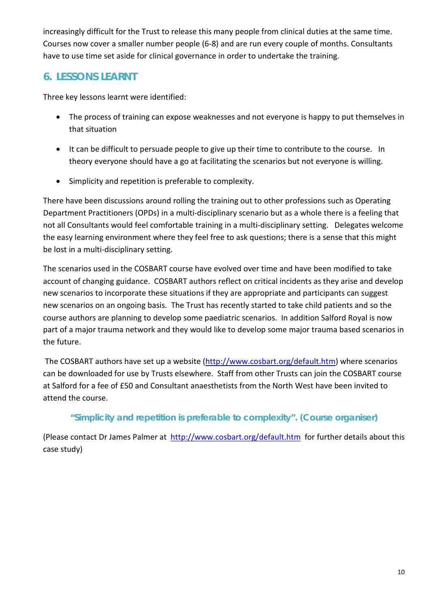increasingly difficult for the Trust to release this many people from clinical duties at the same time. Courses now cover a smaller number people (6-8) and are run every couple of months. Consultants have to use time set aside for clinical governance in order to undertake the training.

## **6. LESSONS LEARNT**

Three key lessons learnt were identified:

- The process of training can expose weaknesses and not everyone is happy to put themselves in that situation
- It can be difficult to persuade people to give up their time to contribute to the course. In theory everyone should have a go at facilitating the scenarios but not everyone is willing.
- Simplicity and repetition is preferable to complexity.

There have been discussions around rolling the training out to other professions such as Operating Department Practitioners (OPDs) in a multi-disciplinary scenario but as a whole there is a feeling that not all Consultants would feel comfortable training in a multi-disciplinary setting. Delegates welcome the easy learning environment where they feel free to ask questions; there is a sense that this might be lost in a multi-disciplinary setting.

The scenarios used in the COSBART course have evolved over time and have been modified to take account of changing guidance. COSBART authors reflect on critical incidents as they arise and develop new scenarios to incorporate these situations if they are appropriate and participants can suggest new scenarios on an ongoing basis. The Trust has recently started to take child patients and so the course authors are planning to develop some paediatric scenarios. In addition Salford Royal is now part of a major trauma network and they would like to develop some major trauma based scenarios in the future.

The COSBART authors have set up a website [\(http://www.cosbart.org/default.htm\)](http://www.cosbart.org/default.htm) where scenarios can be downloaded for use by Trusts elsewhere. Staff from other Trusts can join the COSBART course at Salford for a fee of £50 and Consultant anaesthetists from the North West have been invited to attend the course.

#### *"Simplicity and repetition is preferable to complexity".* **(Course organiser)**

(Please contact Dr James Palmer at <http://www.cosbart.org/default.htm>for further details about this case study)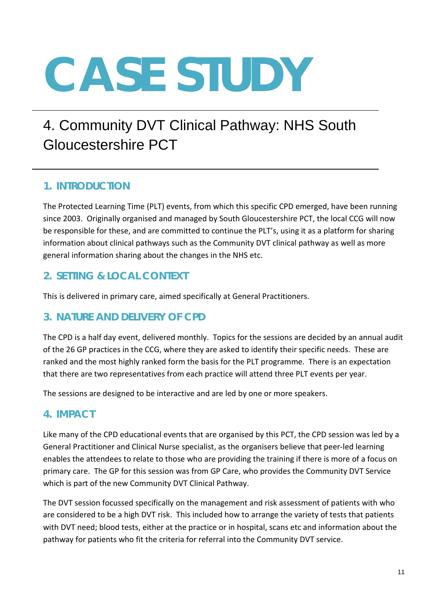# 4. Community DVT Clinical Pathway: NHS South Gloucestershire PCT

## **1. INTRODUCTION**

The Protected Learning Time (PLT) events, from which this specific CPD emerged, have been running since 2003. Originally organised and managed by South Gloucestershire PCT, the local CCG will now be responsible for these, and are committed to continue the PLT's, using it as a platform for sharing information about clinical pathways such as the Community DVT clinical pathway as well as more general information sharing about the changes in the NHS etc.

## **2. SETTING & LOCAL CONTEXT**

This is delivered in primary care, aimed specifically at General Practitioners.

#### **3. NATURE AND DELIVERY OF CPD**

The CPD is a half day event, delivered monthly. Topics for the sessions are decided by an annual audit of the 26 GP practices in the CCG, where they are asked to identify their specific needs. These are ranked and the most highly ranked form the basis for the PLT programme. There is an expectation that there are two representatives from each practice will attend three PLT events per year.

The sessions are designed to be interactive and are led by one or more speakers.

#### **4. IMPACT**

Like many of the CPD educational events that are organised by this PCT, the CPD session was led by a General Practitioner and Clinical Nurse specialist, as the organisers believe that peer-led learning enables the attendees to relate to those who are providing the training if there is more of a focus on primary care. The GP for this session was from GP Care, who provides the Community DVT Service which is part of the new Community DVT Clinical Pathway.

The DVT session focussed specifically on the management and risk assessment of patients with who are considered to be a high DVT risk. This included how to arrange the variety of tests that patients with DVT need; blood tests, either at the practice or in hospital, scans etc and information about the pathway for patients who fit the criteria for referral into the Community DVT service.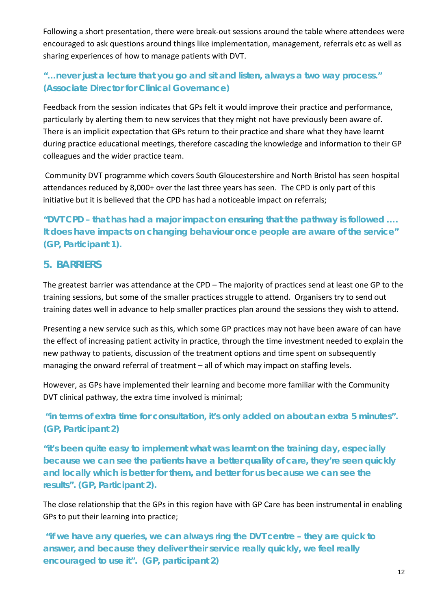Following a short presentation, there were break-out sessions around the table where attendees were encouraged to ask questions around things like implementation, management, referrals etc as well as sharing experiences of how to manage patients with DVT.

#### *"…never just a lecture that you go and sit and listen, always a two way process."*  **(Associate Director for Clinical Governance)**

Feedback from the session indicates that GPs felt it would improve their practice and performance, particularly by alerting them to new services that they might not have previously been aware of. There is an implicit expectation that GPs return to their practice and share what they have learnt during practice educational meetings, therefore cascading the knowledge and information to their GP colleagues and the wider practice team.

Community DVT programme which covers South Gloucestershire and North Bristol has seen hospital attendances reduced by 8,000+ over the last three years has seen. The CPD is only part of this initiative but it is believed that the CPD has had a noticeable impact on referrals;

*"DVT CPD – that has had a major impact on ensuring that the pathway is followed …. It does have impacts on changing behaviour once people are aware of the service"*  **(GP, Participant 1).**

#### **5. BARRIERS**

The greatest barrier was attendance at the CPD – The majority of practices send at least one GP to the training sessions, but some of the smaller practices struggle to attend. Organisers try to send out training dates well in advance to help smaller practices plan around the sessions they wish to attend.

Presenting a new service such as this, which some GP practices may not have been aware of can have the effect of increasing patient activity in practice, through the time investment needed to explain the new pathway to patients, discussion of the treatment options and time spent on subsequently managing the onward referral of treatment – all of which may impact on staffing levels.

However, as GPs have implemented their learning and become more familiar with the Community DVT clinical pathway, the extra time involved is minimal;

*"in terms of extra time for consultation, it's only added on about an extra 5 minutes".* **(GP, Participant 2)**

*"it's been quite easy to implement what was learnt on the training day, especially because we can see the patients have a better quality of care, they're seen quickly and locally which is better for them, and better for us because we can see the results".* **(GP, Participant 2).**

The close relationship that the GPs in this region have with GP Care has been instrumental in enabling GPs to put their learning into practice;

*"if we have any queries, we can always ring the DVT centre – they are quick to answer, and because they deliver their service really quickly, we feel really encouraged to use it". (GP, participant 2)*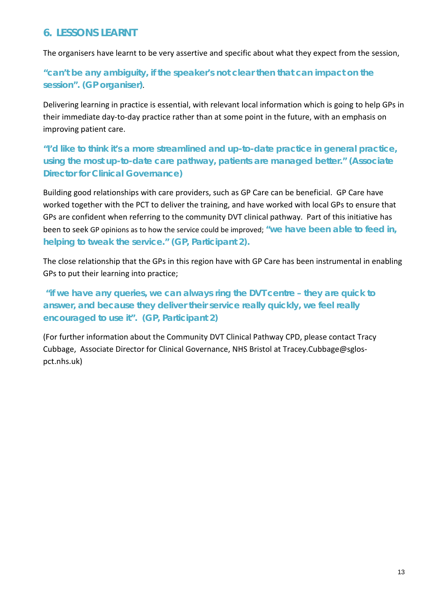#### **6. LESSONS LEARNT**

The organisers have learnt to be very assertive and specific about what they expect from the session,

#### *"can't be any ambiguity, if the speaker's not clear then that can impact on the session". (GP organiser)*.

Delivering learning in practice is essential, with relevant local information which is going to help GPs in their immediate day-to-day practice rather than at some point in the future, with an emphasis on improving patient care.

*"I'd like to think it's a more streamlined and up-to-date practice in general practice, using the most up-to-date care pathway, patients are managed better."* **(Associate Director for Clinical Governance)**

Building good relationships with care providers, such as GP Care can be beneficial. GP Care have worked together with the PCT to deliver the training, and have worked with local GPs to ensure that GPs are confident when referring to the community DVT clinical pathway. Part of this initiative has been to seek GP opinions as to how the service could be improved; *"we have been able to feed in, helping to tweak the service."* **(GP, Participant 2).**

The close relationship that the GPs in this region have with GP Care has been instrumental in enabling GPs to put their learning into practice;

*"if we have any queries, we can always ring the DVT centre – they are quick to answer, and because they deliver their service really quickly, we feel really encouraged to use it".* **(GP, Participant 2)**

(For further information about the Community DVT Clinical Pathway CPD, please contact Tracy Cubbage, Associate Director for Clinical Governance, NHS Bristol at Tracey.Cubbage@sglospct.nhs.uk)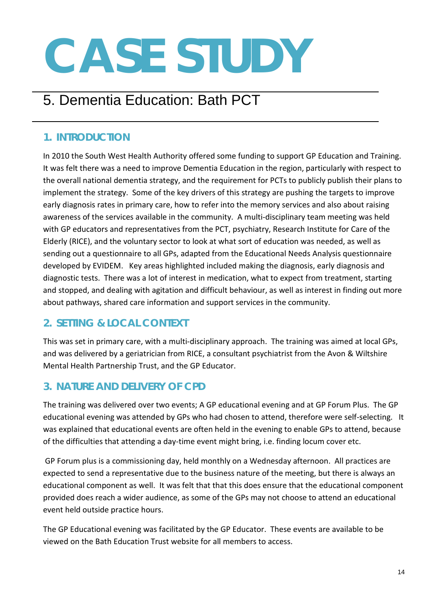# 5. Dementia Education: Bath PCT

## **1. INTRODUCTION**

In 2010 the South West Health Authority offered some funding to support GP Education and Training. It was felt there was a need to improve Dementia Education in the region, particularly with respect to the overall national dementia strategy, and the requirement for PCTs to publicly publish their plans to implement the strategy. Some of the key drivers of this strategy are pushing the targets to improve early diagnosis rates in primary care, how to refer into the memory services and also about raising awareness of the services available in the community. A multi-disciplinary team meeting was held with GP educators and representatives from the PCT, psychiatry, Research Institute for Care of the Elderly (RICE), and the voluntary sector to look at what sort of education was needed, as well as sending out a questionnaire to all GPs, adapted from the Educational Needs Analysis questionnaire developed by EVIDEM. Key areas highlighted included making the diagnosis, early diagnosis and diagnostic tests. There was a lot of interest in medication, what to expect from treatment, starting and stopped, and dealing with agitation and difficult behaviour, as well as interest in finding out more about pathways, shared care information and support services in the community.

# **2. SETTING & LOCAL CONTEXT**

This was set in primary care, with a multi-disciplinary approach. The training was aimed at local GPs, and was delivered by a geriatrician from RICE, a consultant psychiatrist from the Avon & Wiltshire Mental Health Partnership Trust, and the GP Educator.

# **3. NATURE AND DELIVERY OF CPD**

The training was delivered over two events; A GP educational evening and at GP Forum Plus. The GP educational evening was attended by GPs who had chosen to attend, therefore were self-selecting. It was explained that educational events are often held in the evening to enable GPs to attend, because of the difficulties that attending a day-time event might bring, i.e. finding locum cover etc.

GP Forum plus is a commissioning day, held monthly on a Wednesday afternoon. All practices are expected to send a representative due to the business nature of the meeting, but there is always an educational component as well. It was felt that that this does ensure that the educational component provided does reach a wider audience, as some of the GPs may not choose to attend an educational event held outside practice hours.

The GP Educational evening was facilitated by the GP Educator. These events are available to be viewed on the Bath Education Trust website for all members to access.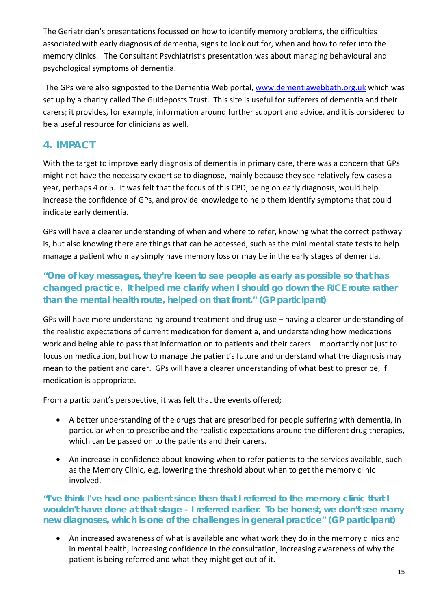The Geriatrician's presentations focussed on how to identify memory problems, the difficulties associated with early diagnosis of dementia, signs to look out for, when and how to refer into the memory clinics. The Consultant Psychiatrist's presentation was about managing behavioural and psychological symptoms of dementia.

The GPs were also signposted to the Dementia Web portal, [www.dementiawebbath.org.uk](http://www.dementiawebbath.org.uk/) which was set up by a charity called The Guideposts Trust. This site is useful for sufferers of dementia and their carers; it provides, for example, information around further support and advice, and it is considered to be a useful resource for clinicians as well.

#### **4. IMPACT**

With the target to improve early diagnosis of dementia in primary care, there was a concern that GPs might not have the necessary expertise to diagnose, mainly because they see relatively few cases a year, perhaps 4 or 5. It was felt that the focus of this CPD, being on early diagnosis, would help increase the confidence of GPs, and provide knowledge to help them identify symptoms that could indicate early dementia.

GPs will have a clearer understanding of when and where to refer, knowing what the correct pathway is, but also knowing there are things that can be accessed, such as the mini mental state tests to help manage a patient who may simply have memory loss or may be in the early stages of dementia.

#### *"One of key messages, they're keen to see people as early as possible so that has changed practice. It helped me clarify when I should go down the RICE route rather than the mental health route, helped on that front." (GP participant)*

GPs will have more understanding around treatment and drug use – having a clearer understanding of the realistic expectations of current medication for dementia, and understanding how medications work and being able to pass that information on to patients and their carers. Importantly not just to focus on medication, but how to manage the patient's future and understand what the diagnosis may mean to the patient and carer. GPs will have a clearer understanding of what best to prescribe, if medication is appropriate.

From a participant's perspective, it was felt that the events offered;

- A better understanding of the drugs that are prescribed for people suffering with dementia, in particular when to prescribe and the realistic expectations around the different drug therapies, which can be passed on to the patients and their carers.
- An increase in confidence about knowing when to refer patients to the services available, such as the Memory Clinic, e.g. lowering the threshold about when to get the memory clinic involved.

#### *"I've think I've had one patient since then that I referred to the memory clinic that I wouldn't have done at that stage – I referred earlier. To be honest, we don't see many new diagnoses, which is one of the challenges in general practice" (GP participant)*

• An increased awareness of what is available and what work they do in the memory clinics and in mental health, increasing confidence in the consultation, increasing awareness of why the patient is being referred and what they might get out of it.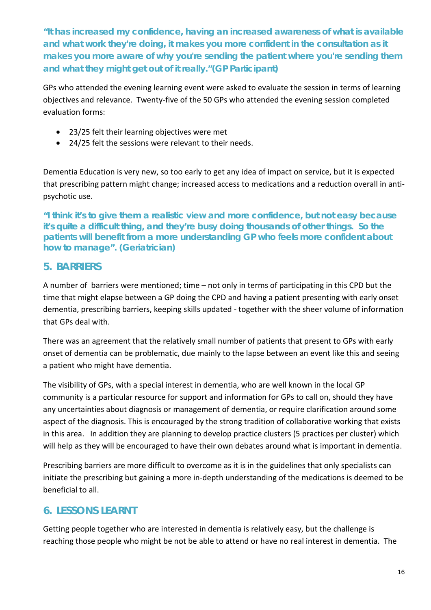*"It has increased my confidence, having an increased awareness of what is available and what work they're doing, it makes you more confident in the consultation as it makes you more aware of why you're sending the patient where you're sending them and what they might get out of it really."(GP Participant)*

GPs who attended the evening learning event were asked to evaluate the session in terms of learning objectives and relevance. Twenty-five of the 50 GPs who attended the evening session completed evaluation forms:

- 23/25 felt their learning objectives were met
- 24/25 felt the sessions were relevant to their needs.

Dementia Education is very new, so too early to get any idea of impact on service, but it is expected that prescribing pattern might change; increased access to medications and a reduction overall in antipsychotic use.

*"I think it's to give them a realistic view and more confidence, but not easy because it's quite a difficult thing, and they're busy doing thousands of other things. So the patients will benefit from a more understanding GP who feels more confident about how to manage". (Geriatrician)*

#### **5. BARRIERS**

A number of barriers were mentioned; time – not only in terms of participating in this CPD but the time that might elapse between a GP doing the CPD and having a patient presenting with early onset dementia, prescribing barriers, keeping skills updated - together with the sheer volume of information that GPs deal with.

There was an agreement that the relatively small number of patients that present to GPs with early onset of dementia can be problematic, due mainly to the lapse between an event like this and seeing a patient who might have dementia.

The visibility of GPs, with a special interest in dementia, who are well known in the local GP community is a particular resource for support and information for GPs to call on, should they have any uncertainties about diagnosis or management of dementia, or require clarification around some aspect of the diagnosis. This is encouraged by the strong tradition of collaborative working that exists in this area. In addition they are planning to develop practice clusters (5 practices per cluster) which will help as they will be encouraged to have their own debates around what is important in dementia.

Prescribing barriers are more difficult to overcome as it is in the guidelines that only specialists can initiate the prescribing but gaining a more in-depth understanding of the medications is deemed to be beneficial to all.

## **6. LESSONS LEARNT**

Getting people together who are interested in dementia is relatively easy, but the challenge is reaching those people who might be not be able to attend or have no real interest in dementia. The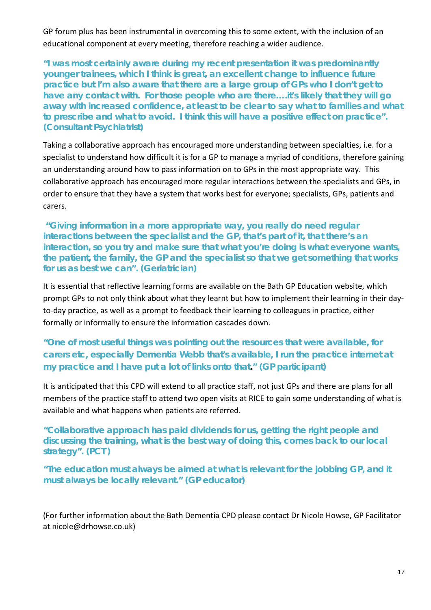GP forum plus has been instrumental in overcoming this to some extent, with the inclusion of an educational component at every meeting, therefore reaching a wider audience.

*"I was most certainly aware during my recent presentation it was predominantly younger trainees, which I think is great, an excellent change to influence future practice but I'm also aware that there are a large group of GPs who I don't get to have any contact with. For those people who are there….it's likely that they will go away with increased confidence, at least to be clear to say what to families and what to prescribe and what to avoid. I think this will have a positive effect on practice". (Consultant Psychiatrist)*

Taking a collaborative approach has encouraged more understanding between specialties, i.e. for a specialist to understand how difficult it is for a GP to manage a myriad of conditions, therefore gaining an understanding around how to pass information on to GPs in the most appropriate way. This collaborative approach has encouraged more regular interactions between the specialists and GPs, in order to ensure that they have a system that works best for everyone; specialists, GPs, patients and carers.

*"Giving information in a more appropriate way, you really do need regular interactions between the specialist and the GP, that's part of it, that there's an interaction, so you try and make sure that what you're doing is what everyone wants, the patient, the family, the GP and the specialist so that we get something that works for us as best we can". (Geriatrician)*

It is essential that reflective learning forms are available on the Bath GP Education website, which prompt GPs to not only think about what they learnt but how to implement their learning in their dayto-day practice, as well as a prompt to feedback their learning to colleagues in practice, either formally or informally to ensure the information cascades down.

#### *"One of most useful things was pointing out the resources that were available, for carers etc, especially Dementia Webb that's available, I run the practice internet at my practice and I have put a lot of links onto that." (GP participant)*

It is anticipated that this CPD will extend to all practice staff, not just GPs and there are plans for all members of the practice staff to attend two open visits at RICE to gain some understanding of what is available and what happens when patients are referred.

#### *"Collaborative approach has paid dividends for us, getting the right people and discussing the training, what is the best way of doing this, comes back to our local strategy".* **(PCT )**

*"The education must always be aimed at what is relevant for the jobbing GP, and it must always be locally relevant."* **(GP educator)**

(For further information about the Bath Dementia CPD please contact Dr Nicole Howse, GP Facilitator at nicole@drhowse.co.uk)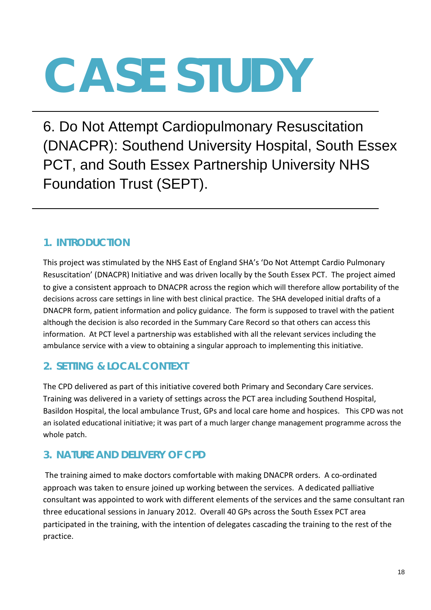6. Do Not Attempt Cardiopulmonary Resuscitation (DNACPR): Southend University Hospital, South Essex PCT, and South Essex Partnership University NHS Foundation Trust (SEPT).

# **1. INTRODUCTION**

This project was stimulated by the NHS East of England SHA's 'Do Not Attempt Cardio Pulmonary Resuscitation' (DNACPR) Initiative and was driven locally by the South Essex PCT. The project aimed to give a consistent approach to DNACPR across the region which will therefore allow portability of the decisions across care settings in line with best clinical practice. The SHA developed initial drafts of a DNACPR form, patient information and policy guidance. The form is supposed to travel with the patient although the decision is also recorded in the Summary Care Record so that others can access this information. At PCT level a partnership was established with all the relevant services including the ambulance service with a view to obtaining a singular approach to implementing this initiative.

# **2. SETTING & LOCAL CONTEXT**

The CPD delivered as part of this initiative covered both Primary and Secondary Care services. Training was delivered in a variety of settings across the PCT area including Southend Hospital, Basildon Hospital, the local ambulance Trust, GPs and local care home and hospices. This CPD was not an isolated educational initiative; it was part of a much larger change management programme across the whole patch.

# **3. NATURE AND DELIVERY OF CPD**

The training aimed to make doctors comfortable with making DNACPR orders. A co-ordinated approach was taken to ensure joined up working between the services. A dedicated palliative consultant was appointed to work with different elements of the services and the same consultant ran three educational sessions in January 2012. Overall 40 GPs across the South Essex PCT area participated in the training, with the intention of delegates cascading the training to the rest of the practice.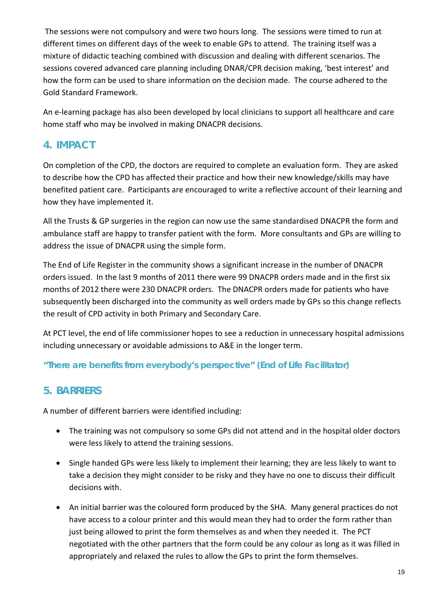The sessions were not compulsory and were two hours long. The sessions were timed to run at different times on different days of the week to enable GPs to attend. The training itself was a mixture of didactic teaching combined with discussion and dealing with different scenarios. The sessions covered advanced care planning including DNAR/CPR decision making, 'best interest' and how the form can be used to share information on the decision made. The course adhered to the Gold Standard Framework.

An e-learning package has also been developed by local clinicians to support all healthcare and care home staff who may be involved in making DNACPR decisions.

#### **4. IMPACT**

On completion of the CPD, the doctors are required to complete an evaluation form. They are asked to describe how the CPD has affected their practice and how their new knowledge/skills may have benefited patient care. Participants are encouraged to write a reflective account of their learning and how they have implemented it.

All the Trusts & GP surgeries in the region can now use the same standardised DNACPR the form and ambulance staff are happy to transfer patient with the form. More consultants and GPs are willing to address the issue of DNACPR using the simple form.

The End of Life Register in the community shows a significant increase in the number of DNACPR orders issued. In the last 9 months of 2011 there were 99 DNACPR orders made and in the first six months of 2012 there were 230 DNACPR orders. The DNACPR orders made for patients who have subsequently been discharged into the community as well orders made by GPs so this change reflects the result of CPD activity in both Primary and Secondary Care.

At PCT level, the end of life commissioner hopes to see a reduction in unnecessary hospital admissions including unnecessary or avoidable admissions to A&E in the longer term.

#### *"There are benefits from everybody's perspective" (End of Life Facilitator)*

## **5. BARRIERS**

A number of different barriers were identified including:

- The training was not compulsory so some GPs did not attend and in the hospital older doctors were less likely to attend the training sessions.
- Single handed GPs were less likely to implement their learning; they are less likely to want to take a decision they might consider to be risky and they have no one to discuss their difficult decisions with.
- An initial barrier was the coloured form produced by the SHA. Many general practices do not have access to a colour printer and this would mean they had to order the form rather than just being allowed to print the form themselves as and when they needed it. The PCT negotiated with the other partners that the form could be any colour as long as it was filled in appropriately and relaxed the rules to allow the GPs to print the form themselves.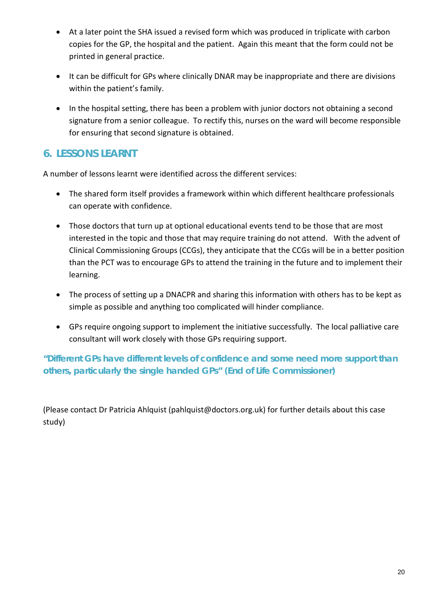- At a later point the SHA issued a revised form which was produced in triplicate with carbon copies for the GP, the hospital and the patient. Again this meant that the form could not be printed in general practice.
- It can be difficult for GPs where clinically DNAR may be inappropriate and there are divisions within the patient's family.
- In the hospital setting, there has been a problem with junior doctors not obtaining a second signature from a senior colleague. To rectify this, nurses on the ward will become responsible for ensuring that second signature is obtained.

## **6. LESSONS LEARNT**

A number of lessons learnt were identified across the different services:

- The shared form itself provides a framework within which different healthcare professionals can operate with confidence.
- Those doctors that turn up at optional educational events tend to be those that are most interested in the topic and those that may require training do not attend. With the advent of Clinical Commissioning Groups (CCGs), they anticipate that the CCGs will be in a better position than the PCT was to encourage GPs to attend the training in the future and to implement their learning.
- The process of setting up a DNACPR and sharing this information with others has to be kept as simple as possible and anything too complicated will hinder compliance.
- GPs require ongoing support to implement the initiative successfully. The local palliative care consultant will work closely with those GPs requiring support.

#### *"Different GPs have different levels of confidence and some need more support than others, particularly the single handed GPs"* **(End of Life Commissioner)**

(Please contact Dr Patricia Ahlquist (pahlquist@doctors.org.uk) for further details about this case study)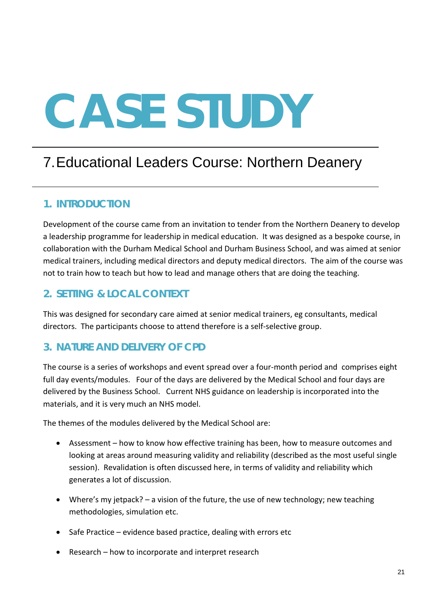# 7.Educational Leaders Course: Northern Deanery

#### **1. INTRODUCTION**

Development of the course came from an invitation to tender from the Northern Deanery to develop a leadership programme for leadership in medical education. It was designed as a bespoke course, in collaboration with the Durham Medical School and Durham Business School, and was aimed at senior medical trainers, including medical directors and deputy medical directors. The aim of the course was not to train how to teach but how to lead and manage others that are doing the teaching.

#### **2. SETTING & LOCAL CONTEXT**

This was designed for secondary care aimed at senior medical trainers, eg consultants, medical directors. The participants choose to attend therefore is a self-selective group.

## **3. NATURE AND DELIVERY OF CPD**

The course is a series of workshops and event spread over a four-month period and comprises eight full day events/modules. Four of the days are delivered by the Medical School and four days are delivered by the Business School. Current NHS guidance on leadership is incorporated into the materials, and it is very much an NHS model.

The themes of the modules delivered by the Medical School are:

- Assessment how to know how effective training has been, how to measure outcomes and looking at areas around measuring validity and reliability (described as the most useful single session). Revalidation is often discussed here, in terms of validity and reliability which generates a lot of discussion.
- Where's my jetpack? a vision of the future, the use of new technology; new teaching methodologies, simulation etc.
- Safe Practice evidence based practice, dealing with errors etc
- Research how to incorporate and interpret research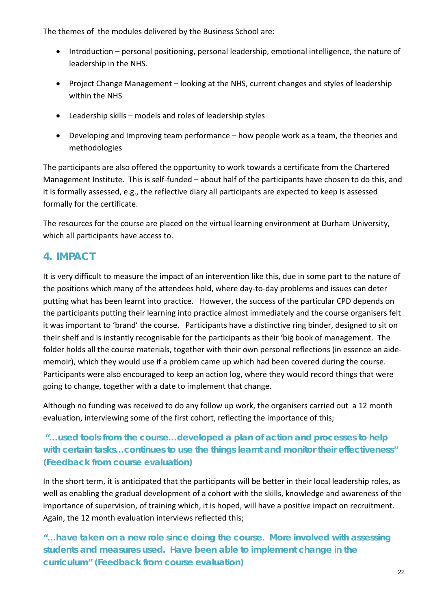The themes of the modules delivered by the Business School are:

- Introduction personal positioning, personal leadership, emotional intelligence, the nature of leadership in the NHS.
- Project Change Management looking at the NHS, current changes and styles of leadership within the NHS
- Leadership skills models and roles of leadership styles
- Developing and Improving team performance how people work as a team, the theories and methodologies

The participants are also offered the opportunity to work towards a certificate from the Chartered Management Institute. This is self-funded – about half of the participants have chosen to do this, and it is formally assessed, e.g., the reflective diary all participants are expected to keep is assessed formally for the certificate.

The resources for the course are placed on the virtual learning environment at Durham University, which all participants have access to.

## **4. IMPACT**

It is very difficult to measure the impact of an intervention like this, due in some part to the nature of the positions which many of the attendees hold, where day-to-day problems and issues can deter putting what has been learnt into practice. However, the success of the particular CPD depends on the participants putting their learning into practice almost immediately and the course organisers felt it was important to 'brand' the course. Participants have a distinctive ring binder, designed to sit on their shelf and is instantly recognisable for the participants as their 'big book of management. The folder holds all the course materials, together with their own personal reflections (in essence an aidememoir), which they would use if a problem came up which had been covered during the course. Participants were also encouraged to keep an action log, where they would record things that were going to change, together with a date to implement that change.

Although no funding was received to do any follow up work, the organisers carried out a 12 month evaluation, interviewing some of the first cohort, reflecting the importance of this;

#### *"…used tools from the course…developed a plan of action and processes to help with certain tasks…continues to use the things learnt and monitor their effectiveness"*  **(Feedback from course evaluation)**

In the short term, it is anticipated that the participants will be better in their local leadership roles, as well as enabling the gradual development of a cohort with the skills, knowledge and awareness of the importance of supervision, of training which, it is hoped, will have a positive impact on recruitment. Again, the 12 month evaluation interviews reflected this;

*"…have taken on a new role since doing the course. More involved with assessing students and measures used. Have been able to implement change in the curriculum"* **(Feedback from course evaluation)**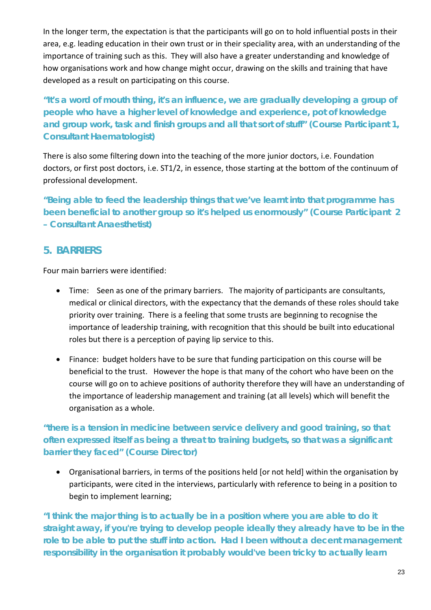In the longer term, the expectation is that the participants will go on to hold influential posts in their area, e.g. leading education in their own trust or in their speciality area, with an understanding of the importance of training such as this. They will also have a greater understanding and knowledge of how organisations work and how change might occur, drawing on the skills and training that have developed as a result on participating on this course.

*"It's a word of mouth thing, it's an influence, we are gradually developing a group of people who have a higher level of knowledge and experience, pot of knowledge and group work, task and finish groups and all that sort of stuff" (Course Participant 1, Consultant Haematologist)*

There is also some filtering down into the teaching of the more junior doctors, i.e. Foundation doctors, or first post doctors, i.e. ST1/2, in essence, those starting at the bottom of the continuum of professional development.

*"Being able to feed the leadership things that we've learnt into that programme has been beneficial to another group so it's helped us enormously" (Course Participant 2 – Consultant Anaesthetist)*

#### **5. BARRIERS**

Four main barriers were identified:

- Time: Seen as one of the primary barriers. The majority of participants are consultants, medical or clinical directors, with the expectancy that the demands of these roles should take priority over training. There is a feeling that some trusts are beginning to recognise the importance of leadership training, with recognition that this should be built into educational roles but there is a perception of paying lip service to this.
- Finance: budget holders have to be sure that funding participation on this course will be beneficial to the trust. However the hope is that many of the cohort who have been on the course will go on to achieve positions of authority therefore they will have an understanding of the importance of leadership management and training (at all levels) which will benefit the organisation as a whole.

#### *"there is a tension in medicine between service delivery and good training, so that often expressed itself as being a threat to training budgets, so that was a significant barrier they faced" (Course Director)*

• Organisational barriers, in terms of the positions held [or not held] within the organisation by participants, were cited in the interviews, particularly with reference to being in a position to begin to implement learning;

*"I think the major thing is to actually be in a position where you are able to do it straight away, if you're trying to develop people ideally they already have to be in the*  role to be able to put the stuff into action. Had I been without a decent management *responsibility in the organisation it probably would've been tricky to actually learn*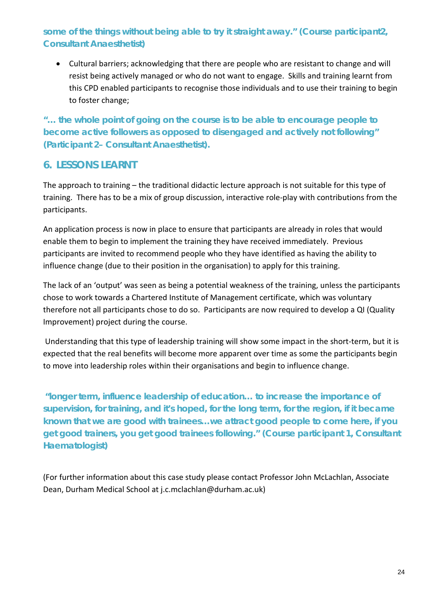#### *some of the things without being able to try it straight away." (Course participant2, Consultant Anaesthetist)*

• Cultural barriers; acknowledging that there are people who are resistant to change and will resist being actively managed or who do not want to engage. Skills and training learnt from this CPD enabled participants to recognise those individuals and to use their training to begin to foster change;

*"… the whole point of going on the course is to be able to encourage people to become active followers as opposed to disengaged and actively not following" (Participant 2– Consultant Anaesthetist).*

#### **6. LESSONS LEARNT**

The approach to training – the traditional didactic lecture approach is not suitable for this type of training. There has to be a mix of group discussion, interactive role-play with contributions from the participants.

An application process is now in place to ensure that participants are already in roles that would enable them to begin to implement the training they have received immediately. Previous participants are invited to recommend people who they have identified as having the ability to influence change (due to their position in the organisation) to apply for this training.

The lack of an 'output' was seen as being a potential weakness of the training, unless the participants chose to work towards a Chartered Institute of Management certificate, which was voluntary therefore not all participants chose to do so. Participants are now required to develop a QI (Quality Improvement) project during the course.

Understanding that this type of leadership training will show some impact in the short-term, but it is expected that the real benefits will become more apparent over time as some the participants begin to move into leadership roles within their organisations and begin to influence change.

*"longer term, influence leadership of education… to increase the importance of supervision, for training, and it's hoped, for the long term, for the region, if it became known that we are good with trainees…we attract good people to come here, if you get good trainers, you get good trainees following." (Course participant 1, Consultant Haematologist)*

(For further information about this case study please contact Professor John McLachlan, Associate Dean, Durham Medical School at [j.c.mclachlan@durham.ac.uk\)](mailto:j.c.mclachlan@durham.ac.uk)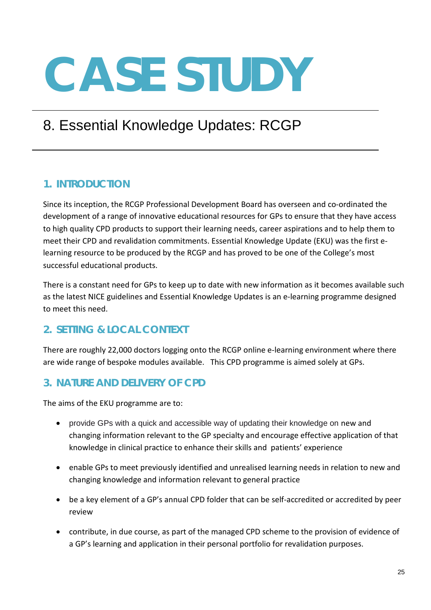# 8. Essential Knowledge Updates: RCGP

# **1. INTRODUCTION**

Since its inception, the RCGP Professional Development Board has overseen and co-ordinated the development of a range of innovative educational resources for GPs to ensure that they have access to high quality CPD products to support their learning needs, career aspirations and to help them to meet their CPD and revalidation commitments. Essential Knowledge Update (EKU) was the first elearning resource to be produced by the RCGP and has proved to be one of the College's most successful educational products.

There is a constant need for GPs to keep up to date with new information as it becomes available such as the latest NICE guidelines and Essential Knowledge Updates is an e-learning programme designed to meet this need.

# **2. SETTING & LOCAL CONTEXT**

There are roughly 22,000 doctors logging onto the RCGP online e-learning environment where there are wide range of bespoke modules available. This CPD programme is aimed solely at GPs.

## **3. NATURE AND DELIVERY OF CPD**

The aims of the EKU programme are to:

- provide GPs with a quick and accessible way of updating their knowledge on new and changing information relevant to the GP specialty and encourage effective application of that knowledge in clinical practice to enhance their skills and patients' experience
- enable GPs to meet previously identified and unrealised learning needs in relation to new and changing knowledge and information relevant to general practice
- be a key element of a GP's annual CPD folder that can be self-accredited or accredited by peer review
- contribute, in due course, as part of the managed CPD scheme to the provision of evidence of a GP's learning and application in their personal portfolio for revalidation purposes.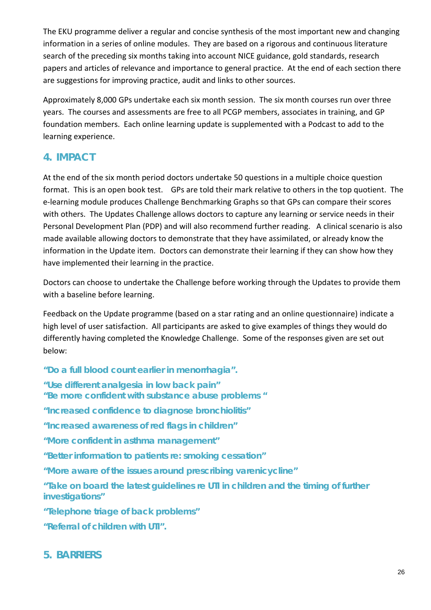The EKU programme deliver a regular and concise synthesis of the most important new and changing information in a series of online modules. They are based on a rigorous and continuous literature search of the preceding six months taking into account NICE guidance, gold standards, research papers and articles of relevance and importance to general practice. At the end of each section there are suggestions for improving practice, audit and links to other sources.

Approximately 8,000 GPs undertake each six month session. The six month courses run over three years. The courses and assessments are free to all PCGP members, associates in training, and GP foundation members. Each online learning update is supplemented with a Podcast to add to the learning experience.

## **4. IMPACT**

At the end of the six month period doctors undertake 50 questions in a multiple choice question format. This is an open book test. GPs are told their mark relative to others in the top quotient. The e-learning module produces Challenge Benchmarking Graphs so that GPs can compare their scores with others. The Updates Challenge allows doctors to capture any learning or service needs in their Personal Development Plan (PDP) and will also recommend further reading. A clinical scenario is also made available allowing doctors to demonstrate that they have assimilated, or already know the information in the Update item. Doctors can demonstrate their learning if they can show how they have implemented their learning in the practice.

Doctors can choose to undertake the Challenge before working through the Updates to provide them with a baseline before learning.

Feedback on the Update programme (based on a star rating and an online questionnaire) indicate a high level of user satisfaction. All participants are asked to give examples of things they would do differently having completed the Knowledge Challenge. Some of the responses given are set out below:

*"Do a full blood count earlier in menorrhagia". "Use different analgesia in low back pain" "Be more confident with substance abuse problems " "Increased confidence to diagnose bronchiolitis" "Increased awareness of red flags in children" "More confident in asthma management" "Better information to patients re: smoking cessation" "More aware of the issues around prescribing varenicycline" "Take on board the latest guidelines re UTI in children and the timing of further investigations" "Telephone triage of back problems" "Referral of children with UTI".*

#### **5. BARRIERS**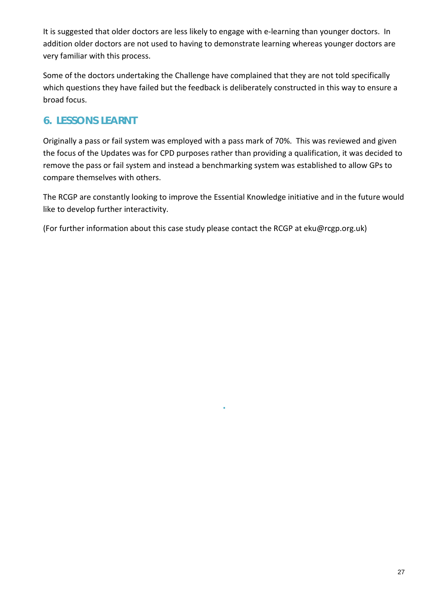It is suggested that older doctors are less likely to engage with e-learning than younger doctors. In addition older doctors are not used to having to demonstrate learning whereas younger doctors are very familiar with this process.

Some of the doctors undertaking the Challenge have complained that they are not told specifically which questions they have failed but the feedback is deliberately constructed in this way to ensure a broad focus.

## **6. LESSONS LEARNT**

Originally a pass or fail system was employed with a pass mark of 70%. This was reviewed and given the focus of the Updates was for CPD purposes rather than providing a qualification, it was decided to remove the pass or fail system and instead a benchmarking system was established to allow GPs to compare themselves with others.

The RCGP are constantly looking to improve the Essential Knowledge initiative and in the future would like to develop further interactivity.

*.*

(For further information about this case study please contact the RCGP at [eku@rcgp.org.uk\)](mailto:eku@rcgp.org.uk)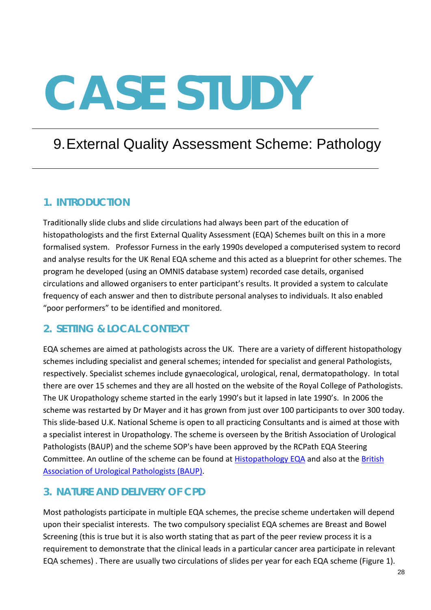# 9.External Quality Assessment Scheme: Pathology

#### **1. INTRODUCTION**

Traditionally slide clubs and slide circulations had always been part of the education of histopathologists and the first External Quality Assessment (EQA) Schemes built on this in a more formalised system. Professor Furness in the early 1990s developed a computerised system to record and analyse results for the UK Renal EQA scheme and this acted as a blueprint for other schemes. The program he developed (using an OMNIS database system) recorded case details, organised circulations and allowed organisers to enter participant's results. It provided a system to calculate frequency of each answer and then to distribute personal analyses to individuals. It also enabled "poor performers" to be identified and monitored.

## **2. SETTING & LOCAL CONTEXT**

EQA schemes are aimed at pathologists across the UK. There are a variety of different histopathology schemes including specialist and general schemes; intended for specialist and general Pathologists, respectively. Specialist schemes include gynaecological, urological, renal, dermatopathology. In total there are over 15 schemes and they are all hosted on the website of the Royal College of Pathologists. The UK Uropathology scheme started in the early 1990's but it lapsed in late 1990's. In 2006 the scheme was restarted by Dr Mayer and it has grown from just over 100 participants to over 300 today. This slide-based U.K. National Scheme is open to all practicing Consultants and is aimed at those with a specialist interest in Uropathology. The scheme is overseen by the British Association of Urological Pathologists (BAUP) and the scheme SOP's have been approved by the RCPath EQA Steering Committee. An outline of the scheme can be found at [Histopathology EQA](http://www.histopathologyeqa.org/) and also at the [British](http://www.baup.org.uk/)  [Association of Urological Pathologists \(BAUP\).](http://www.baup.org.uk/)

#### **3. NATURE AND DELIVERY OF CPD**

Most pathologists participate in multiple EQA schemes, the precise scheme undertaken will depend upon their specialist interests. The two compulsory specialist EQA schemes are Breast and Bowel Screening (this is true but it is also worth stating that as part of the peer review process it is a requirement to demonstrate that the clinical leads in a particular cancer area participate in relevant EQA schemes) . There are usually two circulations of slides per year for each EQA scheme (Figure 1).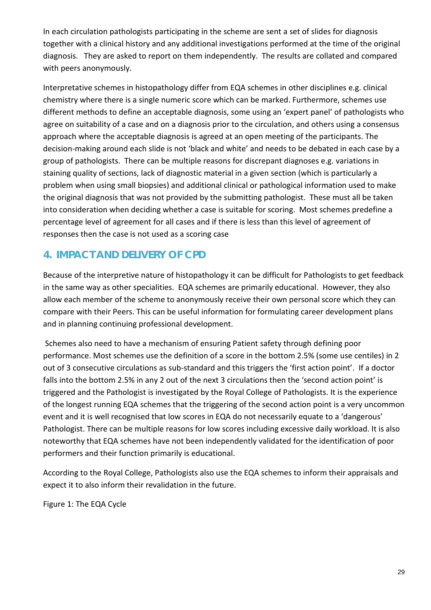In each circulation pathologists participating in the scheme are sent a set of slides for diagnosis together with a clinical history and any additional investigations performed at the time of the original diagnosis. They are asked to report on them independently. The results are collated and compared with peers anonymously.

Interpretative schemes in histopathology differ from EQA schemes in other disciplines e.g. clinical chemistry where there is a single numeric score which can be marked. Furthermore, schemes use different methods to define an acceptable diagnosis, some using an 'expert panel' of pathologists who agree on suitability of a case and on a diagnosis prior to the circulation, and others using a consensus approach where the acceptable diagnosis is agreed at an open meeting of the participants. The decision-making around each slide is not 'black and white' and needs to be debated in each case by a group of pathologists. There can be multiple reasons for discrepant diagnoses e.g. variations in staining quality of sections, lack of diagnostic material in a given section (which is particularly a problem when using small biopsies) and additional clinical or pathological information used to make the original diagnosis that was not provided by the submitting pathologist. These must all be taken into consideration when deciding whether a case is suitable for scoring. Most schemes predefine a percentage level of agreement for all cases and if there is less than this level of agreement of responses then the case is not used as a scoring case

## **4. IMPACT AND DELIVERY OF CPD**

Because of the interpretive nature of histopathology it can be difficult for Pathologists to get feedback in the same way as other specialities. EQA schemes are primarily educational. However, they also allow each member of the scheme to anonymously receive their own personal score which they can compare with their Peers. This can be useful information for formulating career development plans and in planning continuing professional development.

Schemes also need to have a mechanism of ensuring Patient safety through defining poor performance. Most schemes use the definition of a score in the bottom 2.5% (some use centiles) in 2 out of 3 consecutive circulations as sub-standard and this triggers the 'first action point'. If a doctor falls into the bottom 2.5% in any 2 out of the next 3 circulations then the 'second action point' is triggered and the Pathologist is investigated by the Royal College of Pathologists. It is the experience of the longest running EQA schemes that the triggering of the second action point is a very uncommon event and it is well recognised that low scores in EQA do not necessarily equate to a 'dangerous' Pathologist. There can be multiple reasons for low scores including excessive daily workload. It is also noteworthy that EQA schemes have not been independently validated for the identification of poor performers and their function primarily is educational.

According to the Royal College, Pathologists also use the EQA schemes to inform their appraisals and expect it to also inform their revalidation in the future.

Figure 1: The EQA Cycle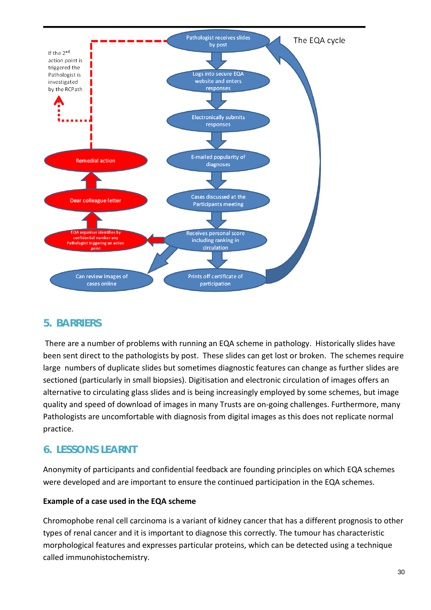

#### **5. BARRIERS**

There are a number of problems with running an EQA scheme in pathology. Historically slides have been sent direct to the pathologists by post. These slides can get lost or broken. The schemes require large numbers of duplicate slides but sometimes diagnostic features can change as further slides are sectioned (particularly in small biopsies). Digitisation and electronic circulation of images offers an alternative to circulating glass slides and is being increasingly employed by some schemes, but image quality and speed of download of images in many Trusts are on-going challenges. Furthermore, many Pathologists are uncomfortable with diagnosis from digital images as this does not replicate normal practice.

## **6. LESSONS LEARNT**

Anonymity of participants and confidential feedback are founding principles on which EQA schemes were developed and are important to ensure the continued participation in the EQA schemes.

#### **Example of a case used in the EQA scheme**

Chromophobe renal cell carcinoma is a variant of kidney cancer that has a different prognosis to other types of renal cancer and it is important to diagnose this correctly. The tumour has characteristic morphological features and expresses particular proteins, which can be detected using a technique called immunohistochemistry.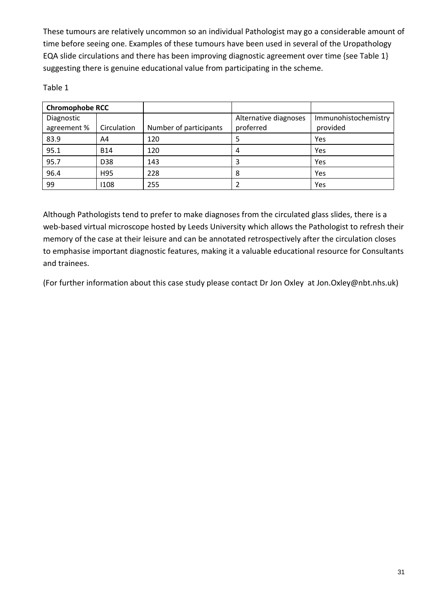These tumours are relatively uncommon so an individual Pathologist may go a considerable amount of time before seeing one. Examples of these tumours have been used in several of the Uropathology EQA slide circulations and there has been improving diagnostic agreement over time {see Table 1} suggesting there is genuine educational value from participating in the scheme.

Table 1

| <b>Chromophobe RCC</b> |             |                        |                       |                      |
|------------------------|-------------|------------------------|-----------------------|----------------------|
| Diagnostic             |             |                        | Alternative diagnoses | Immunohistochemistry |
| agreement %            | Circulation | Number of participants | proferred             | provided             |
| 83.9                   | A4          | 120                    | 5                     | Yes                  |
| 95.1                   | <b>B14</b>  | 120                    | 4                     | Yes                  |
| 95.7                   | D38         | 143                    | 3                     | Yes                  |
| 96.4                   | H95         | 228                    | 8                     | Yes                  |
| 99                     | 1108        | 255                    |                       | Yes                  |

Although Pathologists tend to prefer to make diagnoses from the circulated glass slides, there is a web-based virtual microscope hosted by Leeds University which allows the Pathologist to refresh their memory of the case at their leisure and can be annotated retrospectively after the circulation closes to emphasise important diagnostic features, making it a valuable educational resource for Consultants and trainees.

(For further information about this case study please contact Dr Jon Oxley at Jon.Oxley@nbt.nhs.uk)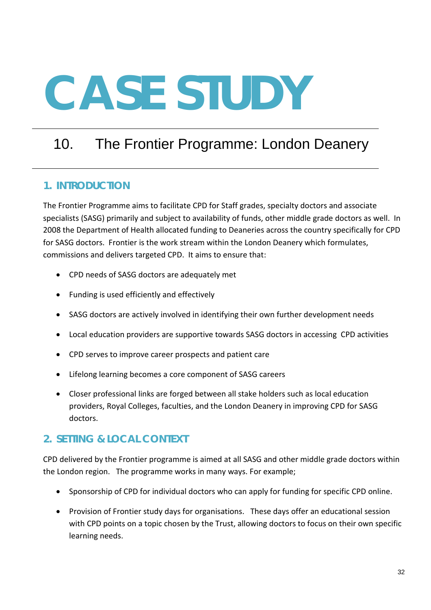# 10. The Frontier Programme: London Deanery

#### **1. INTRODUCTION**

The Frontier Programme aims to facilitate CPD for Staff grades, specialty doctors and associate specialists (SASG) primarily and subject to availability of funds, other middle grade doctors as well. In 2008 the Department of Health allocated funding to Deaneries across the country specifically for CPD for SASG doctors. Frontier is the work stream within the London Deanery which formulates, commissions and delivers targeted CPD. It aims to ensure that:

- CPD needs of SASG doctors are adequately met
- Funding is used efficiently and effectively
- SASG doctors are actively involved in identifying their own further development needs
- Local education providers are supportive towards SASG doctors in accessing CPD activities
- CPD serves to improve career prospects and patient care
- Lifelong learning becomes a core component of SASG careers
- Closer professional links are forged between all stake holders such as local education providers, Royal Colleges, faculties, and the London Deanery in improving CPD for SASG doctors.

## **2. SETTING & LOCAL CONTEXT**

CPD delivered by the Frontier programme is aimed at all SASG and other middle grade doctors within the London region. The programme works in many ways. For example;

- Sponsorship of CPD for individual doctors who can apply for funding for specific CPD online.
- Provision of Frontier study days for organisations. These days offer an educational session with CPD points on a topic chosen by the Trust, allowing doctors to focus on their own specific learning needs.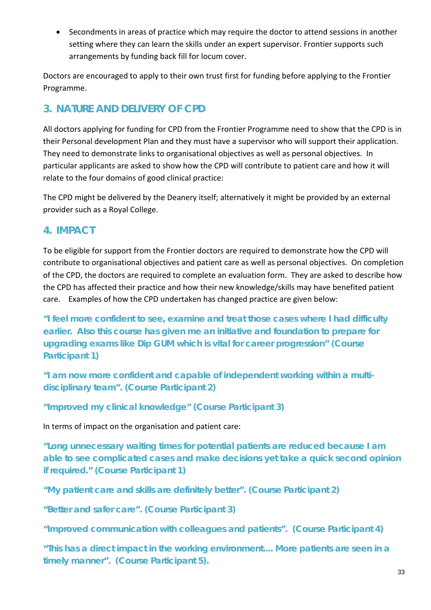• Secondments in areas of practice which may require the doctor to attend sessions in another setting where they can learn the skills under an expert supervisor. Frontier supports such arrangements by funding back fill for locum cover.

Doctors are encouraged to apply to their own trust first for funding before applying to the Frontier Programme.

# **3. NATURE AND DELIVERY OF CPD**

All doctors applying for funding for CPD from the Frontier Programme need to show that the CPD is in their Personal development Plan and they must have a supervisor who will support their application. They need to demonstrate links to organisational objectives as well as personal objectives. In particular applicants are asked to show how the CPD will contribute to patient care and how it will relate to the four domains of good clinical practice:

The CPD might be delivered by the Deanery itself; alternatively it might be provided by an external provider such as a Royal College.

#### **4. IMPACT**

To be eligible for support from the Frontier doctors are required to demonstrate how the CPD will contribute to organisational objectives and patient care as well as personal objectives. On completion of the CPD, the doctors are required to complete an evaluation form. They are asked to describe how the CPD has affected their practice and how their new knowledge/skills may have benefited patient care. Examples of how the CPD undertaken has changed practice are given below:

*"I feel more confident to see, examine and treat those cases where I had difficulty earlier. Also this course has given me an initiative and foundation to prepare for upgrading exams like Dip GUM which is vital for career progression"* **(Course Participant 1)**

*"I am now more confident and capable of independent working within a multidisciplinary team".* **(Course Participant 2)**

*"Improved my clinical knowledge"* **(Course Participant 3)**

In terms of impact on the organisation and patient care:

*"Long unnecessary waiting times for potential patients are reduced because I am able to see complicated cases and make decisions yet take a quick second opinion if required."* **(Course Participant 1)**

*"My patient care and skills are definitely better".* **(Course Participant 2)**

*"Better and safer care".* **(Course Participant 3)**

*"Improved communication with colleagues and patients".* **(Course Participant 4)**

*"This has a direct impact in the working environment.... More patients are seen in a timely manner".* **(Course Participant 5).**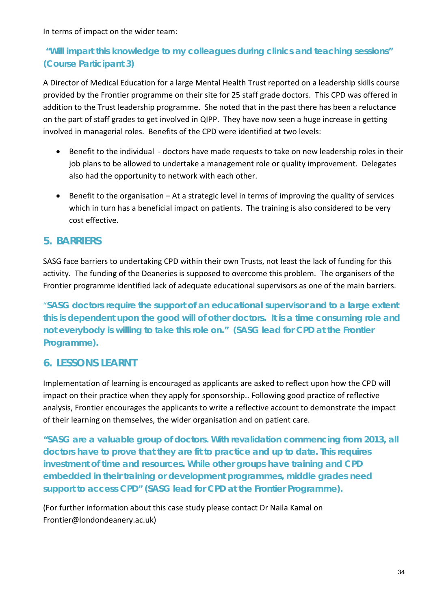In terms of impact on the wider team:

#### *"Will impart this knowledge to my colleagues during clinics and teaching sessions"*  **(Course Participant 3)**

A Director of Medical Education for a large Mental Health Trust reported on a leadership skills course provided by the Frontier programme on their site for 25 staff grade doctors. This CPD was offered in addition to the Trust leadership programme. She noted that in the past there has been a reluctance on the part of staff grades to get involved in QIPP. They have now seen a huge increase in getting involved in managerial roles. Benefits of the CPD were identified at two levels:

- Benefit to the individual doctors have made requests to take on new leadership roles in their job plans to be allowed to undertake a management role or quality improvement. Delegates also had the opportunity to network with each other.
- Benefit to the organisation At a strategic level in terms of improving the quality of services which in turn has a beneficial impact on patients. The training is also considered to be very cost effective.

#### **5. BARRIERS**

SASG face barriers to undertaking CPD within their own Trusts, not least the lack of funding for this activity. The funding of the Deaneries is supposed to overcome this problem. The organisers of the Frontier programme identified lack of adequate educational supervisors as one of the main barriers.

"*SASG doctors require the support of an educational supervisor and to a large extent this is dependent upon the good will of other doctors. It is a time consuming role and not everybody is willing to take this role on."* **(SASG lead for CPD at the Frontier Programme).**

#### **6. LESSONS LEARNT**

Implementation of learning is encouraged as applicants are asked to reflect upon how the CPD will impact on their practice when they apply for sponsorship.. Following good practice of reflective analysis, Frontier encourages the applicants to write a reflective account to demonstrate the impact of their learning on themselves, the wider organisation and on patient care.

*"SASG are a valuable group of doctors. With revalidation commencing from 2013, all doctors have to prove that they are fit to practice and up to date. This requires investment of time and resources. While other groups have training and CPD embedded in their training or development programmes, middle grades need support to access CPD"* **(SASG lead for CPD at the Frontier Programme).**

(For further information about this case study please contact Dr Naila Kamal on Frontier@londondeanery.ac.uk)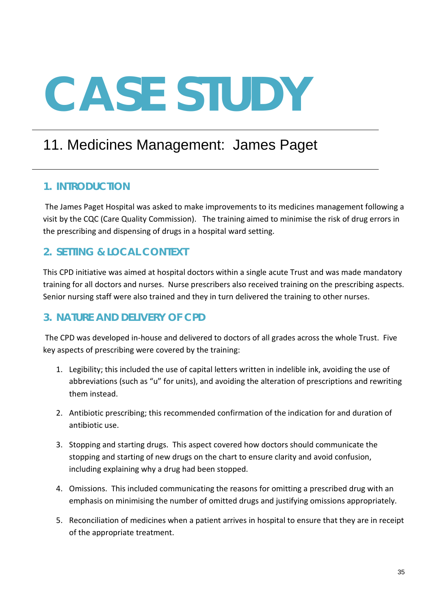# 11. Medicines Management: James Paget

#### **1. INTRODUCTION**

The James Paget Hospital was asked to make improvements to its medicines management following a visit by the CQC (Care Quality Commission). The training aimed to minimise the risk of drug errors in the prescribing and dispensing of drugs in a hospital ward setting.

#### **2. SETTING & LOCAL CONTEXT**

This CPD initiative was aimed at hospital doctors within a single acute Trust and was made mandatory training for all doctors and nurses. Nurse prescribers also received training on the prescribing aspects. Senior nursing staff were also trained and they in turn delivered the training to other nurses.

#### **3. NATURE AND DELIVERY OF CPD**

The CPD was developed in-house and delivered to doctors of all grades across the whole Trust. Five key aspects of prescribing were covered by the training:

- 1. Legibility; this included the use of capital letters written in indelible ink, avoiding the use of abbreviations (such as "u" for units), and avoiding the alteration of prescriptions and rewriting them instead.
- 2. Antibiotic prescribing; this recommended confirmation of the indication for and duration of antibiotic use.
- 3. Stopping and starting drugs. This aspect covered how doctors should communicate the stopping and starting of new drugs on the chart to ensure clarity and avoid confusion, including explaining why a drug had been stopped.
- 4. Omissions. This included communicating the reasons for omitting a prescribed drug with an emphasis on minimising the number of omitted drugs and justifying omissions appropriately.
- 5. Reconciliation of medicines when a patient arrives in hospital to ensure that they are in receipt of the appropriate treatment.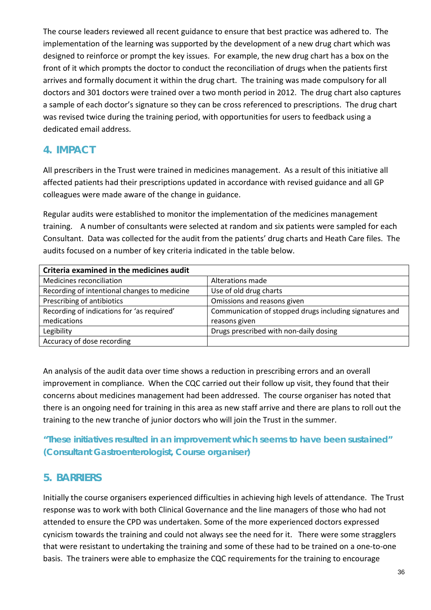The course leaders reviewed all recent guidance to ensure that best practice was adhered to. The implementation of the learning was supported by the development of a new drug chart which was designed to reinforce or prompt the key issues. For example, the new drug chart has a box on the front of it which prompts the doctor to conduct the reconciliation of drugs when the patients first arrives and formally document it within the drug chart. The training was made compulsory for all doctors and 301 doctors were trained over a two month period in 2012. The drug chart also captures a sample of each doctor's signature so they can be cross referenced to prescriptions. The drug chart was revised twice during the training period, with opportunities for users to feedback using a dedicated email address.

#### **4. IMPACT**

All prescribers in the Trust were trained in medicines management. As a result of this initiative all affected patients had their prescriptions updated in accordance with revised guidance and all GP colleagues were made aware of the change in guidance.

Regular audits were established to monitor the implementation of the medicines management training. A number of consultants were selected at random and six patients were sampled for each Consultant. Data was collected for the audit from the patients' drug charts and Heath Care files. The audits focused on a number of key criteria indicated in the table below.

| Criteria examined in the medicines audit     |                                                         |  |  |  |
|----------------------------------------------|---------------------------------------------------------|--|--|--|
| Medicines reconciliation                     | Alterations made                                        |  |  |  |
| Recording of intentional changes to medicine | Use of old drug charts                                  |  |  |  |
| Prescribing of antibiotics                   | Omissions and reasons given                             |  |  |  |
| Recording of indications for 'as required'   | Communication of stopped drugs including signatures and |  |  |  |
| medications                                  | reasons given                                           |  |  |  |
| Legibility                                   | Drugs prescribed with non-daily dosing                  |  |  |  |
| Accuracy of dose recording                   |                                                         |  |  |  |

An analysis of the audit data over time shows a reduction in prescribing errors and an overall improvement in compliance. When the CQC carried out their follow up visit, they found that their concerns about medicines management had been addressed. The course organiser has noted that there is an ongoing need for training in this area as new staff arrive and there are plans to roll out the training to the new tranche of junior doctors who will join the Trust in the summer.

*"These initiatives resulted in an improvement which seems to have been sustained"* **(Consultant Gastroenterologist, Course organiser)**

## **5. BARRIERS**

Initially the course organisers experienced difficulties in achieving high levels of attendance. The Trust response was to work with both Clinical Governance and the line managers of those who had not attended to ensure the CPD was undertaken. Some of the more experienced doctors expressed cynicism towards the training and could not always see the need for it. There were some stragglers that were resistant to undertaking the training and some of these had to be trained on a one-to-one basis. The trainers were able to emphasize the CQC requirements for the training to encourage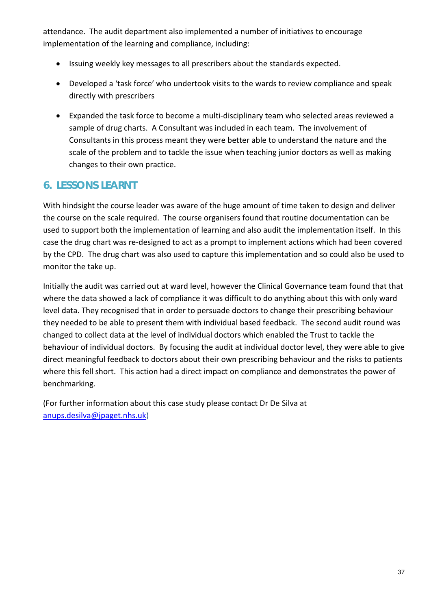attendance. The audit department also implemented a number of initiatives to encourage implementation of the learning and compliance, including:

- Issuing weekly key messages to all prescribers about the standards expected.
- Developed a 'task force' who undertook visits to the wards to review compliance and speak directly with prescribers
- Expanded the task force to become a multi-disciplinary team who selected areas reviewed a sample of drug charts. A Consultant was included in each team. The involvement of Consultants in this process meant they were better able to understand the nature and the scale of the problem and to tackle the issue when teaching junior doctors as well as making changes to their own practice.

#### **6. LESSONS LEARNT**

With hindsight the course leader was aware of the huge amount of time taken to design and deliver the course on the scale required. The course organisers found that routine documentation can be used to support both the implementation of learning and also audit the implementation itself. In this case the drug chart was re-designed to act as a prompt to implement actions which had been covered by the CPD. The drug chart was also used to capture this implementation and so could also be used to monitor the take up.

Initially the audit was carried out at ward level, however the Clinical Governance team found that that where the data showed a lack of compliance it was difficult to do anything about this with only ward level data. They recognised that in order to persuade doctors to change their prescribing behaviour they needed to be able to present them with individual based feedback. The second audit round was changed to collect data at the level of individual doctors which enabled the Trust to tackle the behaviour of individual doctors. By focusing the audit at individual doctor level, they were able to give direct meaningful feedback to doctors about their own prescribing behaviour and the risks to patients where this fell short. This action had a direct impact on compliance and demonstrates the power of benchmarking.

(For further information about this case study please contact Dr De Silva at [anups.desilva@jpaget.nhs.uk\)](mailto:anups.desilva@jpaget.nhs.uk)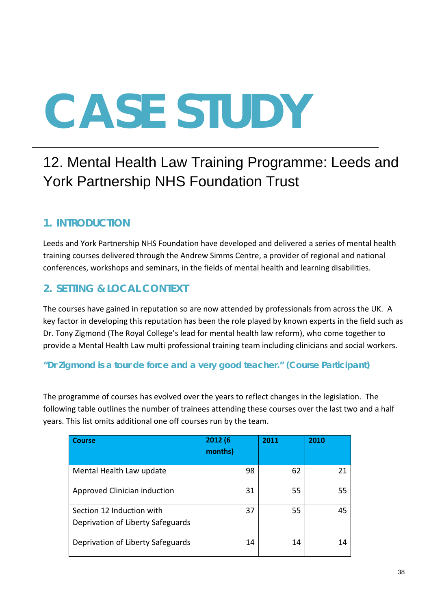# 12. Mental Health Law Training Programme: Leeds and York Partnership NHS Foundation Trust

### **1. INTRODUCTION**

Leeds and York Partnership NHS Foundation have developed and delivered a series of mental health training courses delivered through the Andrew Simms Centre, a provider of regional and national conferences, workshops and seminars, in the fields of mental health and learning disabilities.

### **2. SETTING & LOCAL CONTEXT**

The courses have gained in reputation so are now attended by professionals from across the UK. A key factor in developing this reputation has been the role played by known experts in the field such as Dr. Tony Zigmond (The Royal College's lead for mental health law reform), who come together to provide a Mental Health Law multi professional training team including clinicians and social workers.

#### *"Dr Zigmond is a tour de force and a very good teacher."* **(Course Participant)**

The programme of courses has evolved over the years to reflect changes in the legislation. The following table outlines the number of trainees attending these courses over the last two and a half years. This list omits additional one off courses run by the team.

| <b>Course</b>                                                  | 2012 (6<br>months) | 2011 | 2010 |
|----------------------------------------------------------------|--------------------|------|------|
| Mental Health Law update                                       | 98                 | 62   | 21   |
| Approved Clinician induction                                   | 31                 | 55   | 55   |
| Section 12 Induction with<br>Deprivation of Liberty Safeguards | 37                 | 55   | 45   |
| Deprivation of Liberty Safeguards                              | 14                 | 14   | 14   |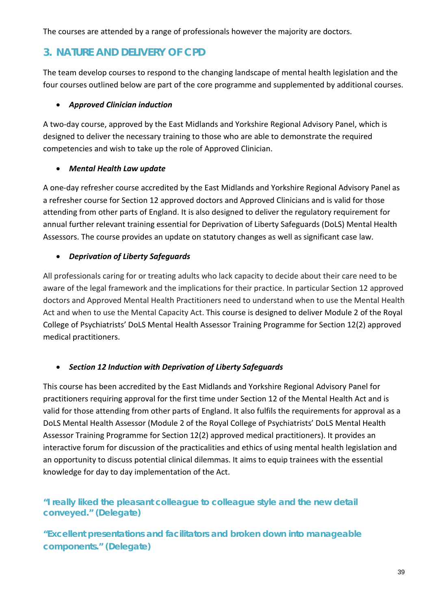The courses are attended by a range of professionals however the majority are doctors.

#### **3. NATURE AND DELIVERY OF CPD**

The team develop courses to respond to the changing landscape of mental health legislation and the four courses outlined below are part of the core programme and supplemented by additional courses.

#### • *Approved Clinician induction*

A two-day course, approved by the East Midlands and Yorkshire Regional Advisory Panel, which is designed to deliver the necessary training to those who are able to demonstrate the required competencies and wish to take up the role of Approved Clinician.

#### • *Mental Health Law update*

A one-day refresher course accredited by the East Midlands and Yorkshire Regional Advisory Panel as a refresher course for Section 12 approved doctors and Approved Clinicians and is valid for those attending from other parts of England. It is also designed to deliver the regulatory requirement for annual further relevant training essential for Deprivation of Liberty Safeguards (DoLS) Mental Health Assessors. The course provides an update on statutory changes as well as significant case law.

#### • *Deprivation of Liberty Safeguards*

All professionals caring for or treating adults who lack capacity to decide about their care need to be aware of the legal framework and the implications for their practice. In particular Section 12 approved doctors and Approved Mental Health Practitioners need to understand when to use the Mental Health Act and when to use the Mental Capacity Act. This course is designed to deliver Module 2 of the Royal College of Psychiatrists' DoLS Mental Health Assessor Training Programme for Section 12(2) approved medical practitioners.

#### • *Section 12 Induction with Deprivation of Liberty Safeguards*

This course has been accredited by the East Midlands and Yorkshire Regional Advisory Panel for practitioners requiring approval for the first time under Section 12 of the Mental Health Act and is valid for those attending from other parts of England. It also fulfils the requirements for approval as a DoLS Mental Health Assessor (Module 2 of the Royal College of Psychiatrists' DoLS Mental Health Assessor Training Programme for Section 12(2) approved medical practitioners). It provides an interactive forum for discussion of the practicalities and ethics of using mental health legislation and an opportunity to discuss potential clinical dilemmas. It aims to equip trainees with the essential knowledge for day to day implementation of the Act.

#### *"I really liked the pleasant colleague to colleague style and the new detail conveyed."* **(Delegate)**

*"Excellent presentations and facilitators and broken down into manageable components."* **(Delegate)**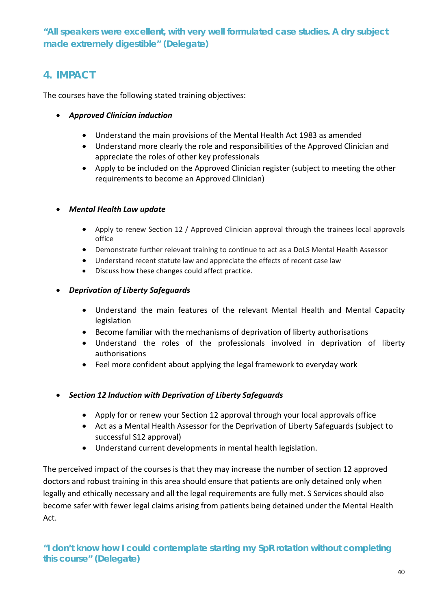*"All speakers were excellent, with very well formulated case studies. A dry subject made extremely digestible"* **(Delegate)**

#### **4. IMPACT**

The courses have the following stated training objectives:

- *Approved Clinician induction*
	- Understand the main provisions of the Mental Health Act 1983 as amended
	- Understand more clearly the role and responsibilities of the Approved Clinician and appreciate the roles of other key professionals
	- Apply to be included on the Approved Clinician register (subject to meeting the other requirements to become an Approved Clinician)

#### • *Mental Health Law update*

- Apply to renew Section 12 / Approved Clinician approval through the trainees local approvals office
- Demonstrate further relevant training to continue to act as a DoLS Mental Health Assessor
- Understand recent statute law and appreciate the effects of recent case law
- Discuss how these changes could affect practice.

#### • *Deprivation of Liberty Safeguards*

- Understand the main features of the relevant Mental Health and Mental Capacity legislation
- Become familiar with the mechanisms of deprivation of liberty authorisations
- Understand the roles of the professionals involved in deprivation of liberty authorisations
- Feel more confident about applying the legal framework to everyday work

#### • *Section 12 Induction with Deprivation of Liberty Safeguards*

- Apply for or renew your Section 12 approval through your local approvals office
- Act as a Mental Health Assessor for the Deprivation of Liberty Safeguards (subject to successful S12 approval)
- Understand current developments in mental health legislation.

The perceived impact of the courses is that they may increase the number of section 12 approved doctors and robust training in this area should ensure that patients are only detained only when legally and ethically necessary and all the legal requirements are fully met. S Services should also become safer with fewer legal claims arising from patients being detained under the Mental Health Act.

*"I don't know how I could contemplate starting my SpR rotation without completing this course"* **(Delegate)**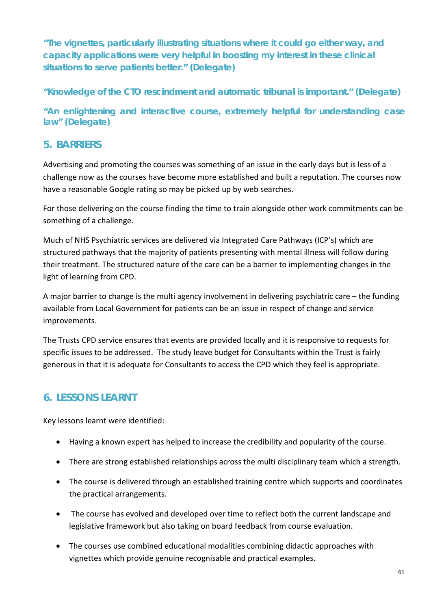*"The vignettes, particularly illustrating situations where it could go either way, and capacity applications were very helpful in boosting my interest in these clinical situations to serve patients better."* **(Delegate)**

*"Knowledge of the CTO rescindment and automatic tribunal is important."* **(Delegate)**

*"An enlightening and interactive course, extremely helpful for understanding case law"* **(Delegate)**

#### **5. BARRIERS**

Advertising and promoting the courses was something of an issue in the early days but is less of a challenge now as the courses have become more established and built a reputation. The courses now have a reasonable Google rating so may be picked up by web searches.

For those delivering on the course finding the time to train alongside other work commitments can be something of a challenge.

Much of NHS Psychiatric services are delivered via Integrated Care Pathways (ICP's) which are structured pathways that the majority of patients presenting with mental illness will follow during their treatment. The structured nature of the care can be a barrier to implementing changes in the light of learning from CPD.

A major barrier to change is the multi agency involvement in delivering psychiatric care – the funding available from Local Government for patients can be an issue in respect of change and service improvements.

The Trusts CPD service ensures that events are provided locally and it is responsive to requests for specific issues to be addressed. The study leave budget for Consultants within the Trust is fairly generous in that it is adequate for Consultants to access the CPD which they feel is appropriate.

### **6. LESSONS LEARNT**

Key lessons learnt were identified:

- Having a known expert has helped to increase the credibility and popularity of the course.
- There are strong established relationships across the multi disciplinary team which a strength.
- The course is delivered through an established training centre which supports and coordinates the practical arrangements.
- The course has evolved and developed over time to reflect both the current landscape and legislative framework but also taking on board feedback from course evaluation.
- The courses use combined educational modalities combining didactic approaches with vignettes which provide genuine recognisable and practical examples.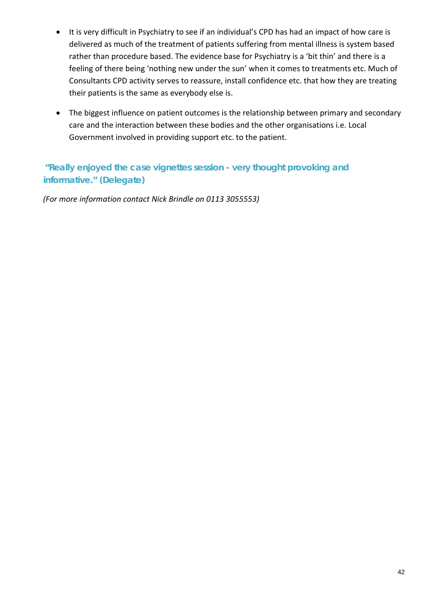- It is very difficult in Psychiatry to see if an individual's CPD has had an impact of how care is delivered as much of the treatment of patients suffering from mental illness is system based rather than procedure based. The evidence base for Psychiatry is a 'bit thin' and there is a feeling of there being 'nothing new under the sun' when it comes to treatments etc. Much of Consultants CPD activity serves to reassure, install confidence etc. that how they are treating their patients is the same as everybody else is.
- The biggest influence on patient outcomes is the relationship between primary and secondary care and the interaction between these bodies and the other organisations i.e. Local Government involved in providing support etc. to the patient.

#### *"Really enjoyed the case vignettes session - very thought provoking and informative."* **(Delegate)**

*(For more information contact Nick Brindle on 0113 3055553)*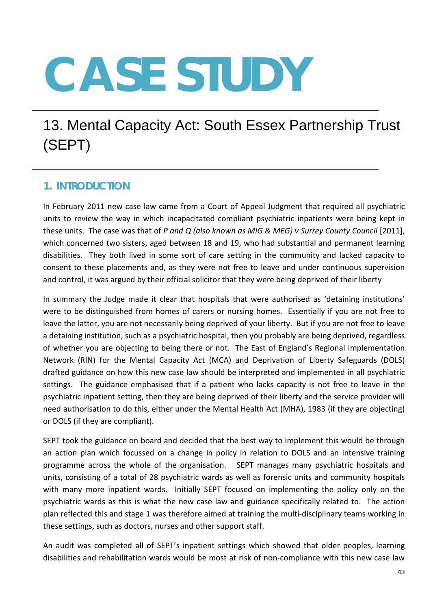# 13. Mental Capacity Act: South Essex Partnership Trust (SEPT)

#### **1. INTRODUCTION**

In February 2011 new case law came from a Court of Appeal Judgment that required all psychiatric units to review the way in which incapacitated compliant psychiatric inpatients were being kept in these units. The case was that of *P and Q (also known as MIG & MEG) v Surrey County Council* [2011], which concerned two sisters, aged between 18 and 19, who had substantial and permanent learning disabilities. They both lived in some sort of care setting in the community and lacked capacity to consent to these placements and, as they were not free to leave and under continuous supervision and control, it was argued by their official solicitor that they were being deprived of their liberty

In summary the Judge made it clear that hospitals that were authorised as 'detaining institutions' were to be distinguished from homes of carers or nursing homes. Essentially if you are not free to leave the latter, you are not necessarily being deprived of your liberty. But if you are not free to leave a detaining institution, such as a psychiatric hospital, then you probably are being deprived, regardless of whether you are objecting to being there or not. The East of England's Regional Implementation Network (RIN) for the Mental Capacity Act (MCA) and Deprivation of Liberty Safeguards (DOLS) drafted guidance on how this new case law should be interpreted and implemented in all psychiatric settings. The guidance emphasised that if a patient who lacks capacity is not free to leave in the psychiatric inpatient setting, then they are being deprived of their liberty and the service provider will need authorisation to do this, either under the Mental Health Act (MHA), 1983 (if they are objecting) or DOLS (if they are compliant).

SEPT took the guidance on board and decided that the best way to implement this would be through an action plan which focussed on a change in policy in relation to DOLS and an intensive training programme across the whole of the organisation. SEPT manages many psychiatric hospitals and units, consisting of a total of 28 psychiatric wards as well as forensic units and community hospitals with many more inpatient wards. Initially SEPT focused on implementing the policy only on the psychiatric wards as this is what the new case law and guidance specifically related to. The action plan reflected this and stage 1 was therefore aimed at training the multi-disciplinary teams working in these settings, such as doctors, nurses and other support staff.

An audit was completed all of SEPT's inpatient settings which showed that older peoples, learning disabilities and rehabilitation wards would be most at risk of non-compliance with this new case law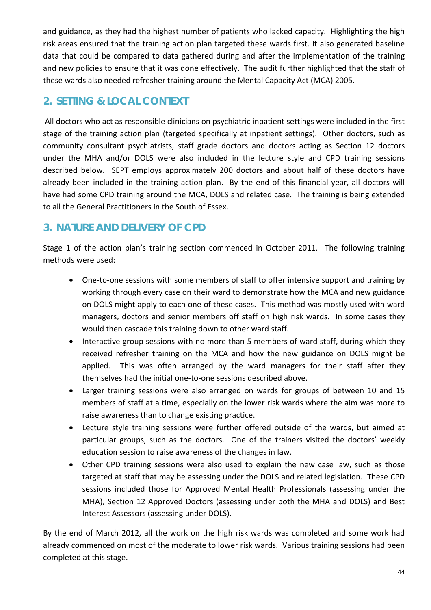and guidance, as they had the highest number of patients who lacked capacity. Highlighting the high risk areas ensured that the training action plan targeted these wards first. It also generated baseline data that could be compared to data gathered during and after the implementation of the training and new policies to ensure that it was done effectively. The audit further highlighted that the staff of these wards also needed refresher training around the Mental Capacity Act (MCA) 2005.

# **2. SETTING & LOCAL CONTEXT**

All doctors who act as responsible clinicians on psychiatric inpatient settings were included in the first stage of the training action plan (targeted specifically at inpatient settings). Other doctors, such as community consultant psychiatrists, staff grade doctors and doctors acting as Section 12 doctors under the MHA and/or DOLS were also included in the lecture style and CPD training sessions described below. SEPT employs approximately 200 doctors and about half of these doctors have already been included in the training action plan. By the end of this financial year, all doctors will have had some CPD training around the MCA, DOLS and related case. The training is being extended to all the General Practitioners in the South of Essex.

# **3. NATURE AND DELIVERY OF CPD**

Stage 1 of the action plan's training section commenced in October 2011. The following training methods were used:

- One-to-one sessions with some members of staff to offer intensive support and training by working through every case on their ward to demonstrate how the MCA and new guidance on DOLS might apply to each one of these cases. This method was mostly used with ward managers, doctors and senior members off staff on high risk wards. In some cases they would then cascade this training down to other ward staff.
- Interactive group sessions with no more than 5 members of ward staff, during which they received refresher training on the MCA and how the new guidance on DOLS might be applied. This was often arranged by the ward managers for their staff after they themselves had the initial one-to-one sessions described above.
- Larger training sessions were also arranged on wards for groups of between 10 and 15 members of staff at a time, especially on the lower risk wards where the aim was more to raise awareness than to change existing practice.
- Lecture style training sessions were further offered outside of the wards, but aimed at particular groups, such as the doctors. One of the trainers visited the doctors' weekly education session to raise awareness of the changes in law.
- Other CPD training sessions were also used to explain the new case law, such as those targeted at staff that may be assessing under the DOLS and related legislation. These CPD sessions included those for Approved Mental Health Professionals (assessing under the MHA), Section 12 Approved Doctors (assessing under both the MHA and DOLS) and Best Interest Assessors (assessing under DOLS).

By the end of March 2012, all the work on the high risk wards was completed and some work had already commenced on most of the moderate to lower risk wards. Various training sessions had been completed at this stage.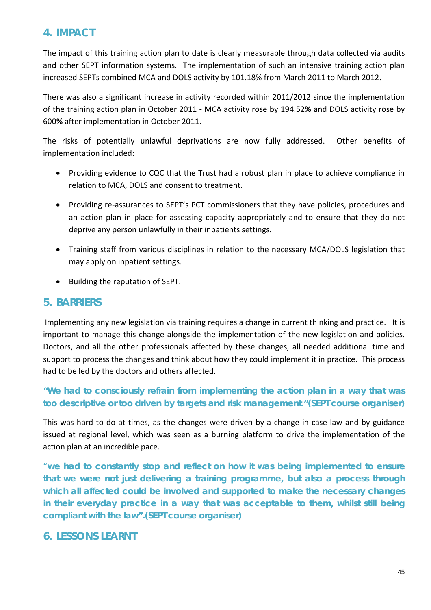#### **4. IMPACT**

The impact of this training action plan to date is clearly measurable through data collected via audits and other SEPT information systems. The implementation of such an intensive training action plan increased SEPTs combined MCA and DOLS activity by 101.18% from March 2011 to March 2012.

There was also a significant increase in activity recorded within 2011/2012 since the implementation of the training action plan in October 2011 - MCA activity rose by 194.52**%** and DOLS activity rose by 600**%** after implementation in October 2011.

The risks of potentially unlawful deprivations are now fully addressed. Other benefits of implementation included:

- Providing evidence to CQC that the Trust had a robust plan in place to achieve compliance in relation to MCA, DOLS and consent to treatment.
- Providing re-assurances to SEPT's PCT commissioners that they have policies, procedures and an action plan in place for assessing capacity appropriately and to ensure that they do not deprive any person unlawfully in their inpatients settings.
- Training staff from various disciplines in relation to the necessary MCA/DOLS legislation that may apply on inpatient settings.
- Building the reputation of SEPT.

#### **5. BARRIERS**

Implementing any new legislation via training requires a change in current thinking and practice. It is important to manage this change alongside the implementation of the new legislation and policies. Doctors, and all the other professionals affected by these changes, all needed additional time and support to process the changes and think about how they could implement it in practice. This process had to be led by the doctors and others affected.

#### *"We had to consciously refrain from implementing the action plan in a way that was too descriptive or too driven by targets and risk management."***(SEPT course organiser)**

This was hard to do at times, as the changes were driven by a change in case law and by guidance issued at regional level, which was seen as a burning platform to drive the implementation of the action plan at an incredible pace.

"*we had to constantly stop and reflect on how it was being implemented to ensure that we were not just delivering a training programme, but also a process through which all affected could be involved and supported to make the necessary changes in their everyday practice in a way that was acceptable to them, whilst still being compliant with the law".***(SEPT course organiser)**

#### **6. LESSONS LEARNT**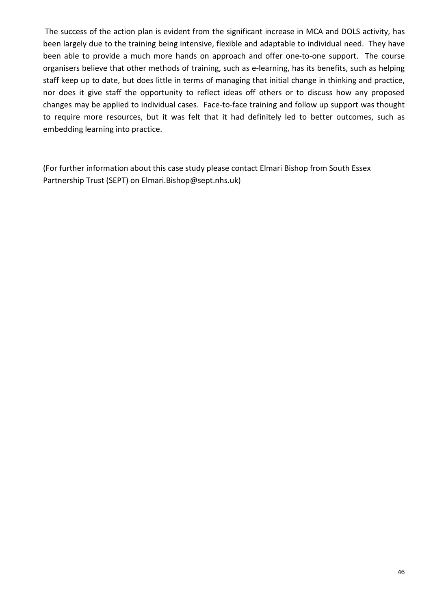The success of the action plan is evident from the significant increase in MCA and DOLS activity, has been largely due to the training being intensive, flexible and adaptable to individual need. They have been able to provide a much more hands on approach and offer one-to-one support. The course organisers believe that other methods of training, such as e-learning, has its benefits, such as helping staff keep up to date, but does little in terms of managing that initial change in thinking and practice, nor does it give staff the opportunity to reflect ideas off others or to discuss how any proposed changes may be applied to individual cases. Face-to-face training and follow up support was thought to require more resources, but it was felt that it had definitely led to better outcomes, such as embedding learning into practice.

(For further information about this case study please contact Elmari Bishop from South Essex Partnership Trust (SEPT) on Elmari.Bishop@sept.nhs.uk)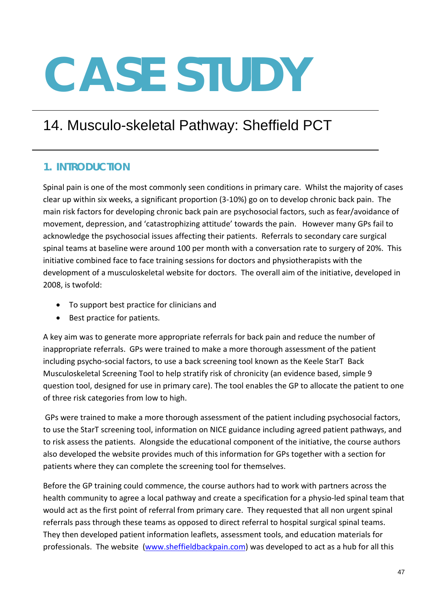# 14. Musculo-skeletal Pathway: Sheffield PCT

#### **1. INTRODUCTION**

Spinal pain is one of the most commonly seen conditions in primary care. Whilst the majority of cases clear up within six weeks, a significant proportion (3-10%) go on to develop chronic back pain. The main risk factors for developing chronic back pain are psychosocial factors, such as fear/avoidance of movement, depression, and 'catastrophizing attitude' towards the pain. However many GPs fail to acknowledge the psychosocial issues affecting their patients. Referrals to secondary care surgical spinal teams at baseline were around 100 per month with a conversation rate to surgery of 20%. This initiative combined face to face training sessions for doctors and physiotherapists with the development of a musculoskeletal website for doctors. The overall aim of the initiative, developed in 2008, is twofold:

- To support best practice for clinicians and
- Best practice for patients.

A key aim was to generate more appropriate referrals for back pain and reduce the number of inappropriate referrals. GPs were trained to make a more thorough assessment of the patient including psycho-social factors, to use a back screening tool known as the Keele StarT Back Musculoskeletal Screening Tool to help stratify risk of chronicity (an evidence based, simple 9 question tool, designed for use in primary care). The tool enables the GP to allocate the patient to one of three risk categories from low to high.

GPs were trained to make a more thorough assessment of the patient including psychosocial factors, to use the StarT screening tool, information on NICE guidance including agreed patient pathways, and to risk assess the patients. Alongside the educational component of the initiative, the course authors also developed the website provides much of this information for GPs together with a section for patients where they can complete the screening tool for themselves.

Before the GP training could commence, the course authors had to work with partners across the health community to agree a local pathway and create a specification for a physio-led spinal team that would act as the first point of referral from primary care. They requested that all non urgent spinal referrals pass through these teams as opposed to direct referral to hospital surgical spinal teams. They then developed patient information leaflets, assessment tools, and education materials for professionals. The website [\(www.sheffieldbackpain.com\)](http://www.sheffieldbackpain.com/) was developed to act as a hub for all this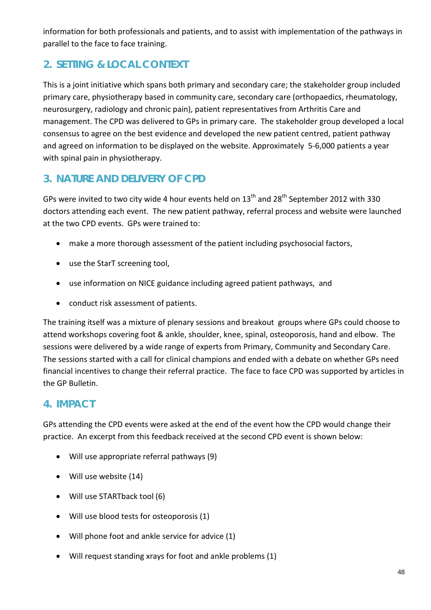information for both professionals and patients, and to assist with implementation of the pathways in parallel to the face to face training.

# **2. SETTING & LOCAL CONTEXT**

This is a joint initiative which spans both primary and secondary care; the stakeholder group included primary care, physiotherapy based in community care, secondary care (orthopaedics, rheumatology, neurosurgery, radiology and chronic pain), patient representatives from Arthritis Care and management. The CPD was delivered to GPs in primary care. The stakeholder group developed a local consensus to agree on the best evidence and developed the new patient centred, patient pathway and agreed on information to be displayed on the website. Approximately 5-6,000 patients a year with spinal pain in physiotherapy.

# **3. NATURE AND DELIVERY OF CPD**

GPs were invited to two city wide 4 hour events held on  $13^{th}$  and  $28^{th}$  September 2012 with 330 doctors attending each event. The new patient pathway, referral process and website were launched at the two CPD events. GPs were trained to:

- make a more thorough assessment of the patient including psychosocial factors,
- use the StarT screening tool,
- use information on NICE guidance including agreed patient pathways, and
- conduct risk assessment of patients.

The training itself was a mixture of plenary sessions and breakout groups where GPs could choose to attend workshops covering foot & ankle, shoulder, knee, spinal, osteoporosis, hand and elbow. The sessions were delivered by a wide range of experts from Primary, Community and Secondary Care. The sessions started with a call for clinical champions and ended with a debate on whether GPs need financial incentives to change their referral practice. The face to face CPD was supported by articles in the GP Bulletin.

# **4. IMPACT**

GPs attending the CPD events were asked at the end of the event how the CPD would change their practice. An excerpt from this feedback received at the second CPD event is shown below:

- Will use appropriate referral pathways (9)
- Will use website (14)
- Will use STARTback tool (6)
- Will use blood tests for osteoporosis (1)
- Will phone foot and ankle service for advice (1)
- Will request standing xrays for foot and ankle problems (1)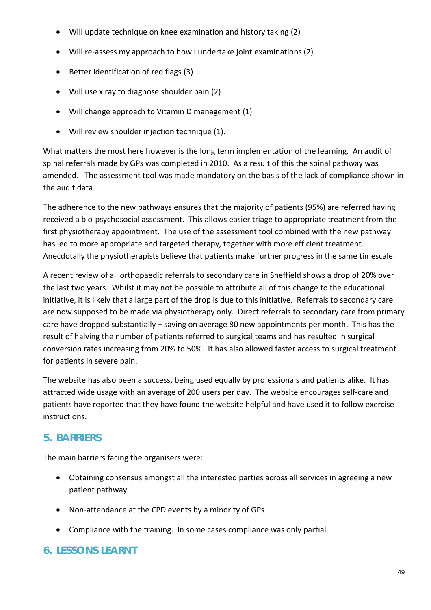- Will update technique on knee examination and history taking (2)
- Will re-assess my approach to how I undertake joint examinations (2)
- Better identification of red flags (3)
- Will use x ray to diagnose shoulder pain (2)
- Will change approach to Vitamin D management (1)
- Will review shoulder injection technique (1).

What matters the most here however is the long term implementation of the learning. An audit of spinal referrals made by GPs was completed in 2010. As a result of this the spinal pathway was amended. The assessment tool was made mandatory on the basis of the lack of compliance shown in the audit data.

The adherence to the new pathways ensures that the majority of patients (95%) are referred having received a bio-psychosocial assessment. This allows easier triage to appropriate treatment from the first physiotherapy appointment. The use of the assessment tool combined with the new pathway has led to more appropriate and targeted therapy, together with more efficient treatment. Anecdotally the physiotherapists believe that patients make further progress in the same timescale.

A recent review of all orthopaedic referrals to secondary care in Sheffield shows a drop of 20% over the last two years. Whilst it may not be possible to attribute all of this change to the educational initiative, it is likely that a large part of the drop is due to this initiative. Referrals to secondary care are now supposed to be made via physiotherapy only. Direct referrals to secondary care from primary care have dropped substantially – saving on average 80 new appointments per month. This has the result of halving the number of patients referred to surgical teams and has resulted in surgical conversion rates increasing from 20% to 50%. It has also allowed faster access to surgical treatment for patients in severe pain.

The website has also been a success, being used equally by professionals and patients alike. It has attracted wide usage with an average of 200 users per day. The website encourages self-care and patients have reported that they have found the website helpful and have used it to follow exercise instructions.

### **5. BARRIERS**

The main barriers facing the organisers were:

- Obtaining consensus amongst all the interested parties across all services in agreeing a new patient pathway
- Non-attendance at the CPD events by a minority of GPs
- Compliance with the training. In some cases compliance was only partial.

### **6. LESSONS LEARNT**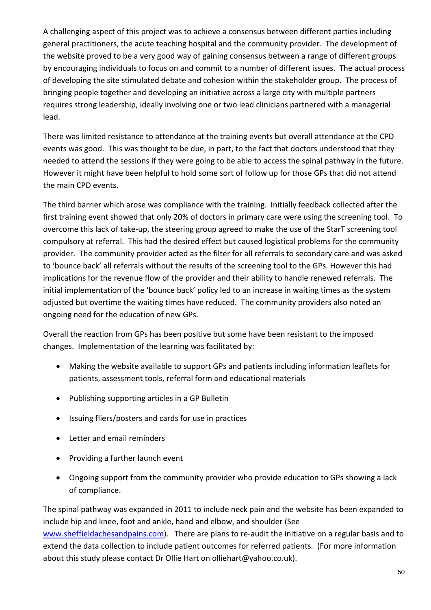A challenging aspect of this project was to achieve a consensus between different parties including general practitioners, the acute teaching hospital and the community provider. The development of the website proved to be a very good way of gaining consensus between a range of different groups by encouraging individuals to focus on and commit to a number of different issues. The actual process of developing the site stimulated debate and cohesion within the stakeholder group. The process of bringing people together and developing an initiative across a large city with multiple partners requires strong leadership, ideally involving one or two lead clinicians partnered with a managerial lead.

There was limited resistance to attendance at the training events but overall attendance at the CPD events was good. This was thought to be due, in part, to the fact that doctors understood that they needed to attend the sessions if they were going to be able to access the spinal pathway in the future. However it might have been helpful to hold some sort of follow up for those GPs that did not attend the main CPD events.

The third barrier which arose was compliance with the training. Initially feedback collected after the first training event showed that only 20% of doctors in primary care were using the screening tool. To overcome this lack of take-up, the steering group agreed to make the use of the StarT screening tool compulsory at referral. This had the desired effect but caused logistical problems for the community provider. The community provider acted as the filter for all referrals to secondary care and was asked to 'bounce back' all referrals without the results of the screening tool to the GPs. However this had implications for the revenue flow of the provider and their ability to handle renewed referrals. The initial implementation of the 'bounce back' policy led to an increase in waiting times as the system adjusted but overtime the waiting times have reduced. The community providers also noted an ongoing need for the education of new GPs.

Overall the reaction from GPs has been positive but some have been resistant to the imposed changes. Implementation of the learning was facilitated by:

- Making the website available to support GPs and patients including information leaflets for patients, assessment tools, referral form and educational materials
- Publishing supporting articles in a GP Bulletin
- Issuing fliers/posters and cards for use in practices
- Letter and email reminders
- Providing a further launch event
- Ongoing support from the community provider who provide education to GPs showing a lack of compliance.

The spinal pathway was expanded in 2011 to include neck pain and the website has been expanded to include hip and knee, foot and ankle, hand and elbow, and shoulder (See [www.sheffieldachesandpains.com\)](http://www.sheffieldachesandpains.com/). There are plans to re-audit the initiative on a regular basis and to extend the data collection to include patient outcomes for referred patients. (For more information about this study please contact Dr Ollie Hart on olliehart@yahoo.co.uk).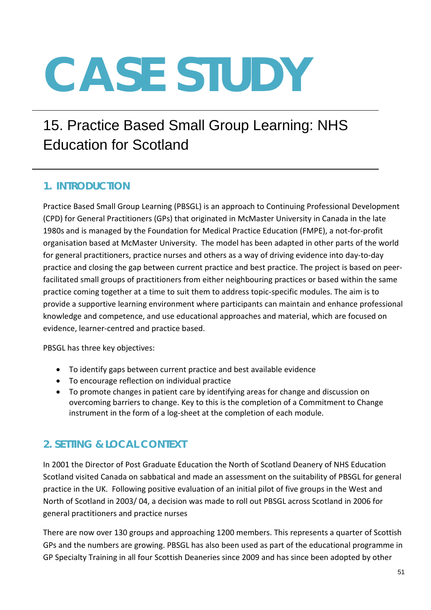# 15. Practice Based Small Group Learning: NHS Education for Scotland

## **1. INTRODUCTION**

Practice Based Small Group Learning (PBSGL) is an approach to Continuing Professional Development (CPD) for General Practitioners (GPs) that originated in McMaster University in Canada in the late 1980s and is managed by the Foundation for Medical Practice Education (FMPE), a not-for-profit organisation based at McMaster University. The model has been adapted in other parts of the world for general practitioners, practice nurses and others as a way of driving evidence into day-to-day practice and closing the gap between current practice and best practice. The project is based on peerfacilitated small groups of practitioners from either neighbouring practices or based within the same practice coming together at a time to suit them to address topic-specific modules. The aim is to provide a supportive learning environment where participants can maintain and enhance professional knowledge and competence, and use educational approaches and material, which are focused on evidence, learner-centred and practice based.

PBSGL has three key objectives:

- To identify gaps between current practice and best available evidence
- To encourage reflection on individual practice
- To promote changes in patient care by identifying areas for change and discussion on overcoming barriers to change. Key to this is the completion of a Commitment to Change instrument in the form of a log-sheet at the completion of each module.

# **2. SETTING & LOCAL CONTEXT**

In 2001 the Director of Post Graduate Education the North of Scotland Deanery of NHS Education Scotland visited Canada on sabbatical and made an assessment on the suitability of PBSGL for general practice in the UK. Following positive evaluation of an initial pilot of five groups in the West and North of Scotland in 2003/ 04, a decision was made to roll out PBSGL across Scotland in 2006 for general practitioners and practice nurses

There are now over 130 groups and approaching 1200 members. This represents a quarter of Scottish GPs and the numbers are growing. PBSGL has also been used as part of the educational programme in GP Specialty Training in all four Scottish Deaneries since 2009 and has since been adopted by other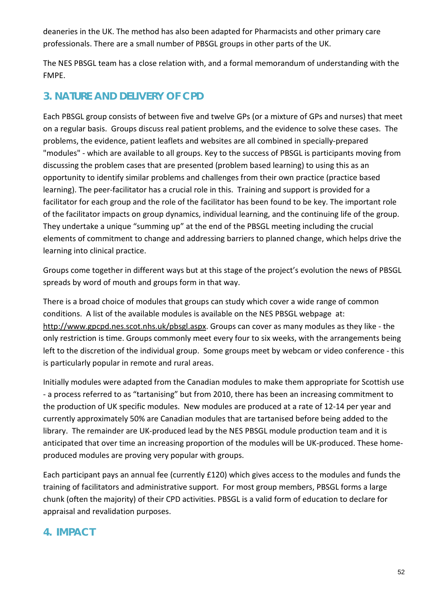deaneries in the UK. The method has also been adapted for Pharmacists and other primary care professionals. There are a small number of PBSGL groups in other parts of the UK.

The NES PBSGL team has a close relation with, and a formal memorandum of understanding with the FMPE.

### **3. NATURE AND DELIVERY OF CPD**

Each PBSGL group consists of between five and twelve GPs (or a mixture of GPs and nurses) that meet on a regular basis. Groups discuss real patient problems, and the evidence to solve these cases. The problems, the evidence, patient leaflets and websites are all combined in specially-prepared "modules" - which are available to all groups. Key to the success of PBSGL is participants moving from discussing the problem cases that are presented (problem based learning) to using this as an opportunity to identify similar problems and challenges from their own practice (practice based learning). The peer-facilitator has a crucial role in this. Training and support is provided for a facilitator for each group and the role of the facilitator has been found to be key. The important role of the facilitator impacts on group dynamics, individual learning, and the continuing life of the group. They undertake a unique "summing up" at the end of the PBSGL meeting including the crucial elements of commitment to change and addressing barriers to planned change, which helps drive the learning into clinical practice.

Groups come together in different ways but at this stage of the project's evolution the news of PBSGL spreads by word of mouth and groups form in that way.

There is a broad choice of modules that groups can study which cover a wide range of common conditions. A list of the available modules is available on the NES PBSGL webpage at: [http://www.gpcpd.nes.scot.nhs.uk/pbsgl.aspx.](http://www.gpcpd.nes.scot.nhs.uk/pbsgl.aspx) Groups can cover as many modules as they like - the only restriction is time. Groups commonly meet every four to six weeks, with the arrangements being left to the discretion of the individual group. Some groups meet by webcam or video conference - this is particularly popular in remote and rural areas.

Initially modules were adapted from the Canadian modules to make them appropriate for Scottish use - a process referred to as "tartanising" but from 2010, there has been an increasing commitment to the production of UK specific modules. New modules are produced at a rate of 12-14 per year and currently approximately 50% are Canadian modules that are tartanised before being added to the library. The remainder are UK-produced lead by the NES PBSGL module production team and it is anticipated that over time an increasing proportion of the modules will be UK-produced. These homeproduced modules are proving very popular with groups.

Each participant pays an annual fee (currently £120) which gives access to the modules and funds the training of facilitators and administrative support. For most group members, PBSGL forms a large chunk (often the majority) of their CPD activities. PBSGL is a valid form of education to declare for appraisal and revalidation purposes.

### **4. IMPACT**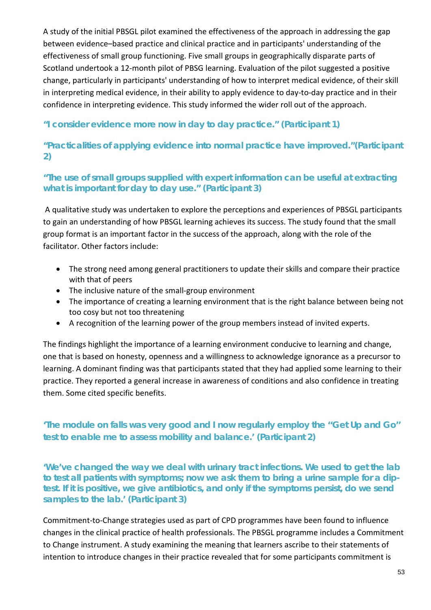A study of the initial PBSGL pilot examined the effectiveness of the approach in addressing the gap between evidence–based practice and clinical practice and in participants' understanding of the effectiveness of small group functioning. Five small groups in geographically disparate parts of Scotland undertook a 12-month pilot of PBSG learning. Evaluation of the pilot suggested a positive change, particularly in participants' understanding of how to interpret medical evidence, of their skill in interpreting medical evidence, in their ability to apply evidence to day-to-day practice and in their confidence in interpreting evidence. This study informed the wider roll out of the approach.

#### *"I consider evidence more now in day to day practice."* **(Participant 1)**

#### *"Practicalities of applying evidence into normal practice have improved."***(Participant 2)**

#### *"The use of small groups supplied with expert information can be useful at extracting what is important for day to day use."* **(Participant 3)**

A qualitative study was undertaken to explore the perceptions and experiences of PBSGL participants to gain an understanding of how PBSGL learning achieves its success. The study found that the small group format is an important factor in the success of the approach, along with the role of the facilitator. Other factors include:

- The strong need among general practitioners to update their skills and compare their practice with that of peers
- The inclusive nature of the small-group environment
- The importance of creating a learning environment that is the right balance between being not too cosy but not too threatening
- A recognition of the learning power of the group members instead of invited experts.

The findings highlight the importance of a learning environment conducive to learning and change, one that is based on honesty, openness and a willingness to acknowledge ignorance as a precursor to learning. A dominant finding was that participants stated that they had applied some learning to their practice. They reported a general increase in awareness of conditions and also confidence in treating them. Some cited specific benefits.

#### *'The module on falls was very good and I now regularly employ the ''Get Up and Go'' test to enable me to assess mobility and balance.'* **(Participant 2)**

*'We've changed the way we deal with urinary tract infections. We used to get the lab to test all patients with symptoms; now we ask them to bring a urine sample for a diptest. If it is positive, we give antibiotics, and only if the symptoms persist, do we send samples to the lab.'* **(Participant 3)**

Commitment-to-Change strategies used as part of CPD programmes have been found to influence changes in the clinical practice of health professionals. The PBSGL programme includes a Commitment to Change instrument. A study examining the meaning that learners ascribe to their statements of intention to introduce changes in their practice revealed that for some participants commitment is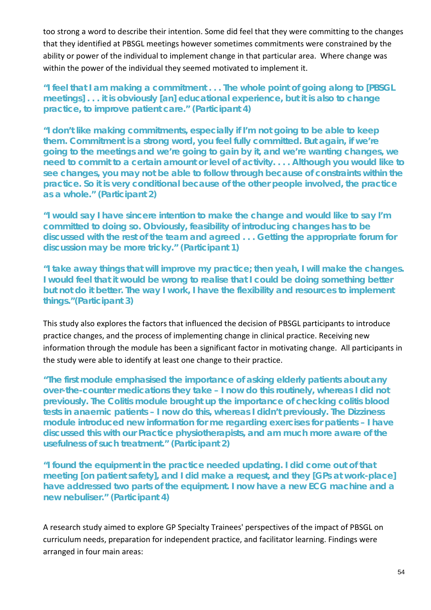too strong a word to describe their intention. Some did feel that they were committing to the changes that they identified at PBSGL meetings however sometimes commitments were constrained by the ability or power of the individual to implement change in that particular area. Where change was within the power of the individual they seemed motivated to implement it.

*"I feel that I am making a commitment . . . The whole point of going along to [PBSGL meetings] . . . it is obviously [an] educational experience, but it is also to change practice, to improve patient care."* **(Participant 4)**

*"I don't like making commitments, especially if I'm not going to be able to keep them. Commitment is a strong word, you feel fully committed. But again, if we're going to the meetings and we're going to gain by it, and we're wanting changes, we need to commit to a certain amount or level of activity. . . . Although you would like to see changes, you may not be able to follow through because of constraints within the practice. So it is very conditional because of the other people involved, the practice as a whole."* **(Participant 2)**

*"I would say I have sincere intention to make the change and would like to say I'm committed to doing so. Obviously, feasibility of introducing changes has to be discussed with the rest of the team and agreed . . . Getting the appropriate forum for discussion may be more tricky."* **(Participant 1)**

*"I take away things that will improve my practice; then yeah, I will make the changes. I would feel that it would be wrong to realise that I could be doing something better but not do it better. The way I work, I have the flexibility and resources to implement things."***(Participant 3)**

This study also explores the factors that influenced the decision of PBSGL participants to introduce practice changes, and the process of implementing change in clinical practice. Receiving new information through the module has been a significant factor in motivating change. All participants in the study were able to identify at least one change to their practice.

*"The first module emphasised the importance of asking elderly patients about any over-the-counter medications they take – I now do this routinely, whereas I did not previously. The Colitis module brought up the importance of checking colitis blood tests in anaemic patients – I now do this, whereas I didn't previously. The Dizziness module introduced new information for me regarding exercises for patients – I have discussed this with our Practice physiotherapists, and am much more aware of the usefulness of such treatment."* **(Participant 2)**

*"I found the equipment in the practice needed updating. I did come out of that meeting [on patient safety], and I did make a request, and they [GPs at work-place] have addressed two parts of the equipment. I now have a new ECG machine and a new nebuliser."* **(Participant 4)**

A research study aimed to explore GP Specialty Trainees' perspectives of the impact of PBSGL on curriculum needs, preparation for independent practice, and facilitator learning. Findings were arranged in four main areas: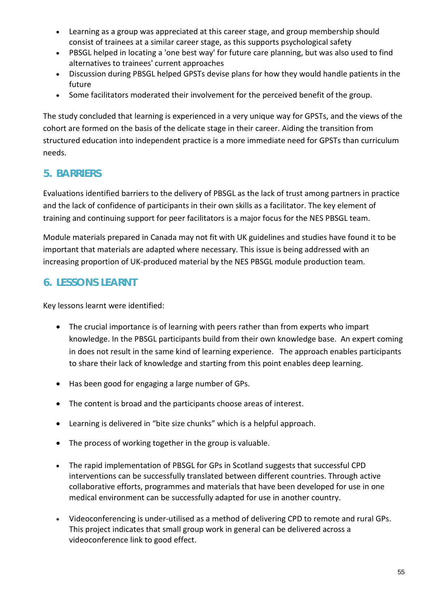- Learning as a group was appreciated at this career stage, and group membership should consist of trainees at a similar career stage, as this supports psychological safety
- PBSGL helped in locating a 'one best way' for future care planning, but was also used to find alternatives to trainees' current approaches
- Discussion during PBSGL helped GPSTs devise plans for how they would handle patients in the future
- Some facilitators moderated their involvement for the perceived benefit of the group.

The study concluded that learning is experienced in a very unique way for GPSTs, and the views of the cohort are formed on the basis of the delicate stage in their career. Aiding the transition from structured education into independent practice is a more immediate need for GPSTs than curriculum needs.

## **5. BARRIERS**

Evaluations identified barriers to the delivery of PBSGL as the lack of trust among partners in practice and the lack of confidence of participants in their own skills as a facilitator. The key element of training and continuing support for peer facilitators is a major focus for the NES PBSGL team.

Module materials prepared in Canada may not fit with UK guidelines and studies have found it to be important that materials are adapted where necessary. This issue is being addressed with an increasing proportion of UK-produced material by the NES PBSGL module production team.

## **6. LESSONS LEARNT**

Key lessons learnt were identified:

- The crucial importance is of learning with peers rather than from experts who impart knowledge. In the PBSGL participants build from their own knowledge base. An expert coming in does not result in the same kind of learning experience. The approach enables participants to share their lack of knowledge and starting from this point enables deep learning.
- Has been good for engaging a large number of GPs.
- The content is broad and the participants choose areas of interest.
- Learning is delivered in "bite size chunks" which is a helpful approach.
- The process of working together in the group is valuable.
- The rapid implementation of PBSGL for GPs in Scotland suggests that successful CPD interventions can be successfully translated between different countries. Through active collaborative efforts, programmes and materials that have been developed for use in one medical environment can be successfully adapted for use in another country.
- Videoconferencing is under-utilised as a method of delivering CPD to remote and rural GPs. This project indicates that small group work in general can be delivered across a videoconference link to good effect.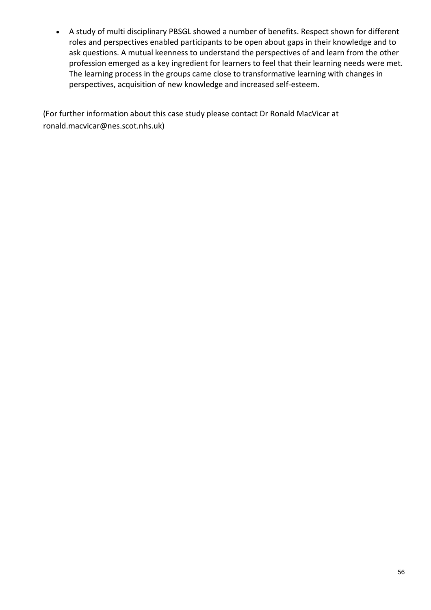• A study of multi disciplinary PBSGL showed a number of benefits. Respect shown for different roles and perspectives enabled participants to be open about gaps in their knowledge and to ask questions. A mutual keenness to understand the perspectives of and learn from the other profession emerged as a key ingredient for learners to feel that their learning needs were met. The learning process in the groups came close to transformative learning with changes in perspectives, acquisition of new knowledge and increased self-esteem.

(For further information about this case study please contact Dr Ronald MacVicar at [ronald.macvicar@nes.scot.nhs.uk\)](mailto:ronald.macvicar@nes.scot.nhs.uk)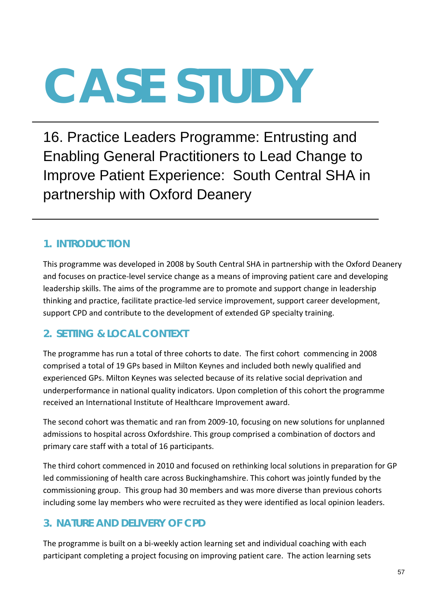16. Practice Leaders Programme: Entrusting and Enabling General Practitioners to Lead Change to Improve Patient Experience: South Central SHA in partnership with Oxford Deanery

### **1. INTRODUCTION**

This programme was developed in 2008 by South Central SHA in partnership with the Oxford Deanery and focuses on practice-level service change as a means of improving patient care and developing leadership skills. The aims of the programme are to promote and support change in leadership thinking and practice, facilitate practice-led service improvement, support career development, support CPD and contribute to the development of extended GP specialty training.

#### **2. SETTING & LOCAL CONTEXT**

The programme has run a total of three cohorts to date. The first cohort commencing in 2008 comprised a total of 19 GPs based in Milton Keynes and included both newly qualified and experienced GPs. Milton Keynes was selected because of its relative social deprivation and underperformance in national quality indicators. Upon completion of this cohort the programme received an International Institute of Healthcare Improvement award.

The second cohort was thematic and ran from 2009-10, focusing on new solutions for unplanned admissions to hospital across Oxfordshire. This group comprised a combination of doctors and primary care staff with a total of 16 participants.

The third cohort commenced in 2010 and focused on rethinking local solutions in preparation for GP led commissioning of health care across Buckinghamshire. This cohort was jointly funded by the commissioning group. This group had 30 members and was more diverse than previous cohorts including some lay members who were recruited as they were identified as local opinion leaders.

### **3. NATURE AND DELIVERY OF CPD**

The programme is built on a bi-weekly action learning set and individual coaching with each participant completing a project focusing on improving patient care. The action learning sets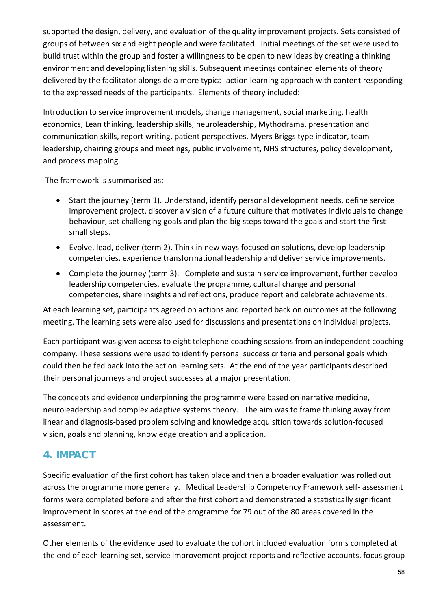supported the design, delivery, and evaluation of the quality improvement projects. Sets consisted of groups of between six and eight people and were facilitated. Initial meetings of the set were used to build trust within the group and foster a willingness to be open to new ideas by creating a thinking environment and developing listening skills. Subsequent meetings contained elements of theory delivered by the facilitator alongside a more typical action learning approach with content responding to the expressed needs of the participants. Elements of theory included:

Introduction to service improvement models, change management, social marketing, health economics, Lean thinking, leadership skills, neuroleadership, Mythodrama, presentation and communication skills, report writing, patient perspectives, Myers Briggs type indicator, team leadership, chairing groups and meetings, public involvement, NHS structures, policy development, and process mapping.

The framework is summarised as:

- Start the journey (term 1). Understand, identify personal development needs, define service improvement project, discover a vision of a future culture that motivates individuals to change behaviour, set challenging goals and plan the big steps toward the goals and start the first small steps.
- Evolve, lead, deliver (term 2). Think in new ways focused on solutions, develop leadership competencies, experience transformational leadership and deliver service improvements.
- Complete the journey (term 3). Complete and sustain service improvement, further develop leadership competencies, evaluate the programme, cultural change and personal competencies, share insights and reflections, produce report and celebrate achievements.

At each learning set, participants agreed on actions and reported back on outcomes at the following meeting. The learning sets were also used for discussions and presentations on individual projects.

Each participant was given access to eight telephone coaching sessions from an independent coaching company. These sessions were used to identify personal success criteria and personal goals which could then be fed back into the action learning sets. At the end of the year participants described their personal journeys and project successes at a major presentation.

The concepts and evidence underpinning the programme were based on narrative medicine, neuroleadership and complex adaptive systems theory. The aim was to frame thinking away from linear and diagnosis-based problem solving and knowledge acquisition towards solution-focused vision, goals and planning, knowledge creation and application.

### **4. IMPACT**

Specific evaluation of the first cohort has taken place and then a broader evaluation was rolled out across the programme more generally. Medical Leadership Competency Framework self- assessment forms were completed before and after the first cohort and demonstrated a statistically significant improvement in scores at the end of the programme for 79 out of the 80 areas covered in the assessment.

Other elements of the evidence used to evaluate the cohort included evaluation forms completed at the end of each learning set, service improvement project reports and reflective accounts, focus group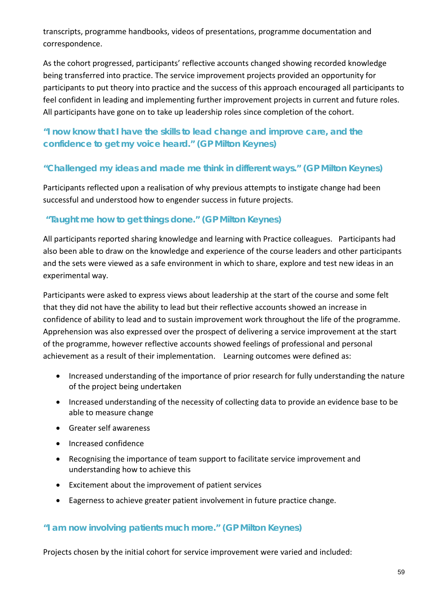transcripts, programme handbooks, videos of presentations, programme documentation and correspondence.

As the cohort progressed, participants' reflective accounts changed showing recorded knowledge being transferred into practice. The service improvement projects provided an opportunity for participants to put theory into practice and the success of this approach encouraged all participants to feel confident in leading and implementing further improvement projects in current and future roles. All participants have gone on to take up leadership roles since completion of the cohort.

#### *"I now know that I have the skills to lead change and improve care, and the confidence to get my voice heard."* **(GP Milton Keynes)**

#### *"Challenged my ideas and made me think in different ways."* **(GP Milton Keynes)**

Participants reflected upon a realisation of why previous attempts to instigate change had been successful and understood how to engender success in future projects.

#### *"Taught me how to get things done."* **(GP Milton Keynes)**

All participants reported sharing knowledge and learning with Practice colleagues. Participants had also been able to draw on the knowledge and experience of the course leaders and other participants and the sets were viewed as a safe environment in which to share, explore and test new ideas in an experimental way.

Participants were asked to express views about leadership at the start of the course and some felt that they did not have the ability to lead but their reflective accounts showed an increase in confidence of ability to lead and to sustain improvement work throughout the life of the programme. Apprehension was also expressed over the prospect of delivering a service improvement at the start of the programme, however reflective accounts showed feelings of professional and personal achievement as a result of their implementation. Learning outcomes were defined as:

- Increased understanding of the importance of prior research for fully understanding the nature of the project being undertaken
- Increased understanding of the necessity of collecting data to provide an evidence base to be able to measure change
- Greater self awareness
- Increased confidence
- Recognising the importance of team support to facilitate service improvement and understanding how to achieve this
- Excitement about the improvement of patient services
- Eagerness to achieve greater patient involvement in future practice change.

#### *"I am now involving patients much more."* **(GP Milton Keynes)**

Projects chosen by the initial cohort for service improvement were varied and included: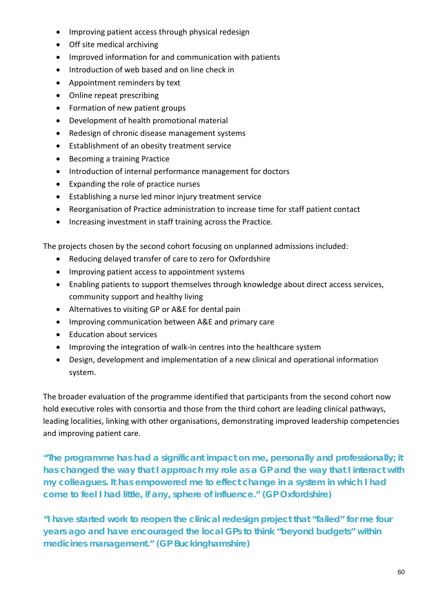- Improving patient access through physical redesign
- Off site medical archiving
- Improved information for and communication with patients
- Introduction of web based and on line check in
- Appointment reminders by text
- Online repeat prescribing
- Formation of new patient groups
- Development of health promotional material
- Redesign of chronic disease management systems
- Establishment of an obesity treatment service
- Becoming a training Practice
- Introduction of internal performance management for doctors
- Expanding the role of practice nurses
- Establishing a nurse led minor injury treatment service
- Reorganisation of Practice administration to increase time for staff patient contact
- Increasing investment in staff training across the Practice.

The projects chosen by the second cohort focusing on unplanned admissions included:

- Reducing delayed transfer of care to zero for Oxfordshire
- Improving patient access to appointment systems
- Enabling patients to support themselves through knowledge about direct access services, community support and healthy living
- Alternatives to visiting GP or A&E for dental pain
- Improving communication between A&E and primary care
- Education about services
- Improving the integration of walk-in centres into the healthcare system
- Design, development and implementation of a new clinical and operational information system.

The broader evaluation of the programme identified that participants from the second cohort now hold executive roles with consortia and those from the third cohort are leading clinical pathways, leading localities, linking with other organisations, demonstrating improved leadership competencies and improving patient care.

*"The programme has had a significant impact on me, personally and professionally; it has changed the way that I approach my role as a GP and the way that I interact with my colleagues. It has empowered me to effect change in a system in which I had come to feel I had little, if any, sphere of influence."* **(GP Oxfordshire)**

*"I have started work to reopen the clinical redesign project that "failed" for me four years ago and have encouraged the local GPs to think "beyond budgets" within medicines management."* **(GP Buckinghamshire)**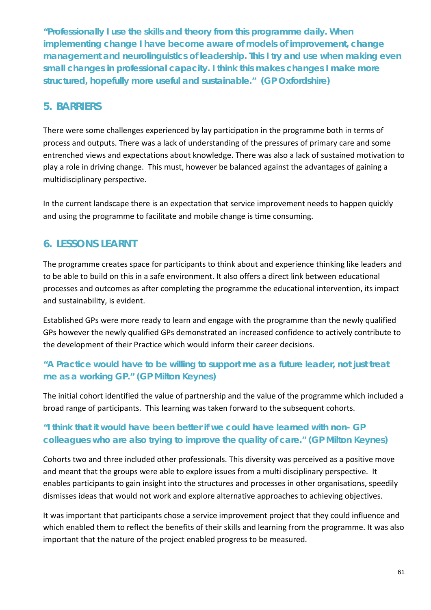*"Professionally I use the skills and theory from this programme daily. When implementing change I have become aware of models of improvement, change management and neurolinguistics of leadership. This I try and use when making even small changes in professional capacity. I think this makes changes I make more structured, hopefully more useful and sustainable."* **(GP Oxfordshire)**

#### **5. BARRIERS**

There were some challenges experienced by lay participation in the programme both in terms of process and outputs. There was a lack of understanding of the pressures of primary care and some entrenched views and expectations about knowledge. There was also a lack of sustained motivation to play a role in driving change. This must, however be balanced against the advantages of gaining a multidisciplinary perspective.

In the current landscape there is an expectation that service improvement needs to happen quickly and using the programme to facilitate and mobile change is time consuming.

## **6. LESSONS LEARNT**

The programme creates space for participants to think about and experience thinking like leaders and to be able to build on this in a safe environment. It also offers a direct link between educational processes and outcomes as after completing the programme the educational intervention, its impact and sustainability, is evident.

Established GPs were more ready to learn and engage with the programme than the newly qualified GPs however the newly qualified GPs demonstrated an increased confidence to actively contribute to the development of their Practice which would inform their career decisions.

#### *"A Practice would have to be willing to support me as a future leader, not just treat me as a working GP."* **(GP Milton Keynes)**

The initial cohort identified the value of partnership and the value of the programme which included a broad range of participants. This learning was taken forward to the subsequent cohorts.

#### *"I think that it would have been better if we could have learned with non- GP colleagues who are also trying to improve the quality of care."* **(GP Milton Keynes)**

Cohorts two and three included other professionals. This diversity was perceived as a positive move and meant that the groups were able to explore issues from a multi disciplinary perspective. It enables participants to gain insight into the structures and processes in other organisations, speedily dismisses ideas that would not work and explore alternative approaches to achieving objectives.

It was important that participants chose a service improvement project that they could influence and which enabled them to reflect the benefits of their skills and learning from the programme. It was also important that the nature of the project enabled progress to be measured.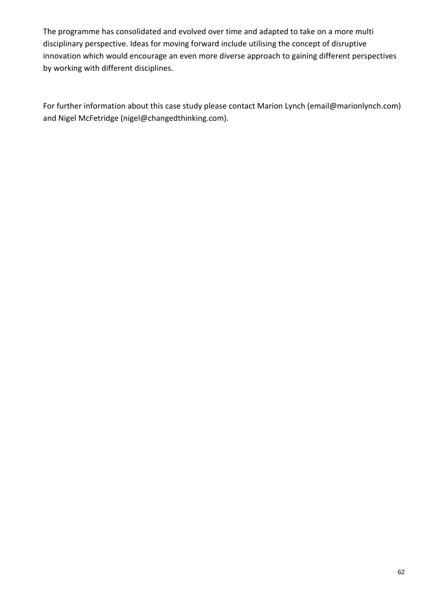The programme has consolidated and evolved over time and adapted to take on a more multi disciplinary perspective. Ideas for moving forward include utilising the concept of disruptive innovation which would encourage an even more diverse approach to gaining different perspectives by working with different disciplines.

For further information about this case study please contact Marion Lynch (email@marionlynch.com) and Nigel McFetridge (nigel@changedthinking.com).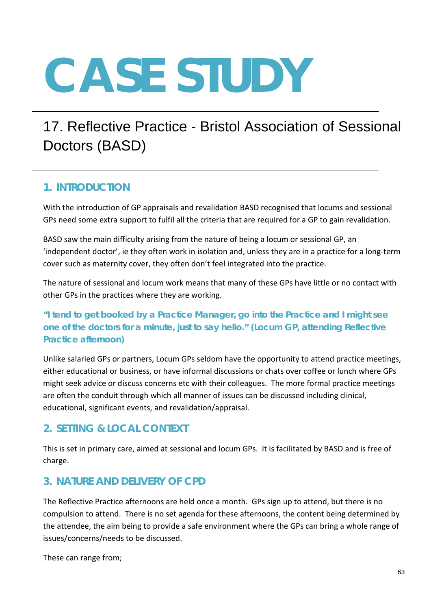# 17. Reflective Practice - Bristol Association of Sessional Doctors (BASD)

#### **1. INTRODUCTION**

With the introduction of GP appraisals and revalidation BASD recognised that locums and sessional GPs need some extra support to fulfil all the criteria that are required for a GP to gain revalidation.

BASD saw the main difficulty arising from the nature of being a locum or sessional GP, an 'independent doctor', ie they often work in isolation and, unless they are in a practice for a long-term cover such as maternity cover, they often don't feel integrated into the practice.

The nature of sessional and locum work means that many of these GPs have little or no contact with other GPs in the practices where they are working.

#### *"I tend to get booked by a Practice Manager, go into the Practice and I might see one of the doctors for a minute, just to say hello." (Locum GP, attending Reflective Practice afternoon)*

Unlike salaried GPs or partners, Locum GPs seldom have the opportunity to attend practice meetings, either educational or business, or have informal discussions or chats over coffee or lunch where GPs might seek advice or discuss concerns etc with their colleagues. The more formal practice meetings are often the conduit through which all manner of issues can be discussed including clinical, educational, significant events, and revalidation/appraisal.

### **2. SETTING & LOCAL CONTEXT**

This is set in primary care, aimed at sessional and locum GPs. It is facilitated by BASD and is free of charge.

#### **3. NATURE AND DELIVERY OF CPD**

The Reflective Practice afternoons are held once a month. GPs sign up to attend, but there is no compulsion to attend. There is no set agenda for these afternoons, the content being determined by the attendee, the aim being to provide a safe environment where the GPs can bring a whole range of issues/concerns/needs to be discussed.

These can range from;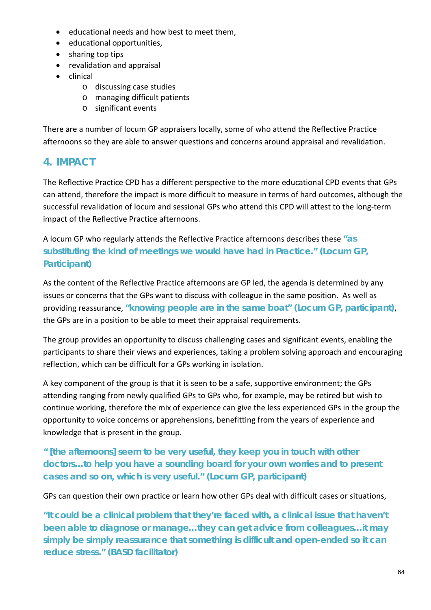- educational needs and how best to meet them,
- educational opportunities,
- sharing top tips
- revalidation and appraisal
- clinical
	- o discussing case studies
	- o managing difficult patients
	- o significant events

There are a number of locum GP appraisers locally, some of who attend the Reflective Practice afternoons so they are able to answer questions and concerns around appraisal and revalidation.

# **4. IMPACT**

The Reflective Practice CPD has a different perspective to the more educational CPD events that GPs can attend, therefore the impact is more difficult to measure in terms of hard outcomes, although the successful revalidation of locum and sessional GPs who attend this CPD will attest to the long-term impact of the Reflective Practice afternoons.

A locum GP who regularly attends the Reflective Practice afternoons describes these *"as substituting the kind of meetings we would have had in Practice."* **(Locum GP, Participant)**

As the content of the Reflective Practice afternoons are GP led, the agenda is determined by any issues or concerns that the GPs want to discuss with colleague in the same position. As well as providing reassurance, *"knowing people are in the same boat"* **(Locum GP, participant)**, the GPs are in a position to be able to meet their appraisal requirements.

The group provides an opportunity to discuss challenging cases and significant events, enabling the participants to share their views and experiences, taking a problem solving approach and encouraging reflection, which can be difficult for a GPs working in isolation.

A key component of the group is that it is seen to be a safe, supportive environment; the GPs attending ranging from newly qualified GPs to GPs who, for example, may be retired but wish to continue working, therefore the mix of experience can give the less experienced GPs in the group the opportunity to voice concerns or apprehensions, benefitting from the years of experience and knowledge that is present in the group.

*" [the afternoons] seem to be very useful, they keep you in touch with other doctors…to help you have a sounding board for your own worries and to present cases and so on, which is very useful."* **(Locum GP, participant)**

GPs can question their own practice or learn how other GPs deal with difficult cases or situations,

*"It could be a clinical problem that they're faced with, a clinical issue that haven't been able to diagnose or manage…they can get advice from colleagues…it may simply be simply reassurance that something is difficult and open-ended so it can reduce stress." (BASD facilitator)*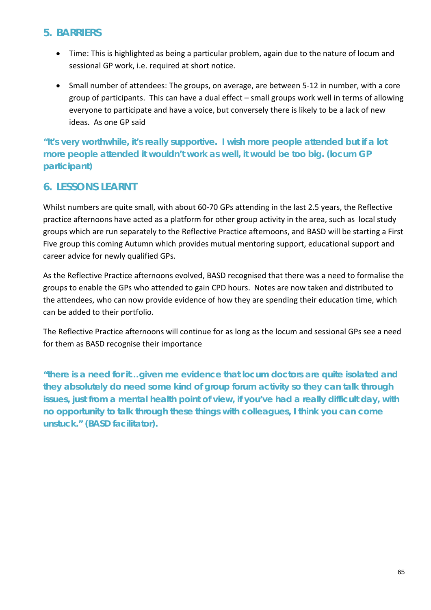#### **5. BARRIERS**

- Time: This is highlighted as being a particular problem, again due to the nature of locum and sessional GP work, i.e. required at short notice.
- Small number of attendees: The groups, on average, are between 5-12 in number, with a core group of participants. This can have a dual effect – small groups work well in terms of allowing everyone to participate and have a voice, but conversely there is likely to be a lack of new ideas. As one GP said

*"It's very worthwhile, it's really supportive. I wish more people attended but if a lot more people attended it wouldn't work as well, it would be too big. (locum GP participant)*

### **6. LESSONS LEARNT**

Whilst numbers are quite small, with about 60-70 GPs attending in the last 2.5 years, the Reflective practice afternoons have acted as a platform for other group activity in the area, such as local study groups which are run separately to the Reflective Practice afternoons, and BASD will be starting a First Five group this coming Autumn which provides mutual mentoring support, educational support and career advice for newly qualified GPs.

As the Reflective Practice afternoons evolved, BASD recognised that there was a need to formalise the groups to enable the GPs who attended to gain CPD hours. Notes are now taken and distributed to the attendees, who can now provide evidence of how they are spending their education time, which can be added to their portfolio.

The Reflective Practice afternoons will continue for as long as the locum and sessional GPs see a need for them as BASD recognise their importance

*"there is a need for it…given me evidence that locum doctors are quite isolated and they absolutely do need some kind of group forum activity so they can talk through issues, just from a mental health point of view, if you've had a really difficult day, with no opportunity to talk through these things with colleagues, I think you can come unstuck." (BASD facilitator).*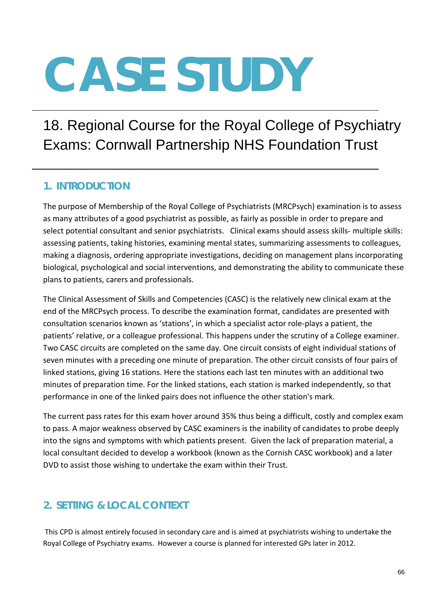# 18. Regional Course for the Royal College of Psychiatry Exams: Cornwall Partnership NHS Foundation Trust

### **1. INTRODUCTION**

The purpose of Membership of the Royal College of Psychiatrists (MRCPsych) examination is to assess as many attributes of a good psychiatrist as possible, as fairly as possible in order to prepare and select potential consultant and senior psychiatrists. Clinical exams should assess skills- multiple skills: assessing patients, taking histories, examining mental states, summarizing assessments to colleagues, making a diagnosis, ordering appropriate investigations, deciding on management plans incorporating biological, psychological and social interventions, and demonstrating the ability to communicate these plans to patients, carers and professionals.

The Clinical Assessment of Skills and Competencies (CASC) is the relatively new clinical exam at the end of the MRCPsych process. To describe the examination format, candidates are presented with consultation scenarios known as 'stations', in which a specialist actor role-plays a patient, the patients' relative, or a colleague professional. This happens under the scrutiny of a College examiner. Two CASC circuits are completed on the same day. One circuit consists of eight individual stations of seven minutes with a preceding one minute of preparation. The other circuit consists of four pairs of linked stations, giving 16 stations. Here the stations each last ten minutes with an additional two minutes of preparation time. For the linked stations, each station is marked independently, so that performance in one of the linked pairs does not influence the other station's mark.

The current pass rates for this exam hover around 35% thus being a difficult, costly and complex exam to pass. A major weakness observed by CASC examiners is the inability of candidates to probe deeply into the signs and symptoms with which patients present. Given the lack of preparation material, a local consultant decided to develop a workbook (known as the Cornish CASC workbook) and a later DVD to assist those wishing to undertake the exam within their Trust.

### **2. SETTING & LOCAL CONTEXT**

This CPD is almost entirely focused in secondary care and is aimed at psychiatrists wishing to undertake the Royal College of Psychiatry exams. However a course is planned for interested GPs later in 2012.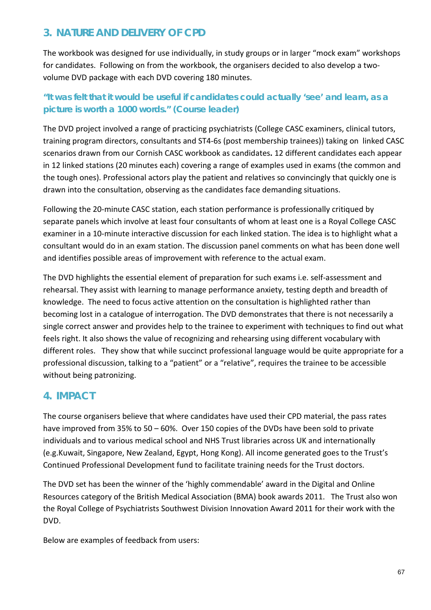## **3. NATURE AND DELIVERY OF CPD**

The workbook was designed for use individually, in study groups or in larger "mock exam" workshops for candidates. Following on from the workbook, the organisers decided to also develop a twovolume DVD package with each DVD covering 180 minutes.

#### *"It was felt that it would be useful if candidates could actually 'see' and learn, as a picture is worth a 1000 words."* **(Course leader)**

The DVD project involved a range of practicing psychiatrists (College CASC examiners, clinical tutors, training program directors, consultants and ST4-6s (post membership trainees)) taking on linked CASC scenarios drawn from our Cornish CASC workbook as candidates**.** 12 different candidates each appear in 12 linked stations (20 minutes each) covering a range of examples used in exams (the common and the tough ones). Professional actors play the patient and relatives so convincingly that quickly one is drawn into the consultation, observing as the candidates face demanding situations.

Following the 20-minute CASC station, each station performance is professionally critiqued by separate panels which involve at least four consultants of whom at least one is a Royal College CASC examiner in a 10-minute interactive discussion for each linked station. The idea is to highlight what a consultant would do in an exam station. The discussion panel comments on what has been done well and identifies possible areas of improvement with reference to the actual exam.

The DVD highlights the essential element of preparation for such exams i.e. self-assessment and rehearsal. They assist with learning to manage performance anxiety, testing depth and breadth of knowledge. The need to focus active attention on the consultation is highlighted rather than becoming lost in a catalogue of interrogation. The DVD demonstrates that there is not necessarily a single correct answer and provides help to the trainee to experiment with techniques to find out what feels right. It also shows the value of recognizing and rehearsing using different vocabulary with different roles. They show that while succinct professional language would be quite appropriate for a professional discussion, talking to a "patient" or a "relative", requires the trainee to be accessible without being patronizing.

#### **4. IMPACT**

The course organisers believe that where candidates have used their CPD material, the pass rates have improved from 35% to 50 – 60%. Over 150 copies of the DVDs have been sold to private individuals and to various medical school and NHS Trust libraries across UK and internationally (e.g.Kuwait, Singapore, New Zealand, Egypt, Hong Kong). All income generated goes to the Trust's Continued Professional Development fund to facilitate training needs for the Trust doctors.

The DVD set has been the winner of the 'highly commendable' award in the Digital and Online Resources category of the British Medical Association (BMA) book awards 2011. The Trust also won the Royal College of Psychiatrists Southwest Division Innovation Award 2011 for their work with the DVD.

Below are examples of feedback from users: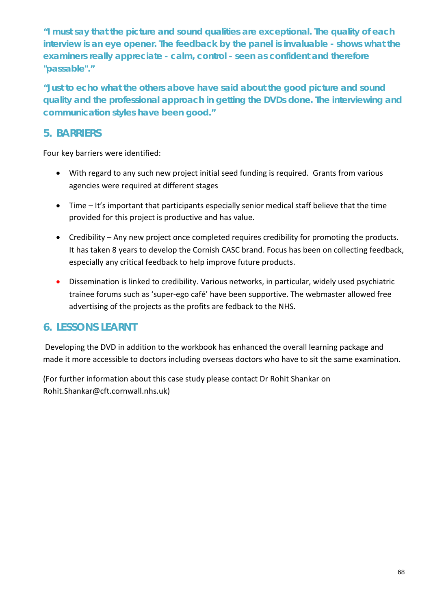*"I must say that the picture and sound qualities are exceptional. The quality of each interview is an eye opener. The feedback by the panel is invaluable - shows what the examiners really appreciate - calm, control - seen as confident and therefore "passable"."*

*"Just to echo what the others above have said about the good picture and sound quality and the professional approach in getting the DVDs done. The interviewing and communication styles have been good."* 

#### **5. BARRIERS**

Four key barriers were identified:

- With regard to any such new project initial seed funding is required. Grants from various agencies were required at different stages
- Time It's important that participants especially senior medical staff believe that the time provided for this project is productive and has value.
- Credibility Any new project once completed requires credibility for promoting the products. It has taken 8 years to develop the Cornish CASC brand. Focus has been on collecting feedback, especially any critical feedback to help improve future products.
- Dissemination is linked to credibility. Various networks, in particular, widely used psychiatric trainee forums such as 'super-ego café' have been supportive. The webmaster allowed free advertising of the projects as the profits are fedback to the NHS.

# **6. LESSONS LEARNT**

Developing the DVD in addition to the workbook has enhanced the overall learning package and made it more accessible to doctors including overseas doctors who have to sit the same examination.

(For further information about this case study please contact Dr Rohit Shankar on Rohit.Shankar@cft.cornwall.nhs.uk)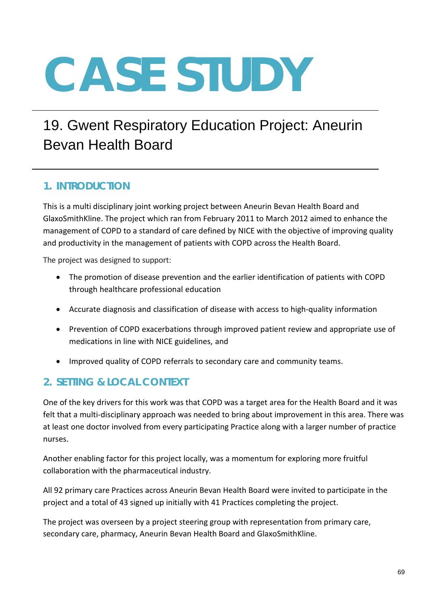# 19. Gwent Respiratory Education Project: Aneurin Bevan Health Board

### **1. INTRODUCTION**

This is a multi disciplinary joint working project between Aneurin Bevan Health Board and GlaxoSmithKline. The project which ran from February 2011 to March 2012 aimed to enhance the management of COPD to a standard of care defined by NICE with the objective of improving quality and productivity in the management of patients with COPD across the Health Board.

The project was designed to support:

- The promotion of disease prevention and the earlier identification of patients with COPD through healthcare professional education
- Accurate diagnosis and classification of disease with access to high-quality information
- Prevention of COPD exacerbations through improved patient review and appropriate use of medications in line with NICE guidelines, and
- Improved quality of COPD referrals to secondary care and community teams.

### **2. SETTING & LOCAL CONTEXT**

One of the key drivers for this work was that COPD was a target area for the Health Board and it was felt that a multi-disciplinary approach was needed to bring about improvement in this area. There was at least one doctor involved from every participating Practice along with a larger number of practice nurses.

Another enabling factor for this project locally, was a momentum for exploring more fruitful collaboration with the pharmaceutical industry.

All 92 primary care Practices across Aneurin Bevan Health Board were invited to participate in the project and a total of 43 signed up initially with 41 Practices completing the project.

The project was overseen by a project steering group with representation from primary care, secondary care, pharmacy, Aneurin Bevan Health Board and GlaxoSmithKline.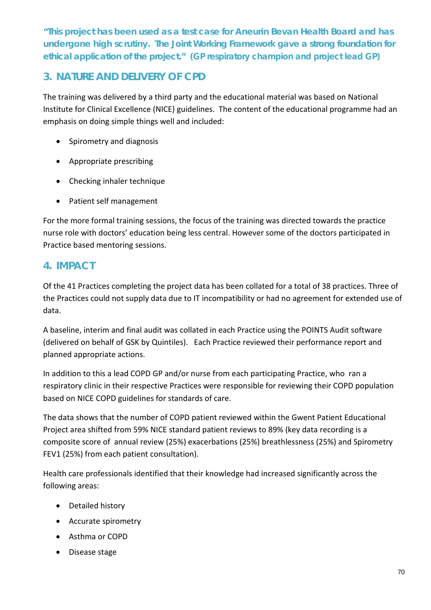*"This project has been used as a test case for Aneurin Bevan Health Board and has undergone high scrutiny. The Joint Working Framework gave a strong foundation for ethical application of the project."* **(GP respiratory champion and project lead GP)**

#### **3. NATURE AND DELIVERY OF CPD**

The training was delivered by a third party and the educational material was based on National Institute for Clinical Excellence (NICE) guidelines. The content of the educational programme had an emphasis on doing simple things well and included:

- Spirometry and diagnosis
- Appropriate prescribing
- Checking inhaler technique
- Patient self management

For the more formal training sessions, the focus of the training was directed towards the practice nurse role with doctors' education being less central. However some of the doctors participated in Practice based mentoring sessions.

#### **4. IMPACT**

Of the 41 Practices completing the project data has been collated for a total of 38 practices. Three of the Practices could not supply data due to IT incompatibility or had no agreement for extended use of data.

A baseline, interim and final audit was collated in each Practice using the POINTS Audit software (delivered on behalf of GSK by Quintiles). Each Practice reviewed their performance report and planned appropriate actions.

In addition to this a lead COPD GP and/or nurse from each participating Practice, who ran a respiratory clinic in their respective Practices were responsible for reviewing their COPD population based on NICE COPD guidelines for standards of care.

The data shows that the number of COPD patient reviewed within the Gwent Patient Educational Project area shifted from 59% NICE standard patient reviews to 89% (key data recording is a composite score of annual review (25%) exacerbations (25%) breathlessness (25%) and Spirometry FEV1 (25%) from each patient consultation).

Health care professionals identified that their knowledge had increased significantly across the following areas:

- Detailed history
- Accurate spirometry
- Asthma or COPD
- Disease stage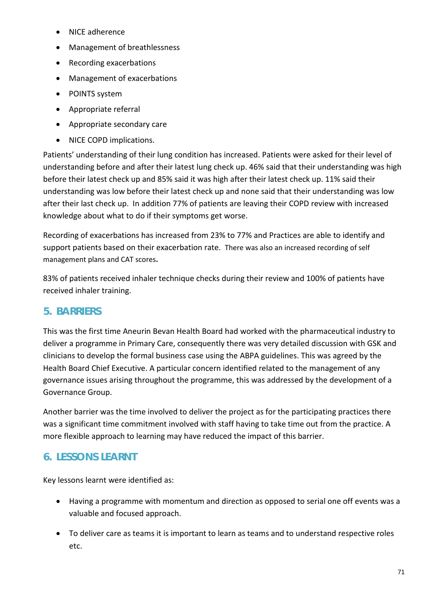- NICE adherence
- Management of breathlessness
- Recording exacerbations
- Management of exacerbations
- POINTS system
- Appropriate referral
- Appropriate secondary care
- NICE COPD implications.

Patients' understanding of their lung condition has increased. Patients were asked for their level of understanding before and after their latest lung check up. 46% said that their understanding was high before their latest check up and 85% said it was high after their latest check up. 11% said their understanding was low before their latest check up and none said that their understanding was low after their last check up. In addition 77% of patients are leaving their COPD review with increased knowledge about what to do if their symptoms get worse.

Recording of exacerbations has increased from 23% to 77% and Practices are able to identify and support patients based on their exacerbation rate. There was also an increased recording of self management plans and CAT scores**.**

83% of patients received inhaler technique checks during their review and 100% of patients have received inhaler training.

### **5. BARRIERS**

This was the first time Aneurin Bevan Health Board had worked with the pharmaceutical industry to deliver a programme in Primary Care, consequently there was very detailed discussion with GSK and clinicians to develop the formal business case using the ABPA guidelines. This was agreed by the Health Board Chief Executive. A particular concern identified related to the management of any governance issues arising throughout the programme, this was addressed by the development of a Governance Group.

Another barrier was the time involved to deliver the project as for the participating practices there was a significant time commitment involved with staff having to take time out from the practice. A more flexible approach to learning may have reduced the impact of this barrier.

### **6. LESSONS LEARNT**

Key lessons learnt were identified as:

- Having a programme with momentum and direction as opposed to serial one off events was a valuable and focused approach.
- To deliver care as teams it is important to learn as teams and to understand respective roles etc.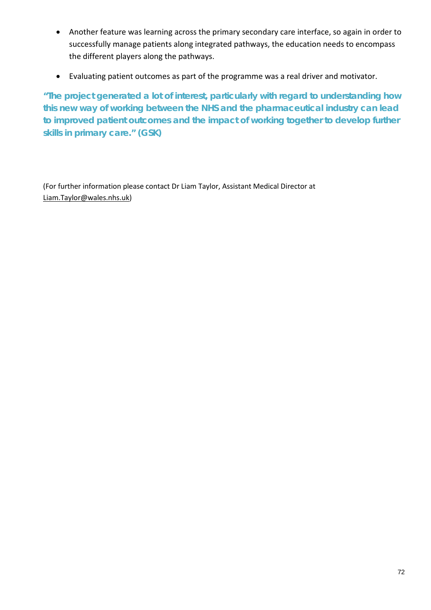- Another feature was learning across the primary secondary care interface, so again in order to successfully manage patients along integrated pathways, the education needs to encompass the different players along the pathways.
- Evaluating patient outcomes as part of the programme was a real driver and motivator.

*"The project generated a lot of interest, particularly with regard to understanding how this new way of working between the NHS and the pharmaceutical industry can lead*  to improved patient outcomes and the impact of working together to develop further *skills in primary care."* **(GSK)**

(For further information please contact Dr Liam Taylor, Assistant Medical Director at [Liam.Taylor@wales.nhs.uk\)](mailto:Liam.Taylor@wales.nhs.uk)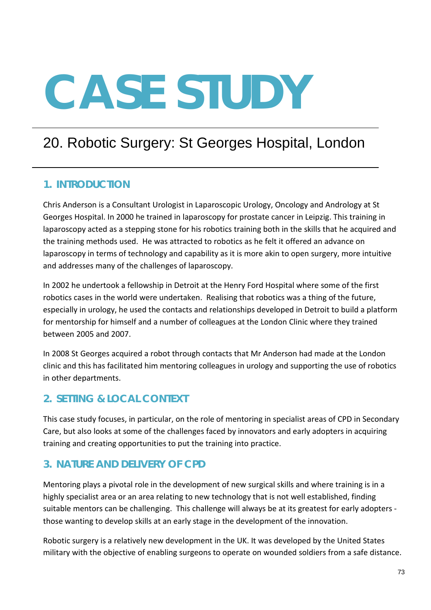# 20. Robotic Surgery: St Georges Hospital, London

# **1. INTRODUCTION**

Chris Anderson is a Consultant Urologist in Laparoscopic Urology, Oncology and Andrology at St Georges Hospital. In 2000 he trained in laparoscopy for prostate cancer in Leipzig. This training in laparoscopy acted as a stepping stone for his robotics training both in the skills that he acquired and the training methods used. He was attracted to robotics as he felt it offered an advance on laparoscopy in terms of technology and capability as it is more akin to open surgery, more intuitive and addresses many of the challenges of laparoscopy.

In 2002 he undertook a fellowship in Detroit at the Henry Ford Hospital where some of the first robotics cases in the world were undertaken. Realising that robotics was a thing of the future, especially in urology, he used the contacts and relationships developed in Detroit to build a platform for mentorship for himself and a number of colleagues at the London Clinic where they trained between 2005 and 2007.

In 2008 St Georges acquired a robot through contacts that Mr Anderson had made at the London clinic and this has facilitated him mentoring colleagues in urology and supporting the use of robotics in other departments.

# **2. SETTING & LOCAL CONTEXT**

This case study focuses, in particular, on the role of mentoring in specialist areas of CPD in Secondary Care, but also looks at some of the challenges faced by innovators and early adopters in acquiring training and creating opportunities to put the training into practice.

# **3. NATURE AND DELIVERY OF CPD**

Mentoring plays a pivotal role in the development of new surgical skills and where training is in a highly specialist area or an area relating to new technology that is not well established, finding suitable mentors can be challenging. This challenge will always be at its greatest for early adopters those wanting to develop skills at an early stage in the development of the innovation.

Robotic surgery is a relatively new development in the UK. It was developed by the United States military with the objective of enabling surgeons to operate on wounded soldiers from a safe distance.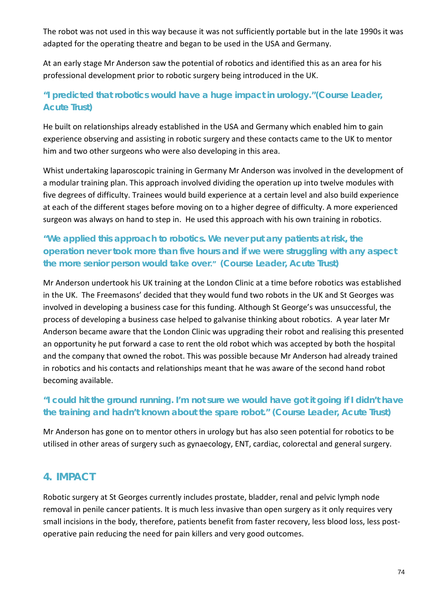The robot was not used in this way because it was not sufficiently portable but in the late 1990s it was adapted for the operating theatre and began to be used in the USA and Germany.

At an early stage Mr Anderson saw the potential of robotics and identified this as an area for his professional development prior to robotic surgery being introduced in the UK.

### *"I predicted that robotics would have a huge impact in urology."***(Course Leader, Acute Trust)**

He built on relationships already established in the USA and Germany which enabled him to gain experience observing and assisting in robotic surgery and these contacts came to the UK to mentor him and two other surgeons who were also developing in this area.

Whist undertaking laparoscopic training in Germany Mr Anderson was involved in the development of a modular training plan. This approach involved dividing the operation up into twelve modules with five degrees of difficulty. Trainees would build experience at a certain level and also build experience at each of the different stages before moving on to a higher degree of difficulty. A more experienced surgeon was always on hand to step in. He used this approach with his own training in robotics.

## *"We applied this approach to robotics. We never put any patients at risk, the operation never took more than five hours and if we were struggling with any aspect the more senior person would take over."* **(Course Leader, Acute Trust)**

Mr Anderson undertook his UK training at the London Clinic at a time before robotics was established in the UK. The Freemasons' decided that they would fund two robots in the UK and St Georges was involved in developing a business case for this funding. Although St George's was unsuccessful, the process of developing a business case helped to galvanise thinking about robotics. A year later Mr Anderson became aware that the London Clinic was upgrading their robot and realising this presented an opportunity he put forward a case to rent the old robot which was accepted by both the hospital and the company that owned the robot. This was possible because Mr Anderson had already trained in robotics and his contacts and relationships meant that he was aware of the second hand robot becoming available.

#### *"I could hit the ground running. I'm not sure we would have got it going if I didn't have the training and hadn't known about the spare robot."* **(Course Leader, Acute Trust)**

Mr Anderson has gone on to mentor others in urology but has also seen potential for robotics to be utilised in other areas of surgery such as gynaecology, ENT, cardiac, colorectal and general surgery.

### **4. IMPACT**

Robotic surgery at St Georges currently includes prostate, bladder, renal and pelvic lymph node removal in penile cancer patients. It is much less invasive than open surgery as it only requires very small incisions in the body, therefore, patients benefit from faster recovery, less blood loss, less postoperative pain reducing the need for pain killers and very good outcomes.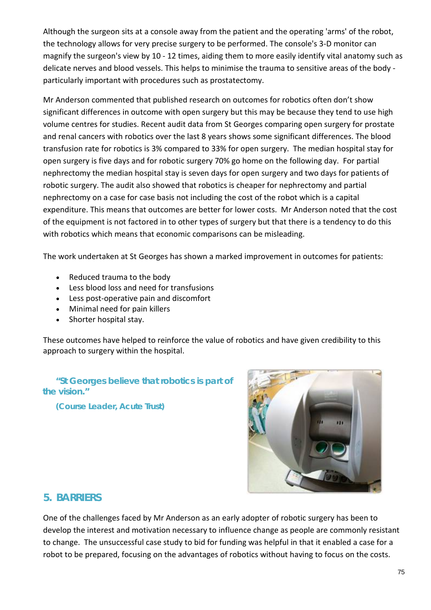Although the surgeon sits at a console away from the patient and the operating 'arms' of the robot, the technology allows for very precise surgery to be performed. The console's 3-D monitor can magnify the surgeon's view by 10 - 12 times, aiding them to more easily identify vital anatomy such as delicate nerves and blood vessels. This helps to minimise the trauma to sensitive areas of the body particularly important with procedures such as prostatectomy.

Mr Anderson commented that published research on outcomes for robotics often don't show significant differences in outcome with open surgery but this may be because they tend to use high volume centres for studies. Recent audit data from St Georges comparing open surgery for prostate and renal cancers with robotics over the last 8 years shows some significant differences. The blood transfusion rate for robotics is 3% compared to 33% for open surgery. The median hospital stay for open surgery is five days and for robotic surgery 70% go home on the following day. For partial nephrectomy the median hospital stay is seven days for open surgery and two days for patients of robotic surgery. The audit also showed that robotics is cheaper for nephrectomy and partial nephrectomy on a case for case basis not including the cost of the robot which is a capital expenditure. This means that outcomes are better for lower costs. Mr Anderson noted that the cost of the equipment is not factored in to other types of surgery but that there is a tendency to do this with robotics which means that economic comparisons can be misleading.

The work undertaken at St Georges has shown a marked improvement in outcomes for patients:

- Reduced trauma to the body
- Less blood loss and need for transfusions
- Less post-operative pain and discomfort
- Minimal need for pain killers
- Shorter hospital stay.

These outcomes have helped to reinforce the value of robotics and have given credibility to this approach to surgery within the hospital.

*"St Georges believe that robotics is part of the vision."*

**(Course Leader, Acute Trust)**



#### **5. BARRIERS**

One of the challenges faced by Mr Anderson as an early adopter of robotic surgery has been to develop the interest and motivation necessary to influence change as people are commonly resistant to change. The unsuccessful case study to bid for funding was helpful in that it enabled a case for a robot to be prepared, focusing on the advantages of robotics without having to focus on the costs.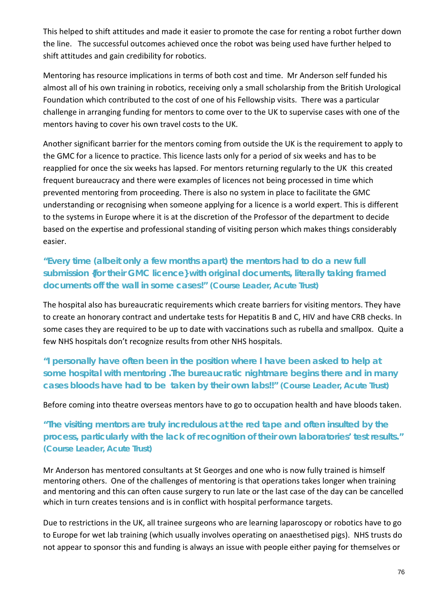This helped to shift attitudes and made it easier to promote the case for renting a robot further down the line. The successful outcomes achieved once the robot was being used have further helped to shift attitudes and gain credibility for robotics.

Mentoring has resource implications in terms of both cost and time. Mr Anderson self funded his almost all of his own training in robotics, receiving only a small scholarship from the British Urological Foundation which contributed to the cost of one of his Fellowship visits. There was a particular challenge in arranging funding for mentors to come over to the UK to supervise cases with one of the mentors having to cover his own travel costs to the UK.

Another significant barrier for the mentors coming from outside the UK is the requirement to apply to the GMC for a licence to practice. This licence lasts only for a period of six weeks and has to be reapplied for once the six weeks has lapsed. For mentors returning regularly to the UK this created frequent bureaucracy and there were examples of licences not being processed in time which prevented mentoring from proceeding. There is also no system in place to facilitate the GMC understanding or recognising when someone applying for a licence is a world expert. This is different to the systems in Europe where it is at the discretion of the Professor of the department to decide based on the expertise and professional standing of visiting person which makes things considerably easier.

#### *"Every time (albeit only a few months apart) the mentors had to do a new full submission {for their GMC licence} with original documents, literally taking framed documents off the wall in some cases!"* **(Course Leader, Acute Trust)**

The hospital also has bureaucratic requirements which create barriers for visiting mentors. They have to create an honorary contract and undertake tests for Hepatitis B and C, HIV and have CRB checks. In some cases they are required to be up to date with vaccinations such as rubella and smallpox. Quite a few NHS hospitals don't recognize results from other NHS hospitals.

*"I personally have often been in the position where I have been asked to help at some hospital with mentoring .The bureaucratic nightmare begins there and in many cases bloods have had to be taken by their own labs!!"* **(Course Leader, Acute Trust)**

Before coming into theatre overseas mentors have to go to occupation health and have bloods taken.

*"The visiting mentors are truly incredulous at the red tape and often insulted by the process, particularly with the lack of recognition of their own laboratories' test results."* **(Course Leader, Acute Trust)**

Mr Anderson has mentored consultants at St Georges and one who is now fully trained is himself mentoring others. One of the challenges of mentoring is that operations takes longer when training and mentoring and this can often cause surgery to run late or the last case of the day can be cancelled which in turn creates tensions and is in conflict with hospital performance targets.

Due to restrictions in the UK, all trainee surgeons who are learning laparoscopy or robotics have to go to Europe for wet lab training (which usually involves operating on anaesthetised pigs). NHS trusts do not appear to sponsor this and funding is always an issue with people either paying for themselves or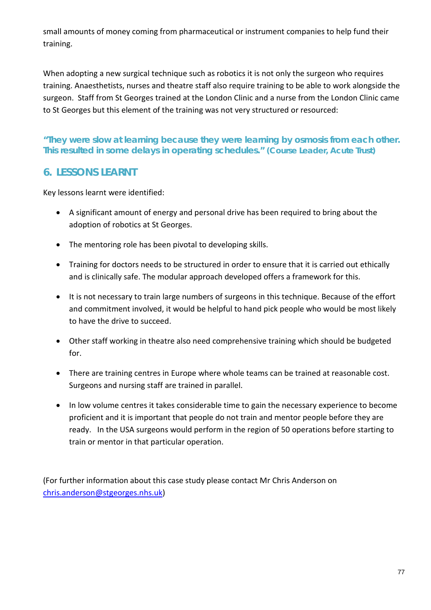small amounts of money coming from pharmaceutical or instrument companies to help fund their training.

When adopting a new surgical technique such as robotics it is not only the surgeon who requires training. Anaesthetists, nurses and theatre staff also require training to be able to work alongside the surgeon. Staff from St Georges trained at the London Clinic and a nurse from the London Clinic came to St Georges but this element of the training was not very structured or resourced:

#### *"They were slow at learning because they were learning by osmosis from each other. This resulted in some delays in operating schedules."* **(Course Leader, Acute Trust)**

### **6. LESSONS LEARNT**

Key lessons learnt were identified:

- A significant amount of energy and personal drive has been required to bring about the adoption of robotics at St Georges.
- The mentoring role has been pivotal to developing skills.
- Training for doctors needs to be structured in order to ensure that it is carried out ethically and is clinically safe. The modular approach developed offers a framework for this.
- It is not necessary to train large numbers of surgeons in this technique. Because of the effort and commitment involved, it would be helpful to hand pick people who would be most likely to have the drive to succeed.
- Other staff working in theatre also need comprehensive training which should be budgeted for.
- There are training centres in Europe where whole teams can be trained at reasonable cost. Surgeons and nursing staff are trained in parallel.
- In low volume centres it takes considerable time to gain the necessary experience to become proficient and it is important that people do not train and mentor people before they are ready. In the USA surgeons would perform in the region of 50 operations before starting to train or mentor in that particular operation.

(For further information about this case study please contact Mr Chris Anderson on [chris.anderson@stgeorges.nhs.uk\)](mailto:chris.anderson@stgeorges.nhs.uk)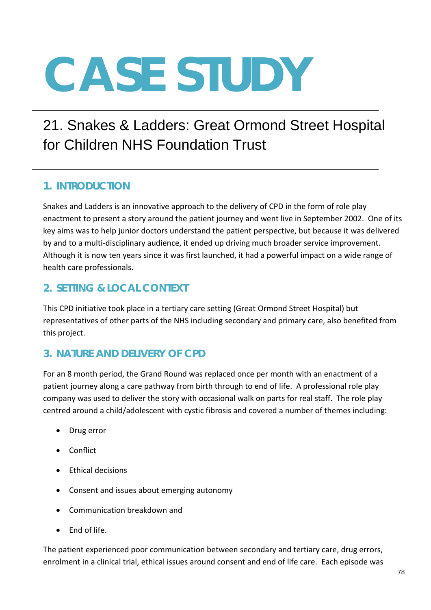# 21. Snakes & Ladders: Great Ormond Street Hospital for Children NHS Foundation Trust

# **1. INTRODUCTION**

Snakes and Ladders is an innovative approach to the delivery of CPD in the form of role play enactment to present a story around the patient journey and went live in September 2002. One of its key aims was to help junior doctors understand the patient perspective, but because it was delivered by and to a multi-disciplinary audience, it ended up driving much broader service improvement. Although it is now ten years since it was first launched, it had a powerful impact on a wide range of health care professionals.

## **2. SETTING & LOCAL CONTEXT**

This CPD initiative took place in a tertiary care setting (Great Ormond Street Hospital) but representatives of other parts of the NHS including secondary and primary care, also benefited from this project.

# **3. NATURE AND DELIVERY OF CPD**

For an 8 month period, the Grand Round was replaced once per month with an enactment of a patient journey along a care pathway from birth through to end of life. A professional role play company was used to deliver the story with occasional walk on parts for real staff. The role play centred around a child/adolescent with cystic fibrosis and covered a number of themes including:

- Drug error
- Conflict
- Ethical decisions
- Consent and issues about emerging autonomy
- Communication breakdown and
- End of life.

The patient experienced poor communication between secondary and tertiary care, drug errors, enrolment in a clinical trial, ethical issues around consent and end of life care. Each episode was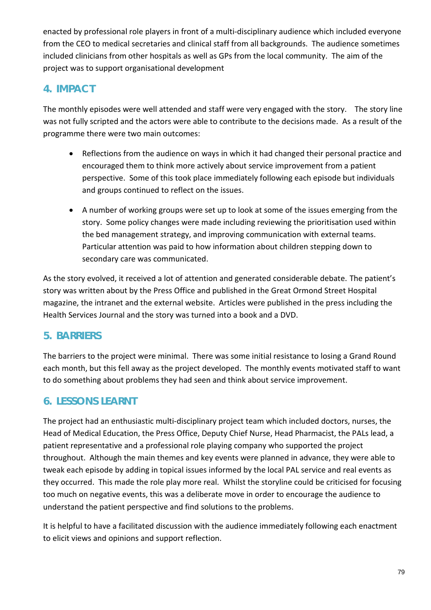enacted by professional role players in front of a multi-disciplinary audience which included everyone from the CEO to medical secretaries and clinical staff from all backgrounds. The audience sometimes included clinicians from other hospitals as well as GPs from the local community. The aim of the project was to support organisational development

# **4. IMPACT**

The monthly episodes were well attended and staff were very engaged with the story. The story line was not fully scripted and the actors were able to contribute to the decisions made. As a result of the programme there were two main outcomes:

- Reflections from the audience on ways in which it had changed their personal practice and encouraged them to think more actively about service improvement from a patient perspective. Some of this took place immediately following each episode but individuals and groups continued to reflect on the issues.
- A number of working groups were set up to look at some of the issues emerging from the story. Some policy changes were made including reviewing the prioritisation used within the bed management strategy, and improving communication with external teams. Particular attention was paid to how information about children stepping down to secondary care was communicated.

As the story evolved, it received a lot of attention and generated considerable debate. The patient's story was written about by the Press Office and published in the Great Ormond Street Hospital magazine, the intranet and the external website. Articles were published in the press including the Health Services Journal and the story was turned into a book and a DVD.

# **5. BARRIERS**

The barriers to the project were minimal. There was some initial resistance to losing a Grand Round each month, but this fell away as the project developed. The monthly events motivated staff to want to do something about problems they had seen and think about service improvement.

# **6. LESSONS LEARNT**

The project had an enthusiastic multi-disciplinary project team which included doctors, nurses, the Head of Medical Education, the Press Office, Deputy Chief Nurse, Head Pharmacist, the PALs lead, a patient representative and a professional role playing company who supported the project throughout. Although the main themes and key events were planned in advance, they were able to tweak each episode by adding in topical issues informed by the local PAL service and real events as they occurred. This made the role play more real. Whilst the storyline could be criticised for focusing too much on negative events, this was a deliberate move in order to encourage the audience to understand the patient perspective and find solutions to the problems.

It is helpful to have a facilitated discussion with the audience immediately following each enactment to elicit views and opinions and support reflection.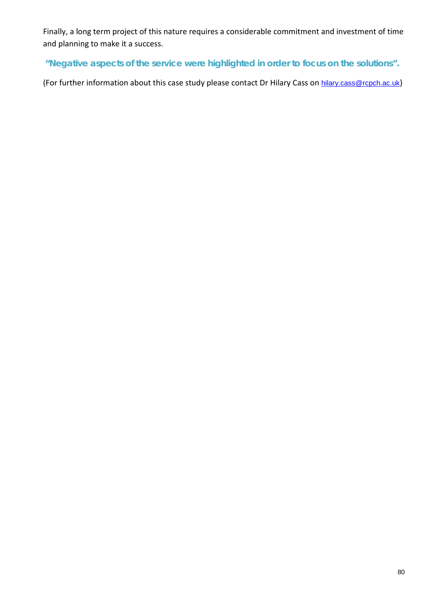Finally, a long term project of this nature requires a considerable commitment and investment of time and planning to make it a success.

*"Negative aspects of the service were highlighted in order to focus on the solutions".*

(For further information about this case study please contact Dr Hilary Cass on [hilary.cass@rcpch.ac.uk](mailto:hilary.cass@rcpch.ac.uk))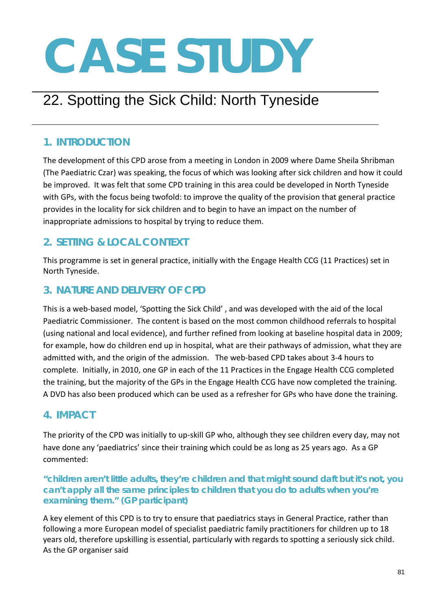# 22. Spotting the Sick Child: North Tyneside

# **1. INTRODUCTION**

The development of this CPD arose from a meeting in London in 2009 where Dame Sheila Shribman (The Paediatric Czar) was speaking, the focus of which was looking after sick children and how it could be improved. It was felt that some CPD training in this area could be developed in North Tyneside with GPs, with the focus being twofold: to improve the quality of the provision that general practice provides in the locality for sick children and to begin to have an impact on the number of inappropriate admissions to hospital by trying to reduce them.

# **2. SETTING & LOCAL CONTEXT**

This programme is set in general practice, initially with the Engage Health CCG (11 Practices) set in North Tyneside.

# **3. NATURE AND DELIVERY OF CPD**

This is a web-based model, 'Spotting the Sick Child' , and was developed with the aid of the local Paediatric Commissioner. The content is based on the most common childhood referrals to hospital (using national and local evidence), and further refined from looking at baseline hospital data in 2009; for example, how do children end up in hospital, what are their pathways of admission, what they are admitted with, and the origin of the admission. The web-based CPD takes about 3-4 hours to complete. Initially, in 2010, one GP in each of the 11 Practices in the Engage Health CCG completed the training, but the majority of the GPs in the Engage Health CCG have now completed the training. A DVD has also been produced which can be used as a refresher for GPs who have done the training.

# **4. IMPACT**

The priority of the CPD was initially to up-skill GP who, although they see children every day, may not have done any 'paediatrics' since their training which could be as long as 25 years ago. As a GP commented:

#### *"children aren't little adults, they're children and that might sound daft but it's not, you can't apply all the same principles to children that you do to adults when you're examining them."* **(GP participant***)*

A key element of this CPD is to try to ensure that paediatrics stays in General Practice, rather than following a more European model of specialist paediatric family practitioners for children up to 18 years old, therefore upskilling is essential, particularly with regards to spotting a seriously sick child. As the GP organiser said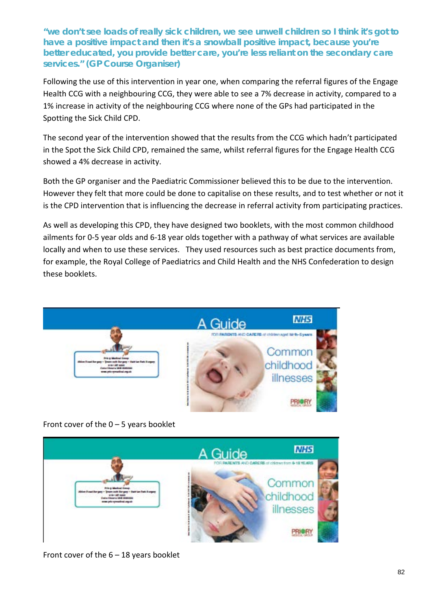*"we don't see loads of really sick children, we see unwell children so I think it's got to have a positive impact and then it's a snowball positive impact, because you're better educated, you provide better care, you're less reliant on the secondary care services."* **(GP Course Organiser)**

Following the use of this intervention in year one, when comparing the referral figures of the Engage Health CCG with a neighbouring CCG, they were able to see a 7% decrease in activity, compared to a 1% increase in activity of the neighbouring CCG where none of the GPs had participated in the Spotting the Sick Child CPD.

The second year of the intervention showed that the results from the CCG which hadn't participated in the Spot the Sick Child CPD, remained the same, whilst referral figures for the Engage Health CCG showed a 4% decrease in activity.

Both the GP organiser and the Paediatric Commissioner believed this to be due to the intervention. However they felt that more could be done to capitalise on these results, and to test whether or not it is the CPD intervention that is influencing the decrease in referral activity from participating practices.

As well as developing this CPD, they have designed two booklets, with the most common childhood ailments for 0-5 year olds and 6-18 year olds together with a pathway of what services are available locally and when to use these services. They used resources such as best practice documents from, for example, the Royal College of Paediatrics and Child Health and the NHS Confederation to design these booklets.



Front cover of the  $0 - 5$  years booklet



Front cover of the 6 – 18 years booklet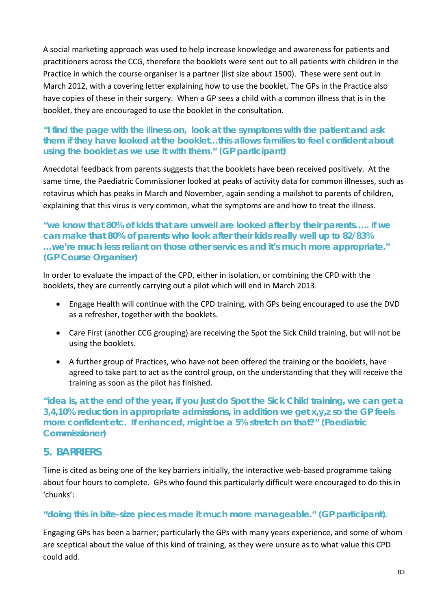A social marketing approach was used to help increase knowledge and awareness for patients and practitioners across the CCG, therefore the booklets were sent out to all patients with children in the Practice in which the course organiser is a partner (list size about 1500). These were sent out in March 2012, with a covering letter explaining how to use the booklet. The GPs in the Practice also have copies of these in their surgery. When a GP sees a child with a common illness that is in the booklet, they are encouraged to use the booklet in the consultation.

#### *"I find the page with the illness on, look at the symptoms with the patient and ask them if they have looked at the booklet…this allows families to feel confident about using the booklet as we use it with them."* **(GP participant)**

Anecdotal feedback from parents suggests that the booklets have been received positively. At the same time, the Paediatric Commissioner looked at peaks of activity data for common illnesses, such as rotavirus which has peaks in March and November, again sending a mailshot to parents of children, explaining that this virus is very common, what the symptoms are and how to treat the illness.

#### *"we know that 80% of kids that are unwell are looked after by their parents….. if we can make that 80% of parents who look after their kids really well up to 82/83% …we're much less reliant on those other services and it's much more appropriate."*  **(GP Course Organiser)**

In order to evaluate the impact of the CPD, either in isolation, or combining the CPD with the booklets, they are currently carrying out a pilot which will end in March 2013.

- Engage Health will continue with the CPD training, with GPs being encouraged to use the DVD as a refresher, together with the booklets.
- Care First (another CCG grouping) are receiving the Spot the Sick Child training, but will not be using the booklets.
- A further group of Practices, who have not been offered the training or the booklets, have agreed to take part to act as the control group, on the understanding that they will receive the training as soon as the pilot has finished.

*"idea is, at the end of the year, if you just do Spot the Sick Child training, we can get a 3,4,10% reduction in appropriate admissions, in addition we get x,y,z so the GP feels more confident etc. If enhanced, might be a 5% stretch on that?"* **(Paediatric Commissioner)**

### **5. BARRIERS**

Time is cited as being one of the key barriers initially, the interactive web-based programme taking about four hours to complete. GPs who found this particularly difficult were encouraged to do this in 'chunks':

#### *"doing this in bite-size pieces made it much more manageable." (GP participant).*

Engaging GPs has been a barrier; particularly the GPs with many years experience, and some of whom are sceptical about the value of this kind of training, as they were unsure as to what value this CPD could add.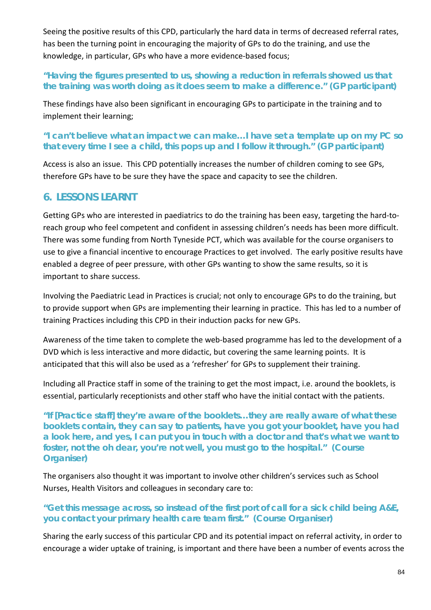Seeing the positive results of this CPD, particularly the hard data in terms of decreased referral rates, has been the turning point in encouraging the majority of GPs to do the training, and use the knowledge, in particular, GPs who have a more evidence-based focus;

#### *"Having the figures presented to us, showing a reduction in referrals showed us that the training was worth doing as it does seem to make a difference." (GP participant)*

These findings have also been significant in encouraging GPs to participate in the training and to implement their learning;

#### *"I can't believe what an impact we can make…I have set a template up on my PC so that every time I see a child, this pops up and I follow it through." (GP participant)*

Access is also an issue. This CPD potentially increases the number of children coming to see GPs, therefore GPs have to be sure they have the space and capacity to see the children.

### **6. LESSONS LEARNT**

Getting GPs who are interested in paediatrics to do the training has been easy, targeting the hard-toreach group who feel competent and confident in assessing children's needs has been more difficult. There was some funding from North Tyneside PCT, which was available for the course organisers to use to give a financial incentive to encourage Practices to get involved. The early positive results have enabled a degree of peer pressure, with other GPs wanting to show the same results, so it is important to share success.

Involving the Paediatric Lead in Practices is crucial; not only to encourage GPs to do the training, but to provide support when GPs are implementing their learning in practice. This has led to a number of training Practices including this CPD in their induction packs for new GPs.

Awareness of the time taken to complete the web-based programme has led to the development of a DVD which is less interactive and more didactic, but covering the same learning points. It is anticipated that this will also be used as a 'refresher' for GPs to supplement their training.

Including all Practice staff in some of the training to get the most impact, i.e. around the booklets, is essential, particularly receptionists and other staff who have the initial contact with the patients.

*"If [Practice staff] they're aware of the booklets…they are really aware of what these booklets contain, they can say to patients, have you got your booklet, have you had a look here, and yes, I can put you in touch with a doctor and that's what we want to foster, not the oh dear, you're not well, you must go to the hospital." (Course Organiser)*

The organisers also thought it was important to involve other children's services such as School Nurses, Health Visitors and colleagues in secondary care to:

#### *"Get this message across, so instead of the first port of call for a sick child being A&E, you contact your primary health care team first." (Course Organiser)*

Sharing the early success of this particular CPD and its potential impact on referral activity, in order to encourage a wider uptake of training, is important and there have been a number of events across the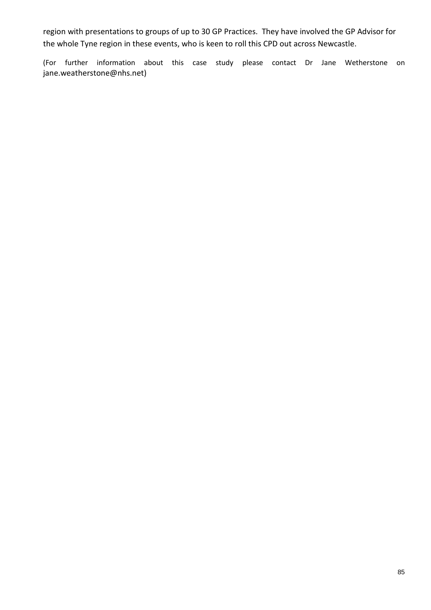region with presentations to groups of up to 30 GP Practices. They have involved the GP Advisor for the whole Tyne region in these events, who is keen to roll this CPD out across Newcastle.

(For further information about this case study please contact Dr Jane Wetherstone on jane.weatherstone@nhs.net)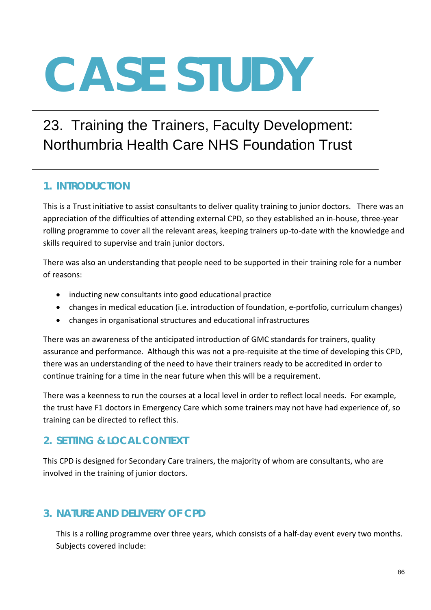# 23. Training the Trainers, Faculty Development: Northumbria Health Care NHS Foundation Trust

## **1. INTRODUCTION**

This is a Trust initiative to assist consultants to deliver quality training to junior doctors. There was an appreciation of the difficulties of attending external CPD, so they established an in-house, three-year rolling programme to cover all the relevant areas, keeping trainers up-to-date with the knowledge and skills required to supervise and train junior doctors.

There was also an understanding that people need to be supported in their training role for a number of reasons:

- inducting new consultants into good educational practice
- changes in medical education (i.e. introduction of foundation, e-portfolio, curriculum changes)
- changes in organisational structures and educational infrastructures

There was an awareness of the anticipated introduction of GMC standards for trainers, quality assurance and performance. Although this was not a pre-requisite at the time of developing this CPD, there was an understanding of the need to have their trainers ready to be accredited in order to continue training for a time in the near future when this will be a requirement.

There was a keenness to run the courses at a local level in order to reflect local needs. For example, the trust have F1 doctors in Emergency Care which some trainers may not have had experience of, so training can be directed to reflect this.

### **2. SETTING & LOCAL CONTEXT**

This CPD is designed for Secondary Care trainers, the majority of whom are consultants, who are involved in the training of junior doctors.

# **3. NATURE AND DELIVERY OF CPD**

This is a rolling programme over three years, which consists of a half-day event every two months. Subjects covered include: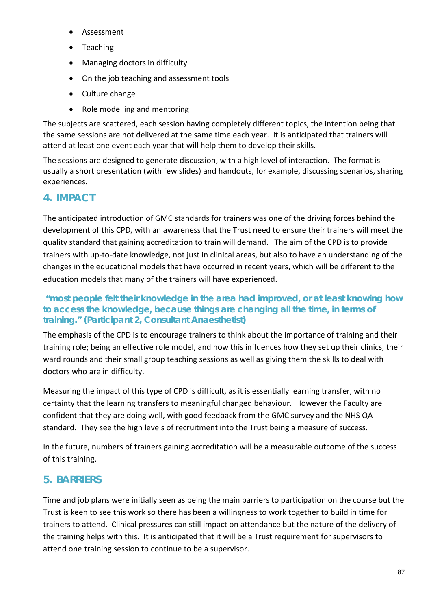- Assessment
- Teaching
- Managing doctors in difficulty
- On the job teaching and assessment tools
- Culture change
- Role modelling and mentoring

The subjects are scattered, each session having completely different topics, the intention being that the same sessions are not delivered at the same time each year. It is anticipated that trainers will attend at least one event each year that will help them to develop their skills.

The sessions are designed to generate discussion, with a high level of interaction. The format is usually a short presentation (with few slides) and handouts, for example, discussing scenarios, sharing experiences.

# **4. IMPACT**

The anticipated introduction of GMC standards for trainers was one of the driving forces behind the development of this CPD, with an awareness that the Trust need to ensure their trainers will meet the quality standard that gaining accreditation to train will demand. The aim of the CPD is to provide trainers with up-to-date knowledge, not just in clinical areas, but also to have an understanding of the changes in the educational models that have occurred in recent years, which will be different to the education models that many of the trainers will have experienced.

#### *"most people felt their knowledge in the area had improved, or at least knowing how to access the knowledge, because things are changing all the time, in terms of training."* **(Participant 2, Consultant Anaesthetist)**

The emphasis of the CPD is to encourage trainers to think about the importance of training and their training role; being an effective role model, and how this influences how they set up their clinics, their ward rounds and their small group teaching sessions as well as giving them the skills to deal with doctors who are in difficulty.

Measuring the impact of this type of CPD is difficult, as it is essentially learning transfer, with no certainty that the learning transfers to meaningful changed behaviour. However the Faculty are confident that they are doing well, with good feedback from the GMC survey and the NHS QA standard. They see the high levels of recruitment into the Trust being a measure of success.

In the future, numbers of trainers gaining accreditation will be a measurable outcome of the success of this training.

# **5. BARRIERS**

Time and job plans were initially seen as being the main barriers to participation on the course but the Trust is keen to see this work so there has been a willingness to work together to build in time for trainers to attend. Clinical pressures can still impact on attendance but the nature of the delivery of the training helps with this. It is anticipated that it will be a Trust requirement for supervisors to attend one training session to continue to be a supervisor.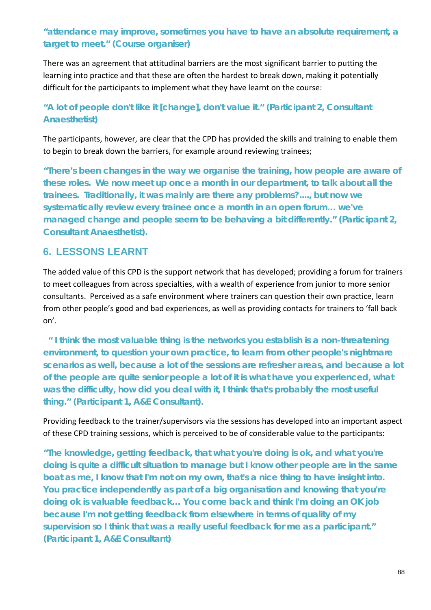### *"attendance may improve, sometimes you have to have an absolute requirement, a target to meet."* **(Course organiser)**

There was an agreement that attitudinal barriers are the most significant barrier to putting the learning into practice and that these are often the hardest to break down, making it potentially difficult for the participants to implement what they have learnt on the course:

#### *"A lot of people don't like it [change], don't value it." (Participant 2, Consultant Anaesthetist)*

The participants, however, are clear that the CPD has provided the skills and training to enable them to begin to break down the barriers, for example around reviewing trainees;

*"There's been changes in the way we organise the training, how people are aware of these roles. We now meet up once a month in our department, to talk about all the trainees. Traditionally, it was mainly are there any problems?...., but now we systematically review every trainee once a month in an open forum… we've managed change and people seem to be behaving a bit differently." (Participant 2, Consultant Anaesthetist).* 

### **6. LESSONS LEARNT**

The added value of this CPD is the support network that has developed; providing a forum for trainers to meet colleagues from across specialties, with a wealth of experience from junior to more senior consultants. Perceived as a safe environment where trainers can question their own practice, learn from other people's good and bad experiences, as well as providing contacts for trainers to 'fall back on'.

 *" I think the most valuable thing is the networks you establish is a non-threatening environment, to question your own practice, to learn from other people's nightmare scenarios as well, because a lot of the sessions are refresher areas, and because a lot of the people are quite senior people a lot of it is what have you experienced, what was the difficulty, how did you deal with it, I think that's probably the most useful thing."* **(Participant 1, A&E Consultant).**

Providing feedback to the trainer/supervisors via the sessions has developed into an important aspect of these CPD training sessions, which is perceived to be of considerable value to the participants:

*"The knowledge, getting feedback, that what you're doing is ok, and what you're doing is quite a difficult situation to manage but I know other people are in the same boat as me, I know that I'm not on my own, that's a nice thing to have insight into. You practice independently as part of a big organisation and knowing that you're doing ok is valuable feedback… You come back and think I'm doing an OK job because I'm not getting feedback from elsewhere in terms of quality of my supervision so I think that was a really useful feedback for me as a participant." (Participant 1, A&E Consultant)*